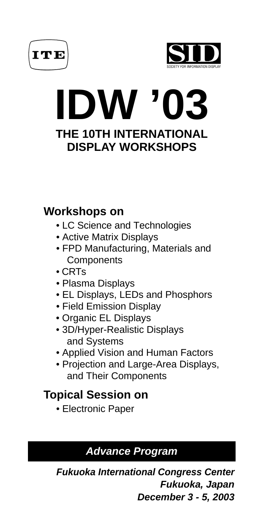



# **IDW '03 THE 10TH INTERNATIONAL DISPLAY WORKSHOPS**

# **Workshops on**

- LC Science and Technologies
- Active Matrix Displays
- FPD Manufacturing, Materials and **Components**
- CRTs
- Plasma Displays
- EL Displays, LEDs and Phosphors
- Field Emission Display
- Organic EL Displays
- 3D/Hyper-Realistic Displays and Systems
- Applied Vision and Human Factors
- Projection and Large-Area Displays, and Their Components

# **Topical Session on**

• Electronic Paper

# **Advance Program**

**Fukuoka International Congress Center Fukuoka, Japan December 3 - 5, 2003**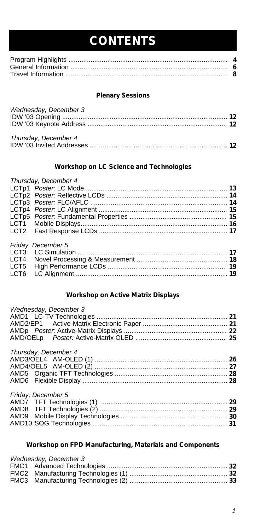# **CONTENTS**

# **Plenary Sessions**

| Wednesday, December 3 |  |
|-----------------------|--|
|                       |  |
| Thursday, December 4  |  |
|                       |  |

# **Workshop on LC Science and Technologies**

# *Thursday, December 4*

|      | Friday, December 5 |  |
|------|--------------------|--|
|      |                    |  |
|      |                    |  |
| LCT5 |                    |  |
| LCT6 |                    |  |

# **Workshop on Active Matrix Displays**

| Wednesday, December 3                                                                                                                                                                                                                                                                                                                                                                                                                                                                                                                           |        |
|-------------------------------------------------------------------------------------------------------------------------------------------------------------------------------------------------------------------------------------------------------------------------------------------------------------------------------------------------------------------------------------------------------------------------------------------------------------------------------------------------------------------------------------------------|--------|
|                                                                                                                                                                                                                                                                                                                                                                                                                                                                                                                                                 |        |
|                                                                                                                                                                                                                                                                                                                                                                                                                                                                                                                                                 |        |
|                                                                                                                                                                                                                                                                                                                                                                                                                                                                                                                                                 |        |
|                                                                                                                                                                                                                                                                                                                                                                                                                                                                                                                                                 |        |
| Thursday, December 4                                                                                                                                                                                                                                                                                                                                                                                                                                                                                                                            |        |
|                                                                                                                                                                                                                                                                                                                                                                                                                                                                                                                                                 |        |
|                                                                                                                                                                                                                                                                                                                                                                                                                                                                                                                                                 |        |
|                                                                                                                                                                                                                                                                                                                                                                                                                                                                                                                                                 |        |
|                                                                                                                                                                                                                                                                                                                                                                                                                                                                                                                                                 |        |
| Friday, December 5                                                                                                                                                                                                                                                                                                                                                                                                                                                                                                                              |        |
|                                                                                                                                                                                                                                                                                                                                                                                                                                                                                                                                                 |        |
| $\triangle M \triangle O$ $\triangle T \triangle T$ $\triangle T$ $\triangle T$ $\triangle T$ $\triangle T$ $\triangle T$ $\triangle T$ $\triangle T$ $\triangle T$ $\triangle T$ $\triangle T$ $\triangle T$ $\triangle T$ $\triangle T$ $\triangle T$ $\triangle T$ $\triangle T$ $\triangle T$ $\triangle T$ $\triangle T$ $\triangle T$ $\triangle T$ $\triangle T$ $\triangle T$ $\triangle T$ $\triangle T$ $\triangle T$ $\triangle T$ $\triangle T$ $\triangle T$ $\triangle T$ $\triangle T$ $\triangle T$ $\triangle T$ $\triangle T$ | $\sim$ |

# **Workshop on FPD Manufacturing, Materials and Components**

| Wednesday, December 3 |  |
|-----------------------|--|
|                       |  |
|                       |  |
|                       |  |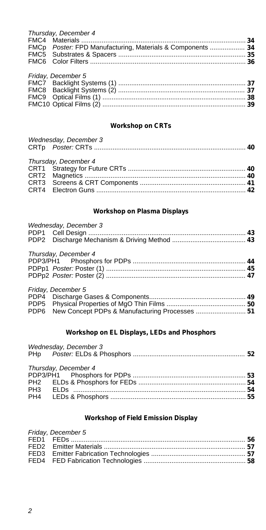| FMCp Poster: FPD Manufacturing, Materials & Components  34 |
|------------------------------------------------------------|
|                                                            |
|                                                            |
|                                                            |
|                                                            |
|                                                            |
|                                                            |
|                                                            |
|                                                            |
|                                                            |

# **Workshop on CRTs**

| Wednesday, December 3 |  |
|-----------------------|--|
| Thursday, December 4  |  |
|                       |  |
|                       |  |
|                       |  |
|                       |  |

# **Workshop on Plasma Displays**

| Wednesday, December 3 |  |
|-----------------------|--|
|                       |  |
|                       |  |
|                       |  |
| Thursday, December 4  |  |

| $\frac{1}{1}$ |  |
|---------------|--|
|               |  |
|               |  |
|               |  |
|               |  |

| Friday, December 5                                  |  |
|-----------------------------------------------------|--|
|                                                     |  |
|                                                     |  |
| PDP6 New Concept PDPs & Manufacturing Processes  51 |  |

# **Workshop on EL Displays, LEDs and Phosphors**

| Wednesday, December 3 |  |
|-----------------------|--|
| Thursday, December 4  |  |
|                       |  |
|                       |  |

# **Workshop of Field Emission Display**

| Friday, December 5 |  |
|--------------------|--|
|                    |  |
|                    |  |
|                    |  |
|                    |  |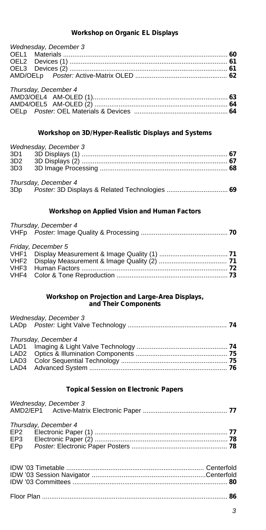# **Workshop on Organic EL Displays**

| Wednesday, December 3 |  |
|-----------------------|--|
|                       |  |
|                       |  |
|                       |  |
|                       |  |
| Thursday, December 4  |  |
|                       |  |
|                       |  |
|                       |  |

# **Workshop on 3D/Hyper-Realistic Displays and Systems**

|     | Wednesday, December 3 |  |
|-----|-----------------------|--|
|     |                       |  |
|     |                       |  |
| 3D3 |                       |  |
|     | Thursday, December 4  |  |
|     |                       |  |

# **Workshop on Applied Vision and Human Factors**

| Thursday, December 4 |  |
|----------------------|--|
|                      |  |
| Friday, December 5   |  |
|                      |  |
|                      |  |
|                      |  |
|                      |  |

# **Workshop on Projection and Large-Area Displays, and Their Components**

| Wednesday, December 3 |  |
|-----------------------|--|
| Thursday, December 4  |  |
|                       |  |
|                       |  |
|                       |  |
|                       |  |

# **Topical Session on Electronic Papers**

| Wednesday, December 3                          |  |
|------------------------------------------------|--|
| Thursday, December 4<br>EP <sub>2</sub><br>EP3 |  |
| EPp                                            |  |
|                                                |  |
|                                                |  |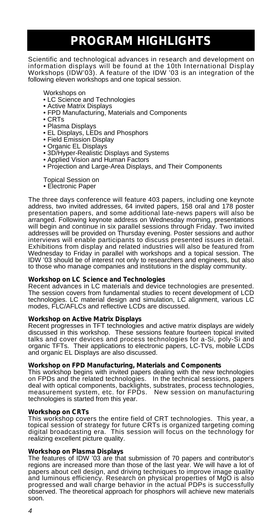# **PROGRAM HIGHLIGHTS**

Scientific and technological advances in research and development on information displays will be found at the 10th International Display Workshops (IDW'03). A feature of the IDW '03 is an integration of the following eleven workshops and one topical session.

Workshops on

- LC Science and Technologies
- Active Matrix Displays
- FPD Manufacturing, Materials and Components
- CRTs
- Plasma Displays
- EL Displays, LEDs and Phosphors
- Field Emission Display
- Organic EL Displays
- 3D/Hyper-Realistic Displays and Systems
- Applied Vision and Human Factors
- Projection and Large-Area Displays, and Their Components
- Topical Session on
- Electronic Paper

The three days conference will feature 403 papers, including one keynote address, two invited addresses, 64 invited papers, 158 oral and 178 poster presentation papers, and some additional late-news papers will also be arranged. Following keynote address on Wednesday morning, presentations will begin and continue in six parallel sessions through Friday. Two invited addresses will be provided on Thursday evening. Poster sessions and author interviews will enable participants to discuss presented issues in detail. Exhibitions from display and related industries will also be featured from Wednesday to Friday in parallel with workshops and a topical session. The IDW '03 should be of interest not only to researchers and engineers, but also to those who manage companies and institutions in the display community.

### **Workshop on LC Science and Technologies**

Recent advances in LC materials and device technologies are presented. The session covers from fundamental studies to recent development of LCD technologies. LC material design and simulation, LC alignment, various LC modes, FLC/AFLCs and reflective LCDs are discussed.

### **Workshop on Active Matrix Displays**

Recent progresses in TFT technologies and active matrix displays are widely discussed in this workshop. These sessions feature fourteen topical invited talks and cover devices and process technologies for a-Si, poly-Si and organic TFTs. Their applications to electronic papers, LC-TVs, mobile LCDs and organic EL Displays are also discussed.

### **Workshop on FPD Manufacturing, Materials and Components**

This workshop begins with invited papers dealing with the new technologies on FPDs and the related technologies. In the technical sessions, papers deal with optical components, backlights, substrates, process technologies, measurement system, etc. for FPDs. New session on manufacturing technologies is started from this year.

## **Workshop on CRTs**

This workshop covers the entire field of CRT technologies. This year, a topical session of strategy for future CRTs is organized targeting coming digital broadcasting era. This session will focus on the technology for realizing excellent picture quality.

# **Workshop on Plasma Displays**

The features of IDW '03 are that submission of 70 papers and contributor's regions are increased more than those of the last year. We will have a lot of papers about cell design, and driving techniques to improve image quality and luminous efficiency. Research on physical properties of MgO is also progressed and wall charge behavior in the actual PDPs is successfully observed. The theoretical approach for phosphors will achieve new materials soon.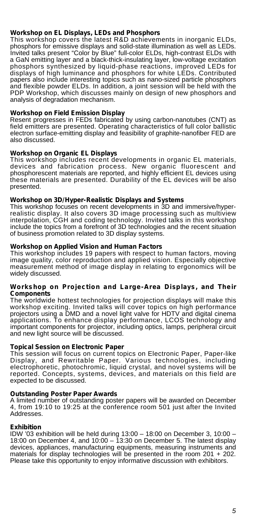# **Workshop on EL Displays, LEDs and Phosphors**

This workshop covers the latest R&D achievements in inorganic ELDs, phosphors for emissive displays and solid-state illumination as well as LEDs. Invited talks present "Color by Blue" full-color ELDs, high-contrast ELDs with a GaN emitting layer and a black-thick-insulating layer, low-voltage excitation phosphors synthesized by liquid-phase reactions, improved LEDs for displays of high luminance and phosphors for white LEDs. Contributed papers also include interesting topics such as nano-sized particle phosphors and flexible powder ELDs. In addition, a joint session will be held with the PDP Workshop, which discusses mainly on design of new phosphors and analysis of degradation mechanism.

# **Workshop on Field Emission Display**

Resent progresses in FEDs fabricated by using carbon-nanotubes (CNT) as field emitters are presented. Operating characteristics of full color ballistic electron surface-emitting display and feasibility of graphite-nanofiber FED are also discussed.

## **Workshop on Organic EL Displays**

This workshop includes recent developments in organic EL materials, devices and fabrication process. New organic fluorescent and phosphorescent materials are reported, and highly efficient EL devices using these materials are presented. Durability of the EL devices will be also presented.

### **Workshop on 3D/Hyper-Realistic Displays and Systems**

This workshop focuses on recent developments in 3D and immersive/hyperrealistic display. It also covers 3D image processing such as multiview interpolation, CGH and coding technology. Invited talks in this workshop include the topics from a forefront of 3D technologies and the recent situation of business promotion related to 3D display systems.

# **Workshop on Applied Vision and Human Factors**

This workshop includes 19 papers with respect to human factors, moving image quality, color reproduction and applied vision. Especially objective measurement method of image display in relating to ergonomics will be widely discussed.

### **Workshop on Projection and Large-Area Displays, and Their Components**

The worldwide hottest technologies for projection displays will make this workshop exciting. Invited talks will cover topics on high performance projectors using a DMD and a novel light valve for HDTV and digital cinema applications. To enhance display performance, LCOS technology and important components for projector, including optics, lamps, peripheral circuit and new light source will be discussed.

### **Topical Session on Electronic Paper**

This session will focus on current topics on Electronic Paper, Paper-like Display, and Rewritable Paper. Various technologies, including electrophoretic, photochromic, liquid crystal, and novel systems will be reported. Concepts, systems, devices, and materials on this field are expected to be discussed.

# **Outstanding Poster Paper Awards**

A limited number of outstanding poster papers will be awarded on December 4, from 19:10 to 19:25 at the conference room 501 just after the Invited Addresses.

### **Exhibition**

IDW '03 exhibition will be held during 13:00 – 18:00 on December 3, 10:00 – 18:00 on December 4, and 10:00 – 13:30 on December 5. The latest display devices, appliances, manufacturing equipments, measuring instruments and materials for display technologies will be presented in the room 201 + 202. Please take this opportunity to enjoy informative discussion with exhibitors.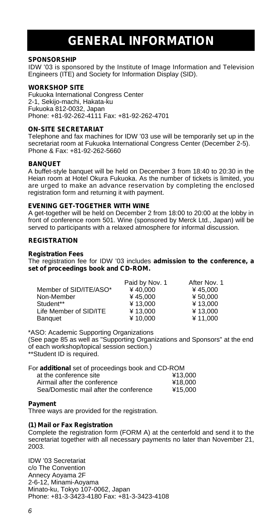# **GENERAL INFORMATION**

# **SPONSORSHIP**

IDW '03 is sponsored by the Institute of Image Information and Television Engineers (ITE) and Society for Information Display (SID).

## **WORKSHOP SITE**

Fukuoka International Congress Center 2-1, Sekijo-machi, Hakata-ku Fukuoka 812-0032, Japan Phone: +81-92-262-4111 Fax: +81-92-262-4701

# **ON-SITE SECRETARIAT**

Telephone and fax machines for IDW '03 use will be temporarily set up in the secretariat room at Fukuoka International Congress Center (December 2-5). Phone & Fax: +81-92-262-5660

## **BANQUET**

A buffet-style banquet will be held on December 3 from 18:40 to 20:30 in the Heian room at Hotel Okura Fukuoka. As the number of tickets is limited, you are urged to make an advance reservation by completing the enclosed registration form and returning it with payment.

### **EVENING GET-TOGETHER WITH WINE**

A get-together will be held on December 2 from 18:00 to 20:00 at the lobby in front of conference room 501. Wine (sponsored by Merck Ltd., Japan) will be served to participants with a relaxed atmosphere for informal discussion.

## **REGISTRATION**

### **Registration Fees**

The registration fee for IDW '03 includes **admission to the conference, a set of proceedings book and CD-ROM.**

|                        | Paid by Nov. 1 | After Nov. 1 |
|------------------------|----------------|--------------|
| Member of SID/ITE/ASO* | ¥40.000        | ¥45.000      |
| Non-Member             | ¥45.000        | ¥ 50.000     |
| Student**              | ¥13.000        | ¥13.000      |
| Life Member of SID/ITE | ¥13.000        | ¥13.000      |
| <b>Banquet</b>         | ¥10.000        | ¥11.000      |

\*ASO: Academic Supporting Organizations

(See page 85 as well as "Supporting Organizations and Sponsors" at the end of each workshop/topical session section.) \*\*Student ID is required.

For **additional** set of proceedings book and CD-ROM

| at the conference site                 | ¥13.000 |
|----------------------------------------|---------|
| Airmail after the conference           | ¥18.000 |
| Sea/Domestic mail after the conference | ¥15.000 |

### **Payment**

Three ways are provided for the registration.

# **(1) Mail or Fax Registration**

Complete the registration form (FORM A) at the centerfold and send it to the secretariat together with all necessary payments no later than November 21, 2003.

IDW '03 Secretariat c/o The Convention Annecy Aoyama 2F 2-6-12, Minami-Aoyama Minato-ku, Tokyo 107-0062, Japan Phone: +81-3-3423-4180 Fax: +81-3-3423-4108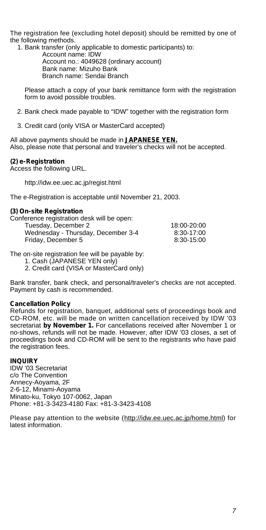The registration fee (excluding hotel deposit) should be remitted by one of the following methods.

1. Bank transfer (only applicable to domestic participants) to: Account name: IDW Account no.: 4049628 (ordinary account) Bank name: Mizuho Bank Branch name: Sendai Branch

Please attach a copy of your bank remittance form with the registration form to avoid possible troubles.

- 2. Bank check made payable to "IDW" together with the registration form
- 3. Credit card (only VISA or MasterCard accepted)

All above payments should be made in **JAPANESE YEN.** Also, please note that personal and traveler's checks will not be accepted.

## **(2) e-Registration**

Access the following URL.

http://idw.ee.uec.ac.jp/regist.html

The e-Registration is acceptable until November 21, 2003.

### **(3) On-site Registration**

| Conference registration desk will be open: |             |
|--------------------------------------------|-------------|
| Tuesday, December 2                        | 18:00-20:00 |
| Wednesday - Thursday, December 3-4         | 8:30-17:00  |
| Friday, December 5                         | 8:30-15:00  |

The on-site registration fee will be payable by:

1. Cash (JAPANESE YEN only)

2. Credit card (VISA or MasterCard only)

Bank transfer, bank check, and personal/traveler's checks are not accepted. Payment by cash is recommended.

### **Cancellation Policy**

Refunds for registration, banquet, additional sets of proceedings book and CD-ROM, etc. will be made on written cancellation received by IDW '03 secretariat **by November 1.** For cancellations received after November 1 or no-shows, refunds will not be made. However, after IDW '03 closes, a set of proceedings book and CD-ROM will be sent to the registrants who have paid the registration fees.

# **INQUIRY**

IDW '03 Secretariat c/o The Convention Annecy-Aoyama, 2F 2-6-12, Minami-Aoyama Minato-ku, Tokyo 107-0062, Japan Phone: +81-3-3423-4180 Fax: +81-3-3423-4108

Please pay attention to the website (http://idw.ee.uec.ac.jp/home.html) for latest information.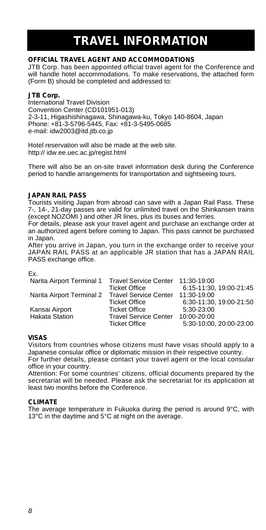# **TRAVEL INFORMATION**

# **OFFICIAL TRAVEL AGENT AND ACCOMMODATIONS**

JTB Corp. has been appointed official travel agent for the Conference and will handle hotel accommodations. To make reservations, the attached form (Form B) should be completed and addressed to:

# **JTB Corp.**

International Travel Division Convention Center (CD101951-013) 2-3-11, Higashishinagawa, Shinagawa-ku, Tokyo 140-8604, Japan Phone: +81-3-5796-5445, Fax: +81-3-5495-0685 e-mail: idw2003@itd.jtb.co.jp

Hotel reservation will also be made at the web site. http:// idw.ee.uec.ac.jp/regist.html

There will also be an on-site travel information desk during the Conference period to handle arrangements for transportation and sightseeing tours.

# **JAPAN RAIL PASS**

Tourists visiting Japan from abroad can save with a Japan Rail Pass. These 7-, 14-, 21-day passes are valid for unlimited travel on the Shinkansen trains (except NOZOMI ) and other JR lines, plus its buses and ferries.

For details, please ask your travel agent and purchase an exchange order at an authorized agent before coming to Japan. This pass cannot be purchased in Japan.

After you arrive in Japan, you turn in the exchange order to receive your JAPAN RAIL PASS at an applicable JR station that has a JAPAN RAIL PASS exchange office.

Ex.

| Narita Airport Terminal 1 Travel Service Center 11:30-19:00 |                              |                         |
|-------------------------------------------------------------|------------------------------|-------------------------|
|                                                             | Ticket Office                | 6:15-11:30, 19:00-21:45 |
| Narita Airport Terminal 2 Travel Service Center             |                              | 11:30-19:00             |
|                                                             | <b>Ticket Office</b>         | 6:30-11:30. 19:00-21:50 |
| Kansai Airport                                              | <b>Ticket Office</b>         | $5:30-23:00$            |
| <b>Hakata Station</b>                                       | <b>Travel Service Center</b> | 10:00-20:00             |
|                                                             | <b>Ticket Office</b>         | 5:30-10:00. 20:00-23:00 |

# **VISAS**

Visitors from countries whose citizens must have visas should apply to a Japanese consular office or diplomatic mission in their respective country.

For further details, please contact your travel agent or the local consular office in your country.

Attention: For some countries' citizens, official documents prepared by the secretariat will be needed. Please ask the secretariat for its application at least two months before the Conference.

# **CLIMATE**

The average temperature in Fukuoka during the period is around 9°C, with 13°C in the daytime and 5°C at night on the average.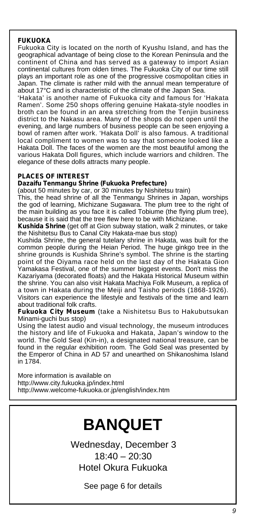# **FUKUOKA**

Fukuoka City is located on the north of Kyushu Island, and has the geographical advantage of being close to the Korean Peninsula and the continent of China and has served as a gateway to import Asian continental cultures from olden times. The Fukuoka City of our time still plays an important role as one of the progressive cosmopolitan cities in Japan. The climate is rather mild with the annual mean temperature of about 17°C and is characteristic of the climate of the Japan Sea.

'Hakata' is another name of Fukuoka city and famous for 'Hakata Ramen'. Some 250 shops offering genuine Hakata-style noodles in broth can be found in an area stretching from the Tenjin business district to the Nakasu area. Many of the shops do not open until the evening, and large numbers of business people can be seen enjoying a bowl of ramen after work. 'Hakata Doll' is also famous. A traditional local compliment to women was to say that someone looked like a Hakata Doll. The faces of the women are the most beautiful among the various Hakata Doll figures, which include warriors and children. The elegance of these dolls attracts many people.

# **PLACES OF INTEREST**

# **Dazaifu Tenmangu Shrine (Fukuoka Prefecture)**

(about 50 minutes by car, or 30 minutes by Nishitetsu train)

This, the head shrine of all the Tenmangu Shrines in Japan, worships the god of learning, Michizane Sugawara. The plum tree to the right of the main building as you face it is called Tobiume (the flying plum tree), because it is said that the tree flew here to be with Michizane.

**Kushida Shrine** (get off at Gion subway station, walk 2 minutes, or take the Nishitetsu Bus to Canal City Hakata-mae bus stop)

Kushida Shrine, the general tutelary shrine in Hakata, was built for the common people during the Heian Period. The huge ginkgo tree in the shrine grounds is Kushida Shrine's symbol. The shrine is the starting point of the Oiyama race held on the last day of the Hakata Gion Yamakasa Festival, one of the summer biggest events. Don't miss the Kazariyama (decorated floats) and the Hakata Historical Museum within the shrine. You can also visit Hakata Machiya Folk Museum, a replica of a town in Hakata during the Meiji and Taisho periods (1868-1926). Visitors can experience the lifestyle and festivals of the time and learn about traditional folk crafts.

**Fukuoka City Museum** (take a Nishitetsu Bus to Hakubutsukan Minami-guchi bus stop)

Using the latest audio and visual technology, the museum introduces the history and life of Fukuoka and Hakata, Japan's window to the world. The Gold Seal (Kin-in), a designated national treasure, can be found in the regular exhibition room. The Gold Seal was presented by the Emperor of China in AD 57 and unearthed on Shikanoshima Island in 1784.

More information is available on http://www.city.fukuoka.jp/index.html http://www.welcome-fukuoka.or.jp/english/index.htm

# **BANQUET**

Wednesday, December 3 18:40 – 20:30 Hotel Okura Fukuoka

See page 6 for details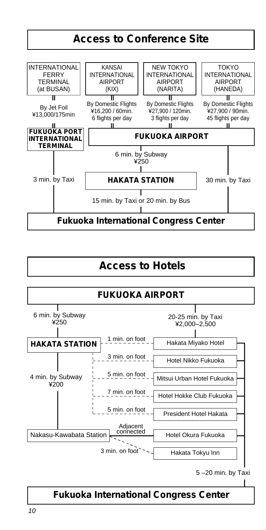

# **Access to Hotels**



5 –20 min. by Taxi

# **Fukuoka International Congress Center**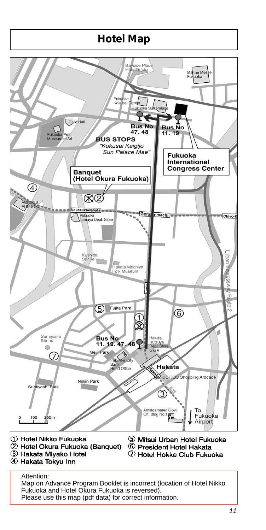# **Hotel Map**



Map on Advance Program Booklet is incorrect (location of Hotel Nikko Fukuoka and Hotel Okura Fukuoka is reversed). Please use this map (pdf data) for correct information.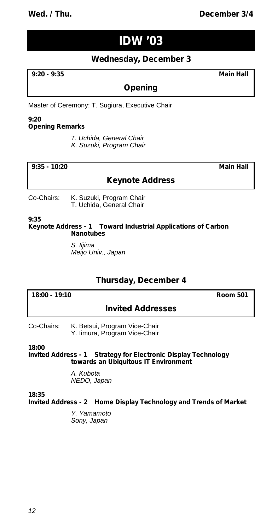# **Wed. / Thu. December 3/4**

# **IDW '03**

# **Wednesday, December 3**

**9:20 - 9:35 Main Hall**

# **Opening**

Master of Ceremony: T. Sugiura, Executive Chair

### **9:20 Opening Remarks**

*T. Uchida, General Chair K. Suzuki, Program Chair*

**9:35 - 10:20 Main Hall**

# **Keynote Address**

Co-Chairs: K. Suzuki, Program Chair T. Uchida, General Chair

**9:35**

**Keynote Address - 1 Toward Industrial Applications of Carbon Nanotubes**

> *S. Iijima Meijo Univ., Japan*

# **Thursday, December 4**

**18:00 - 19:10 Room 501**

# **Invited Addresses**

Co-Chairs: K. Betsui, Program Vice-Chair Y. Iimura, Program Vice-Chair

**18:00**

**Invited Address - 1 Strategy for Electronic Display Technology towards an Ubiquitous IT Environment**

> *A. Kubota NEDO, Japan*

**18:35**

**Invited Address - 2 Home Display Technology and Trends of Market**

*Y. Yamamoto Sony, Japan*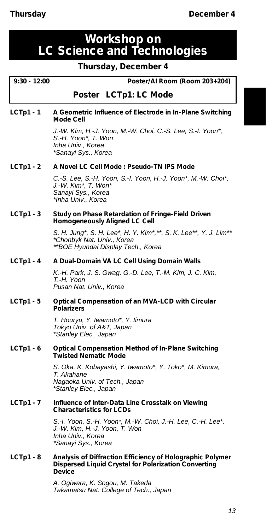# **Workshop on LC Science and Technologies**

# **Thursday, December 4**

# **9:30 - 12:00 Poster/AI Room (Room 203+204)**

# *Poster* **LCTp1: LC Mode**

# **LCTp1 - 1 A Geometric Influence of Electrode in In-Plane Switching Mode Cell**

*J.-W. Kim, H.-J. Yoon, M.-W. Choi, C.-S. Lee, S.-I. Yoon\*, S.-H. Yoon\*, T. Won Inha Univ., Korea \*Sanayi Sys., Korea*

# **LCTp1 - 2 A Novel LC Cell Mode : Pseudo-TN IPS Mode**

*C.-S. Lee, S.-H. Yoon, S.-I. Yoon, H.-J. Yoon\*, M.-W. Choi\*, J.-W. Kim\*, T. Won\* Sanayi Sys., Korea \*Inha Univ., Korea*

# **LCTp1 - 3 Study on Phase Retardation of Fringe-Field Driven Homogeneously Aligned LC Cell**

*S. H. Jung\*, S. H. Lee\*, H. Y. Kim\*,\*\*, S. K. Lee\*\*, Y. J. Lim\*\* \*Chonbyk Nat. Univ., Korea \*\*BOE Hyundai Display Tech., Korea*

# **LCTp1 - 4 A Dual-Domain VA LC Cell Using Domain Walls**

*K.-H. Park, J. S. Gwag, G.-D. Lee, T.-M. Kim, J. C. Kim, T.-H. Yoon Pusan Nat. Univ., Korea*

### **LCTp1 - 5 Optical Compensation of an MVA-LCD with Circular Polarizers**

*T. Houryu, Y. Iwamoto\*, Y. Iimura Tokyo Univ. of A&T, Japan \*Stanley Elec., Japan*

### **LCTp1 - 6 Optical Compensation Method of In-Plane Switching Twisted Nematic Mode**

*S. Oka, K. Kobayashi, Y. Iwamoto\*, Y. Toko\*, M. Kimura, T. Akahane Nagaoka Univ. of Tech., Japan \*Stanley Elec., Japan*

### **LCTp1 - 7 Influence of Inter-Data Line Crosstalk on Viewing Characteristics for LCDs**

*S.-I. Yoon, S.-H. Yoon\*, M.-W. Choi, J.-H. Lee, C.-H. Lee\*, J.-W. Kim, H.-J. Yoon, T. Won Inha Univ., Korea \*Sanayi Sys., Korea*

# **LCTp1 - 8 Analysis of Diffraction Efficiency of Holographic Polymer Dispersed Liquid Crystal for Polarization Converting Device**

*A. Ogiwara, K. Sogou, M. Takeda Takamatsu Nat. College of Tech., Japan*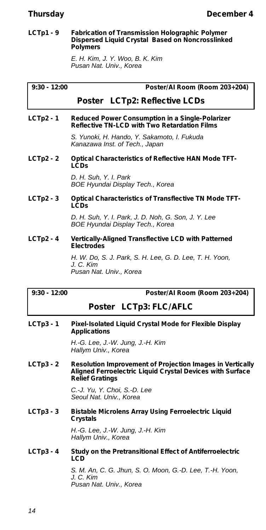### **LCTp1 - 9 Fabrication of Transmission Holographic Polymer Dispersed Liquid Crystal Based on Noncrosslinked Polymers**

*E. H. Kim, J. Y. Woo, B. K. Kim Pusan Nat. Univ., Korea*

|  | 30. | 2:00 |
|--|-----|------|
|--|-----|------|

**9:30 - 12:00 Poster/AI Room (Room 203+204)**

# *Poster* **LCTp2: Reflective LCDs**

# **LCTp2 - 1 Reduced Power Consumption in a Single-Polarizer Reflective TN-LCD with Two Retardation Films**

*S. Yunoki, H. Hando, Y. Sakamoto, I. Fukuda Kanazawa Inst. of Tech., Japan*

**LCTp2 - 2 Optical Characteristics of Reflective HAN Mode TFT-LCDs**

> *D. H. Suh, Y. I. Park BOE Hyundai Display Tech., Korea*

# **LCTp2 - 3 Optical Characteristics of Transflective TN Mode TFT-LCDs**

*D. H. Suh, Y. I. Park, J. D. Noh, G. Son, J. Y. Lee BOE Hyundai Display Tech., Korea*

# **LCTp2 - 4 Vertically-Aligned Transflective LCD with Patterned Electrodes**

*H. W. Do, S. J. Park, S. H. Lee, G. D. Lee, T. H. Yoon, J. C. Kim Pusan Nat. Univ., Korea*

**9:30 - 12:00 Poster/AI Room (Room 203+204)**

# *Poster* **LCTp3: FLC/AFLC**

**LCTp3 - 1 Pixel-Isolated Liquid Crystal Mode for Flexible Display Applications**

> *H.-G. Lee, J.-W. Jung, J.-H. Kim Hallym Univ., Korea*

# **LCTp3 - 2 Resolution Improvement of Projection Images in Vertically Aligned Ferroelectric Liquid Crystal Devices with Surface Relief Gratings**

*C.-J. Yu, Y. Choi, S.-D. Lee Seoul Nat. Univ., Korea*

**LCTp3 - 3 Bistable Microlens Array Using Ferroelectric Liquid Crystals**

> *H.-G. Lee, J.-W. Jung, J.-H. Kim Hallym Univ., Korea*

**LCTp3 - 4 Study on the Pretransitional Effect of Antiferroelectric LCD**

> *S. M. An, C. G. Jhun, S. O. Moon, G.-D. Lee, T.-H. Yoon, J. C. Kim Pusan Nat. Univ., Korea*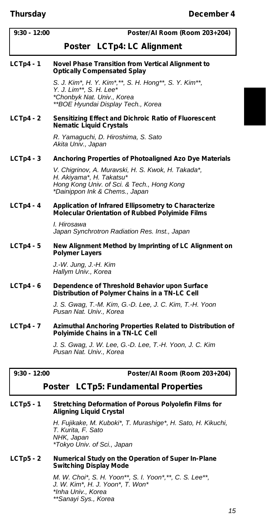| $9:30 - 12:00$ | Poster/Al Room (Room 203+204)                                                                                                                                  |
|----------------|----------------------------------------------------------------------------------------------------------------------------------------------------------------|
|                | Poster LCTp4: LC Alignment                                                                                                                                     |
| $LCTp4 - 1$    | Novel Phase Transition from Vertical Alignment to<br><b>Optically Compensated Splay</b>                                                                        |
|                | S. J. Kim*, H. Y. Kim*,**, S. H. Hong**, S. Y. Kim**,<br>Y. J. Lim**, S. H. Lee*<br>*Chonbyk Nat. Univ., Korea<br>**BOE Hyundai Display Tech., Korea           |
| $LCTp4 - 2$    | Sensitizing Effect and Dichroic Ratio of Fluorescent<br><b>Nematic Liquid Crystals</b>                                                                         |
|                | R. Yamaguchi, D. Hiroshima, S. Sato<br>Akita Univ., Japan                                                                                                      |
| $LCTp4 - 3$    | Anchoring Properties of Photoaligned Azo Dye Materials                                                                                                         |
|                | V. Chigrinov, A. Muravski, H. S. Kwok, H. Takada*,<br>H. Akiyama*, H. Takatsu*<br>Hong Kong Univ. of Sci. & Tech., Hong Kong<br>*Dainippon Ink & Chems., Japan |
| $LCTp4 - 4$    | Application of Infrared Ellipsometry to Characterize<br>Molecular Orientation of Rubbed Polyimide Films                                                        |
|                | I. Hirosawa<br>Japan Synchrotron Radiation Res. Inst., Japan                                                                                                   |
| $LCTp4-5$      | New Alignment Method by Imprinting of LC Alignment on<br><b>Polymer Layers</b>                                                                                 |
|                | J.-W. Jung, J.-H. Kim<br>Hallym Univ., Korea                                                                                                                   |
| $LCTp4 - 6$    | Dependence of Threshold Behavior upon Surface<br>Distribution of Polymer Chains in a TN-LC Cell                                                                |
|                | J. S. Gwag, T.-M. Kim, G.-D. Lee, J. C. Kim, T.-H. Yoon<br>Pusan Nat. Univ., Korea                                                                             |
| $LCTp4 - 7$    | Azimuthal Anchoring Properties Related to Distribution of<br>Polyimide Chains in a TN-LC Cell                                                                  |
|                |                                                                                                                                                                |

*J. S. Gwag, J. W. Lee, G.-D. Lee, T.-H. Yoon, J. C. Kim Pusan Nat. Univ., Korea*

# **9:30 - 12:00 Poster/AI Room (Room 203+204)**

# *Poster* **LCTp5: Fundamental Properties**

# **LCTp5 - 1 Stretching Deformation of Porous Polyolefin Films for Aligning Liquid Crystal**

*H. Fujikake, M. Kuboki\*, T. Murashige\*, H. Sato, H. Kikuchi, T. Kurita, F. Sato NHK, Japan \*Tokyo Univ. of Sci., Japan*

# **LCTp5 - 2 Numerical Study on the Operation of Super In-Plane Switching Display Mode**

*M. W. Choi\*, S. H. Yoon\*\*, S. I. Yoon\*,\*\*, C. S. Lee\*\*, J. W. Kim\*, H. J. Yoon\*, T. Won\* \*Inha Univ., Korea \*\*Sanayi Sys., Korea*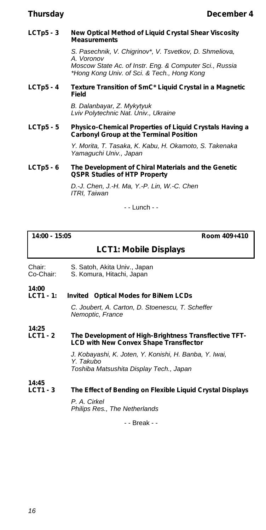## **LCTp5 - 3 New Optical Method of Liquid Crystal Shear Viscosity Measurements**

*S. Pasechnik, V. Chigrinov\*, V. Tsvetkov, D. Shmeliova, A. Voronov Moscow State Ac. of Instr. Eng. & Computer Sci., Russia \*Hong Kong Univ. of Sci. & Tech., Hong Kong*

# **LCTp5 - 4 Texture Transition of SmC\* Liquid Crystal in a Magnetic Field**

*B. Dalanbayar, Z. Mykytyuk Lviv Polytechnic Nat. Univ., Ukraine*

# **LCTp5 - 5 Physico-Chemical Properties of Liquid Crystals Having a Carbonyl Group at the Terminal Position**

*Y. Morita, T. Tasaka, K. Kabu, H. Okamoto, S. Takenaka Yamaguchi Univ., Japan*

# **LCTp5 - 6 The Development of Chiral Materials and the Genetic QSPR Studies of HTP Property**

*D.-J. Chen, J.-H. Ma, Y.-P. Lin, W.-C. Chen ITRI, Taiwan*

- - Lunch - -

**14:00 - 15:05 Room 409+410**

# **LCT1: Mobile Displays**

- Chair: S. Satoh, Akita Univ., Japan<br>Co-Chair: S. Komura, Hitachi, Japan
- S. Komura, Hitachi, Japan

### **14:00 Invited** Optical Modes for BiNem LCDs

*C. Joubert, A. Carton, D. Stoenescu, T. Scheffer Nemoptic, France*

### **14:25** The Development of High-Brightness Transflective TFT-**LCD with New Convex Shape Transflector**

*J. Kobayashi, K. Joten, Y. Konishi, H. Banba, Y. Iwai, Y. Takubo Toshiba Matsushita Display Tech., Japan*

# **14:45 The Effect of Bending on Flexible Liquid Crystal Displays**

*P. A. Cirkel Philips Res., The Netherlands*

- - Break - -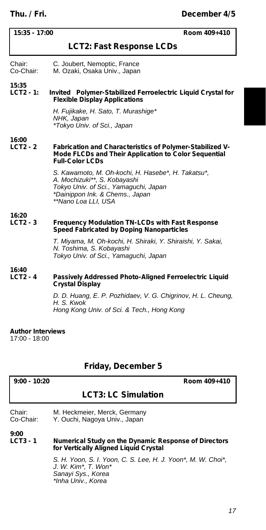| $15:35 - 17:00$                           | Room 409+410                                                                                                                                                                          |  |
|-------------------------------------------|---------------------------------------------------------------------------------------------------------------------------------------------------------------------------------------|--|
|                                           | <b>LCT2: Fast Response LCDs</b>                                                                                                                                                       |  |
| Chair:<br>Co-Chair:                       | C. Joubert, Nemoptic, France<br>M. Ozaki, Osaka Univ., Japan                                                                                                                          |  |
| 15:35<br>$LCT2 - 1:$                      | Invited Polymer-Stabilized Ferroelectric Liquid Crystal for<br><b>Flexible Display Applications</b>                                                                                   |  |
|                                           | H. Fujikake, H. Sato, T. Murashige*<br>NHK, Japan<br>*Tokyo Univ. of Sci., Japan                                                                                                      |  |
| 16:00<br>$LCT2 - 2$                       | Fabrication and Characteristics of Polymer-Stabilized V-<br>Mode FLCDs and Their Application to Color Sequential<br><b>Full-Color LCDs</b>                                            |  |
|                                           | S. Kawamoto, M. Oh-kochi, H. Hasebe*, H. Takatsu*,<br>A. Mochizuki**, S. Kobayashi<br>Tokyo Univ. of Sci., Yamaguchi, Japan<br>*Dainippon Ink. & Chems., Japan<br>**Nano Loa LLI, USA |  |
| 16:20<br>$LCT2 - 3$                       | <b>Frequency Modulation TN-LCDs with Fast Response</b>                                                                                                                                |  |
|                                           | Speed Fabricated by Doping Nanoparticles                                                                                                                                              |  |
|                                           | T. Miyama, M. Oh-kochi, H. Shiraki, Y. Shiraishi, Y. Sakai,<br>N. Toshima, S. Kobayashi<br>Tokyo Univ. of Sci., Yamaguchi, Japan                                                      |  |
| 16:40<br>$LCT2 - 4$                       | Passively Addressed Photo-Aligned Ferroelectric Liquid<br><b>Crystal Display</b>                                                                                                      |  |
|                                           | D. D. Huang, E. P. Pozhidaev, V. G. Chigrinov, H. L. Cheung,<br>H. S. Kwok<br>Hong Kong Univ. of Sci. & Tech., Hong Kong                                                              |  |
| <b>Author Interviews</b><br>17:00 - 18:00 |                                                                                                                                                                                       |  |

# **Friday, December 5**

| $9:00 - 10:20$      | Room 409+410                                                                                                                    |
|---------------------|---------------------------------------------------------------------------------------------------------------------------------|
|                     | <b>LCT3: LC Simulation</b>                                                                                                      |
| Chair:<br>Co-Chair: | M. Heckmeier, Merck, Germany<br>Y. Ouchi, Nagoya Univ., Japan                                                                   |
| 9:00<br>$LCT3 - 1$  | Numerical Study on the Dynamic Response of Directors<br>for Vertically Aligned Liguid Crystal                                   |
|                     | S. H. Yoon, S. I. Yoon, C. S. Lee, H. J. Yoon*, M. W. Choi*,<br>J. W. Kim*, T. Won*<br>Sanayi Sys., Korea<br>*Inha Univ., Korea |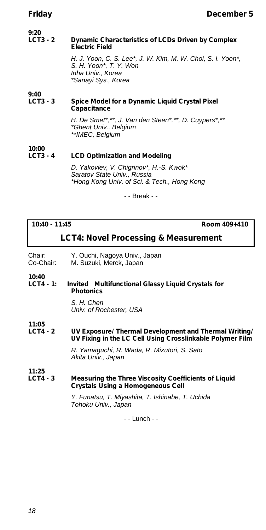### **9:20 Dynamic Characteristics of LCDs Driven by Complex Electric Field**

*H. J. Yoon, C. S. Lee\*, J. W. Kim, M. W. Choi, S. I. Yoon\*, S. H. Yoon\*, T. Y. Won Inha Univ., Korea \*Sanayi Sys., Korea*

# **9:40 Spice Model for a Dynamic Liquid Crystal Pixel Capacitance**

*H. De Smet\*,\*\*, J. Van den Steen\*,\*\*, D. Cuypers\*,\*\* \*Ghent Univ., Belgium \*\*IMEC, Belgium*

# **10:00 LCD Optimization and Modeling**

*D. Yakovlev, V. Chigrinov\*, H.-S. Kwok\* Saratov State Univ., Russia \*Hong Kong Univ. of Sci. & Tech., Hong Kong*

- - Break - -

**10:40 - 11:45 Room 409+410**

# **LCT4: Novel Processing & Measurement**

Chair: Y. Ouchi, Nagoya Univ., Japan<br>Co-Chair: M. Suzuki, Merck, Japan

M. Suzuki, Merck, Japan

# **10:40 Invited** Multifunctional Glassy Liquid Crystals for **Photonics**

*S. H. Chen Univ. of Rochester, USA*

**11:05 LV Exposure/ Thermal Development and Thermal Writing/ UV Fixing in the LC Cell Using Crosslinkable Polymer Film**

> *R. Yamaguchi, R. Wada, R. Mizutori, S. Sato Akita Univ., Japan*

**11:25**

## **LCT4 - 3 Measuring the Three Viscosity Coefficients of Liquid Crystals Using a Homogeneous Cell**

*Y. Funatsu, T. Miyashita, T. Ishinabe, T. Uchida Tohoku Univ., Japan*

- - Lunch - -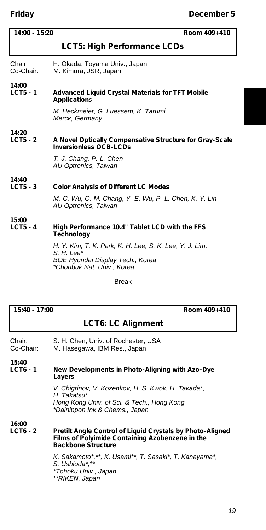# **Friday December 5**

| $14:00 - 15:20$<br>Room 409+410 |                                                                                                                                           |  |
|---------------------------------|-------------------------------------------------------------------------------------------------------------------------------------------|--|
| LCT5: High Performance LCDs     |                                                                                                                                           |  |
| Chair:<br>Co-Chair:             | H. Okada, Toyama Univ., Japan<br>M. Kimura, JSR, Japan                                                                                    |  |
| 14:00<br>$LCT5 - 1$             | <b>Advanced Liquid Crystal Materials for TFT Mobile</b><br><b>Applications</b>                                                            |  |
|                                 | M. Heckmeier, G. Luessem, K. Tarumi<br>Merck, Germany                                                                                     |  |
| 14:20<br>$LCT5 - 2$             | A Novel Optically Compensative Structure for Gray-Scale<br><b>Inversionless OCB-LCDs</b>                                                  |  |
|                                 | T.-J. Chang, P.-L. Chen<br>AU Optronics, Taiwan                                                                                           |  |
| 14:40<br>$LCT5 - 3$             | <b>Color Analysis of Different LC Modes</b>                                                                                               |  |
|                                 | M.-C. Wu, C.-M. Chang, Y.-E. Wu, P.-L. Chen, K.-Y. Lin<br>AU Optronics, Taiwan                                                            |  |
| 15:00<br>$LCT5 - 4$             | High Performance 10.4" Tablet LCD with the FFS<br><b>Technology</b>                                                                       |  |
|                                 | H. Y. Kim, T. K. Park, K. H. Lee, S. K. Lee, Y. J. Lim,<br>$S. H. Lee*$<br>BOE Hyundai Display Tech., Korea<br>*Chonbuk Nat. Univ., Korea |  |
|                                 | - - Break - -                                                                                                                             |  |

**15:40 - 17:00 Room 409+410**

# **LCT6: LC Alignment**

| Chair:    | S. H. Chen, Univ. of Rochester, USA |
|-----------|-------------------------------------|
| Co-Chair: | M. Hasegawa, IBM Res., Japan        |

**15:40**

**New Developments in Photo-Aligning with Azo-Dye Layers**

> *V. Chigrinov, V. Kozenkov, H. S. Kwok, H. Takada\*, H. Takatsu\* Hong Kong Univ. of Sci. & Tech., Hong Kong \*Dainippon Ink & Chems., Japan*

**16:00**

**Pretilt Angle Control of Liquid Crystals by Photo-Aligned Films of Polyimide Containing Azobenzene in the Backbone Structure**

> *K. Sakamoto\*,\*\*, K. Usami\*\*, T. Sasaki\*, T. Kanayama\*, S. Ushioda\*,\*\* \*Tohoku Univ., Japan \*\*RIKEN, Japan*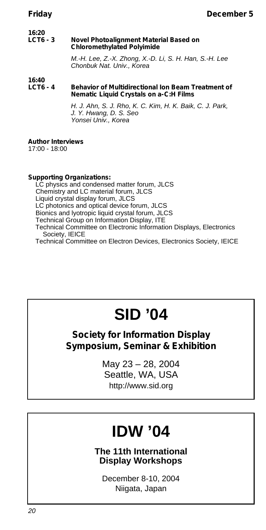### **16:20 Novel Photoalignment Material Based on Chloromethylated Polyimide**

*M.-H. Lee, Z.-X. Zhong, X.-D. Li, S. H. Han, S.-H. Lee Chonbuk Nat. Univ., Korea*

## **16:40 Behavior of Multidirectional Ion Beam Treatment of Nematic Liquid Crystals on a-C:H Films**

*H. J. Ahn, S. J. Rho, K. C. Kim, H. K. Baik, C. J. Park, J. Y. Hwang, D. S. Seo Yonsei Univ., Korea*

### **Author Interviews** 17:00 - 18:00

# **Supporting Organizations:**

LC physics and condensed matter forum, JLCS Chemistry and LC material forum, JLCS Liquid crystal display forum, JLCS LC photonics and optical device forum, JLCS Bionics and lyotropic liquid crystal forum, JLCS Technical Group on Information Display, ITE Technical Committee on Electronic Information Displays, Electronics Society, IEICE

Technical Committee on Electron Devices, Electronics Society, IEICE

# **SID '04**

# **Society for Information Display Symposium, Seminar & Exhibition**

May 23 – 28, 2004 Seattle, WA, USA http://www.sid.org

# **IDW '04**

**The 11th International Display Workshops**

December 8-10, 2004 Niigata, Japan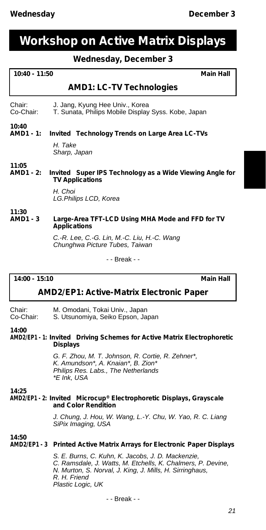# **Workshop on Active Matrix Displays**

# **Wednesday, December 3**

| $10:40 - 11:50$                          | <b>Main Hall</b>                                                                           |
|------------------------------------------|--------------------------------------------------------------------------------------------|
|                                          |                                                                                            |
|                                          | <b>AMD1: LC-TV Technologies</b>                                                            |
| Chair:<br>Co-Chair:                      | J. Jang, Kyung Hee Univ., Korea<br>T. Sunata, Philips Mobile Display Syss. Kobe, Japan     |
| 10:40<br>AMD1 - 1:                       | Invited Technology Trends on Large Area LC-TVs                                             |
|                                          | H. Take<br>Sharp, Japan                                                                    |
| 11:05<br><b>AMD1 - 2:</b>                | <i>Invited</i> Super IPS Technology as a Wide Viewing Angle for<br><b>TV Applications</b>  |
|                                          | H. Choi<br>LG.Philips LCD, Korea                                                           |
| 11:30<br><b>AMD1 - 3</b>                 | Large-Area TFT-LCD Using MHA Mode and FFD for TV<br><b>Applications</b>                    |
|                                          | C.-R. Lee, C.-G. Lin, M.-C. Liu, H.-C. Wang<br>Chunghwa Picture Tubes, Taiwan              |
|                                          | - - Break - -                                                                              |
| $14:00 - 15:10$<br><b>Main Hall</b>      |                                                                                            |
| AMD2/EP1: Active-Matrix Electronic Paper |                                                                                            |
| Chair:<br>Co-Chair:                      | M. Omodani, Tokai Univ., Japan<br>S. Utsunomiya, Seiko Epson, Japan                        |
| 14:00                                    | AMD2/EP1 - 1: Invited Driving Schemes for Active Matrix Electrophoretic<br><b>Displays</b> |

*G. F. Zhou, M. T. Johnson, R. Cortie, R. Zehner\*, K. Amundson\*, A. Knaian\*, B. Zion\* Philips Res. Labs., The Netherlands \*E Ink, USA*

**14:25**

# **AMD2/EP1 - 2:** *Invited* **Microcup® Electrophoretic Displays, Grayscale and Color Rendition**

*J. Chung, J. Hou, W. Wang, L.-Y. Chu, W. Yao, R. C. Liang SiPix Imaging, USA*

**14:50**

**AMD2/EP1 - 3 Printed Active Matrix Arrays for Electronic Paper Displays**

*S. E. Burns, C. Kuhn, K. Jacobs, J. D. Mackenzie, C. Ramsdale, J. Watts, M. Etchells, K. Chalmers, P. Devine, N. Murton, S. Norval, J. King, J. Mills, H. Sirringhaus, R. H. Friend Plastic Logic, UK*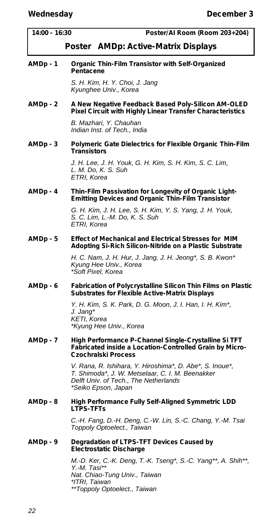| 14:00 - 16:30 | Poster/AI Room (Room 203+204)                                                                                                                                                |
|---------------|------------------------------------------------------------------------------------------------------------------------------------------------------------------------------|
|               | <i>Poster</i> AMDp: Active-Matrix Displays                                                                                                                                   |
| AMDp - 1      | Organic Thin-Film Transistor with Self-Organized<br>Pentacene                                                                                                                |
|               | S. H. Kim, H. Y. Choi, J. Jang<br>Kyunghee Univ., Korea                                                                                                                      |
| AMDp - 2      | A New Negative Feedback Based Poly-Silicon AM-OLED<br>Pixel Circuit with Highly Linear Transfer Characteristics                                                              |
|               | B. Mazhari, Y. Chauhan<br>Indian Inst. of Tech., India                                                                                                                       |
| AMDp - 3      | Polymeric Gate Dielectrics for Flexible Organic Thin-Film<br>Transistors                                                                                                     |
|               | J. H. Lee, J. H. Youk, G. H. Kim, S. H. Kim, S. C. Lim,<br>L. M. Do, K. S. Suh<br>ETRI, Korea                                                                                |
| AMDp - 4      | Thin-Film Passivation for Longevity of Organic Light-<br><b>Emitting Devices and Organic Thin-Film Transistor</b>                                                            |
|               | G. H. Kim, J. H. Lee, S. H. Kim, Y. S. Yang, J. H. Youk,<br>S. C. Lim, L.-M. Do, K. S. Suh<br>ETRI, Korea                                                                    |
| AMDp - 5      | <b>Effect of Mechanical and Electrical Stresses for MIM</b><br>Adopting Si-Rich Silicon-Nitride on a Plastic Substrate                                                       |
|               | H. C. Nam, J. H. Hur, J. Jang, J. H. Jeong*, S. B. Kwon*<br>Kyung Hee Univ., Korea<br>*Soft Pixel, Korea                                                                     |
| AMDp - 6      | Fabrication of Polycrystalline Silicon Thin Films on Plastic<br><b>Substrates for Flexible Active-Matrix Displays</b>                                                        |
|               | Y. H. Kim, S. K. Park, D. G. Moon, J. I. Han, I. H. Kim*,<br>J. Jang*<br>KETI, Korea<br>*Kyung Hee Univ., Korea                                                              |
| AMDp - 7      | High Performance P-Channel Single-Crystalline Si TFT<br>Fabricated inside a Location-Controlled Grain by Micro-<br>Czochralski Process                                       |
|               | V. Rana, R. Ishihara, Y. Hiroshima*, D. Abe*, S. Inoue*,<br>T. Shimoda*, J. W. Metselaar, C. I. M. Beenakker<br>Delft Univ. of Tech., The Netherlands<br>*Seiko Epson, Japan |
| AMDp - 8      | High Performance Fully Self-Aligned Symmetric LDD<br><b>LTPS-TFTs</b>                                                                                                        |
|               | C.-H. Fang, D.-H. Deng, C.-W. Lin, S.-C. Chang, Y.-M. Tsai<br>Toppoly Optoelect., Taiwan                                                                                     |
| AMDp - 9      | Degradation of LTPS-TFT Devices Caused by<br>Electrostatic Discharge                                                                                                         |
|               | M.-D. Ker, C.-K. Deng, T.-K. Tseng*, S.-C. Yang**, A. Shih**,<br>Y.-M. Tasi**<br>Nat. Chiao-Tung Univ., Taiwan<br>*ITRI, Taiwan<br>**Toppoly Optoelect., Taiwan              |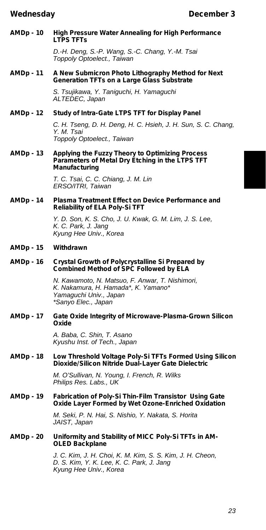## **AMDp - 10 High Pressure Water Annealing for High Performance LTPS TFTs**

*D.-H. Deng, S.-P. Wang, S.-C. Chang, Y.-M. Tsai Toppoly Optoelect., Taiwan*

# **AMDp - 11 A New Submicron Photo Lithography Method for Next Generation TFTs on a Large Glass Substrate**

*S. Tsujikawa, Y. Taniguchi, H. Yamaguchi ALTEDEC, Japan*

# **AMDp - 12 Study of Intra-Gate LTPS TFT for Display Panel**

*C. H. Tseng, D. H. Deng, H. C. Hsieh, J. H. Sun, S. C. Chang, Y. M. Tsai Toppoly Optoelect., Taiwan*

### **AMDp - 13 Applying the Fuzzy Theory to Optimizing Process Parameters of Metal Dry Etching in the LTPS TFT Manufacturing**

*T. C. Tsai, C. C. Chiang, J. M. Lin ERSO/ITRI, Taiwan*

## **AMDp - 14 Plasma Treatment Effect on Device Performance and Reliability of ELA Poly-Si TFT**

*Y. D. Son, K. S. Cho, J. U. Kwak, G. M. Lim, J. S. Lee, K. C. Park, J. Jang Kyung Hee Univ., Korea*

# **AMDp - 15 Withdrawn**

## **AMDp - 16 Crystal Growth of Polycrystalline Si Prepared by Combined Method of SPC Followed by ELA**

*N. Kawamoto, N. Matsuo, F. Anwar, T. Nishimori, K. Nakamura, H. Hamada\*, K. Yamano\* Yamaguchi Univ., Japan \*Sanyo Elec., Japan*

## **AMDp - 17 Gate Oxide Integrity of Microwave-Plasma-Grown Silicon Oxide**

*A. Baba, C. Shin, T. Asano Kyushu Inst. of Tech., Japan*

## **AMDp - 18 Low Threshold Voltage Poly-Si TFTs Formed Using Silicon Dioxide/Silicon Nitride Dual-Layer Gate Dielectric**

*M. O'Sullivan, N. Young, I. French, R. Wilks Philips Res. Labs., UK*

# **AMDp - 19 Fabrication of Poly-Si Thin-Film Transistor Using Gate Oxide Layer Formed by Wet Ozone-Enriched Oxidation**

*M. Seki, P. N. Hai, S. Nishio, Y. Nakata, S. Horita JAIST, Japan*

# **AMDp - 20 Uniformity and Stability of MICC Poly-Si TFTs in AM-OLED Backplane**

*J. C. Kim, J. H. Choi, K. M. Kim, S. S. Kim, J. H. Cheon, D. S. Kim, Y. K. Lee, K. C. Park, J. Jang Kyung Hee Univ., Korea*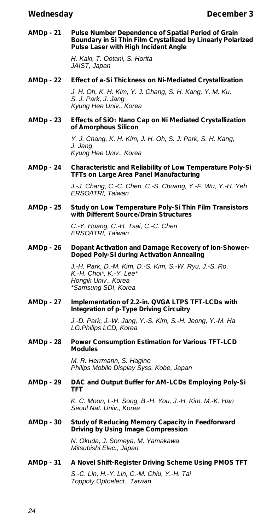**AMDp - 21 Pulse Number Dependence of Spatial Period of Grain Boundary in Si Thin Film Crystallized by Linearly Polarized Pulse Laser with High Incident Angle**

> *H. Kaki, T. Ootani, S. Horita JAIST, Japan*

**AMDp - 22 Effect of a-Si Thickness on Ni-Mediated Crystallization**

*J. H. Oh, K. H. Kim, Y. J. Chang, S. H. Kang, Y. M. Ku, S. J. Park, J. Jang Kyung Hee Univ., Korea*

**AMDp - 23 Effects of SiO<sup>2</sup> Nano Cap on Ni Mediated Crystallization of Amorphous Silicon**

> *Y. J. Chang, K. H. Kim, J. H. Oh, S. J. Park, S. H. Kang, J. Jang Kyung Hee Univ., Korea*

**AMDp - 24 Characteristic and Reliability of Low Temperature Poly-Si TFTs on Large Area Panel Manufacturing**

> *J.-J. Chang, C.-C. Chen, C.-S. Chuang, Y.-F. Wu, Y.-H. Yeh ERSO/ITRI, Taiwan*

**AMDp - 25 Study on Low Temperature Poly-Si Thin Film Transistors with Different Source/Drain Structures**

> *C.-Y. Huang, C.-H. Tsai, C.-C. Chen ERSO/ITRI, Taiwan*

**AMDp - 26 Dopant Activation and Damage Recovery of Ion-Shower-Doped Poly-Si during Activation Annealing**

> *J.-H. Park, D.-M. Kim, D.-S. Kim, S.-W. Ryu, J.-S. Ro, K.-H. Choi\*, K.-Y. Lee\* Hongik Univ., Korea \*Samsung SDI, Korea*

**AMDp - 27 Implementation of 2.2-in. QVGA LTPS TFT-LCDs with Integration of p-Type Driving Circuitry**

> *J.-D. Park, J.-W. Jang, Y.-S. Kim, S.-H. Jeong, Y.-M. Ha LG.Philips LCD, Korea*

**AMDp - 28 Power Consumption Estimation for Various TFT-LCD Modules**

> *M. R. Herrmann, S. Hagino Philips Mobile Display Syss. Kobe, Japan*

**AMDp - 29 DAC and Output Buffer for AM-LCDs Employing Poly-Si TFT**

> *K. C. Moon, I.-H. Song, B.-H. You, J.-H. Kim, M.-K. Han Seoul Nat. Univ., Korea*

**AMDp - 30 Study of Reducing Memory Capacity in Feedforward Driving by Using Image Compression**

> *N. Okuda, J. Someya, M. Yamakawa Mitsubishi Elec., Japan*

**AMDp - 31 A Novel Shift-Register Driving Scheme Using PMOS TFT**

*S.-C. Lin, H.-Y. Lin, C.-M. Chiu, Y.-H. Tai Toppoly Optoelect., Taiwan*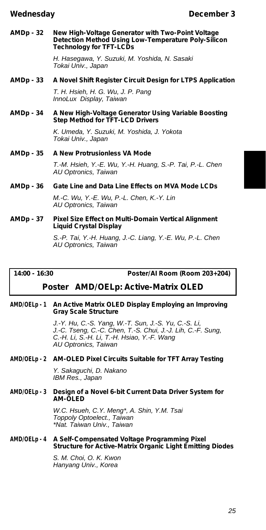**AMDp - 32 New High-Voltage Generator with Two-Point Voltage Detection Method Using Low-Temperature Poly-Silicon Technology for TFT-LCDs**

> *H. Hasegawa, Y. Suzuki, M. Yoshida, N. Sasaki Tokai Univ., Japan*

# **AMDp - 33 A Novel Shift Register Circuit Design for LTPS Application**

*T. H. Hsieh, H. G. Wu, J. P. Pang InnoLux Display, Taiwan*

# **AMDp - 34 A New High-Voltage Generator Using Variable Boosting Step Method for TFT-LCD Drivers**

*K. Umeda, Y. Suzuki, M. Yoshida, J. Yokota Tokai Univ., Japan*

# **AMDp - 35 A New Protrusionless VA Mode**

*T.-M. Hsieh, Y.-E. Wu, Y.-H. Huang, S.-P. Tai, P.-L. Chen AU Optronics, Taiwan*

# **AMDp - 36 Gate Line and Data Line Effects on MVA Mode LCDs**

*M.-C. Wu, Y.-E. Wu, P.-L. Chen, K.-Y. Lin AU Optronics, Taiwan*

# **AMDp - 37 Pixel Size Effect on Multi-Domain Vertical Alignment Liquid Crystal Display**

*S.-P. Tai, Y.-H. Huang, J.-C. Liang, Y.-E. Wu, P.-L. Chen AU Optronics, Taiwan*

**14:00 - 16:30 Poster/AI Room (Room 203+204)**

# *Poster* **AMD/OELp: Active-Matrix OLED**

# **AMD/OELp - 1 An Active Matrix OLED Display Employing an Improving Gray Scale Structure**

*J.-Y. Hu, C.-S. Yang, W.-T. Sun, J.-S. Yu, C.-S. Li, J.-C. Tseng, C.-C. Chen, T.-S. Chui, J.-J. Lih, C.-F. Sung, C.-H. Li, S.-H. Li, T.-H. Hsiao, Y.-F. Wang AU Optronics, Taiwan*

# **AMD/OELp - 2 AM-OLED Pixel Circuits Suitable for TFT Array Testing**

*Y. Sakaguchi, D. Nakano IBM Res., Japan*

## **AMD/OELp - 3 Design of a Novel 6-bit Current Data Driver System for AM-OLED**

*W.C. Hsueh, C.Y. Meng\*, A. Shin, Y.M. Tsai Toppoly Optoelect., Taiwan \*Nat. Taiwan Univ., Taiwan*

# **AMD/OELp - 4 A Self-Compensated Voltage Programming Pixel Structure for Active-Matrix Organic Light Emitting Diodes**

*S. M. Choi, O. K. Kwon Hanyang Univ., Korea*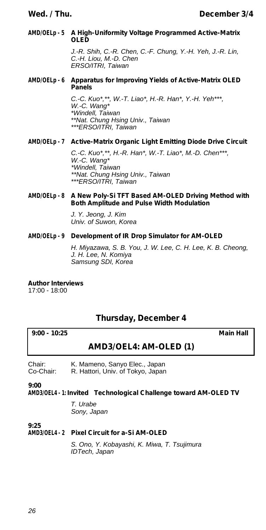# **AMD/OELp - 5 A High-Uniformity Voltage Programmed Active-Matrix OLED**

*J.-R. Shih, C.-R. Chen, C.-F. Chung, Y.-H. Yeh, J.-R. Lin, C.-H. Liou, M.-D. Chen ERSO/ITRI, Taiwan*

# **AMD/OELp - 6 Apparatus for Improving Yields of Active-Matrix OLED Panels**

*C.-C. Kuo\*,\*\*, W.-T. Liao\*, H.-R. Han\*, Y.-H. Yeh\*\*\*, W.-C. Wang\* \*Windell, Taiwan \*\*Nat. Chung Hsing Univ., Taiwan \*\*\*ERSO/ITRI, Taiwan*

# **AMD/OELp - 7 Active-Matrix Organic Light Emitting Diode Drive Circuit**

*C.-C. Kuo\*,\*\*, H.-R. Han\*, W.-T. Liao\*, M.-D. Chen\*\*\*, W.-C. Wang\* \*Windell, Taiwan \*\*Nat. Chung Hsing Univ., Taiwan \*\*\*ERSO/ITRI, Taiwan*

# **AMD/OELp - 8 A New Poly-Si TFT Based AM-OLED Driving Method with Both Amplitude and Pulse Width Modulation**

*J. Y. Jeong, J. Kim Univ. of Suwon, Korea*

# **AMD/OELp - 9 Development of IR Drop Simulator for AM-OLED**

*H. Miyazawa, S. B. You, J. W. Lee, C. H. Lee, K. B. Cheong, J. H. Lee, N. Komiya Samsung SDI, Korea*

**Author Interviews**

17:00 - 18:00

# **Thursday, December 4**

# **9:00 - 10:25 Main Hall**

# **AMD3/OEL4: AM-OLED (1)**

Chair: K. Mameno, Sanyo Elec., Japan<br>Co-Chair: R. Hattori. Univ. of Tokyo. Japan R. Hattori, Univ. of Tokyo, Japan

**9:00**

**AMD3/OEL4 - 1:** *Invited* **Technological Challenge toward AM-OLED TV**

*T. Urabe Sony, Japan*

**9:25**

# **AMD3/OEL4 - 2 Pixel Circuit for a-Si AM-OLED**

*S. Ono, Y. Kobayashi, K. Miwa, T. Tsujimura IDTech, Japan*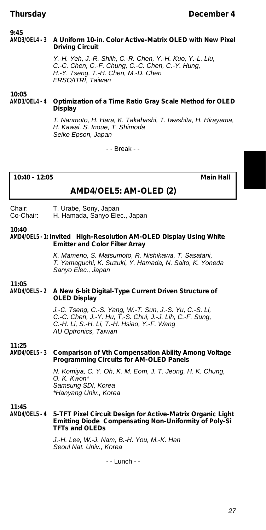## **9:45<br>AMD3/OFI 4 - 3 AMD3/OEL4 - 3 A Uniform 10-in. Color Active-Matrix OLED with New Pixel Driving Circuit**

*Y.-H. Yeh, J.-R. Shilh, C.-R. Chen, Y.-H. Kuo, Y.-L. Liu, C.-C. Chen, C.-F. Chung, C.-C. Chen, C.-Y. Hung, H.-Y. Tseng, T.-H. Chen, M.-D. Chen ERSO/ITRI, Taiwan*

# **10:05 AMD3/OEL4 - 4 Optimization of a Time Ratio Gray Scale Method for OLED Display**

*T. Nanmoto, H. Hara, K. Takahashi, T. Iwashita, H. Hirayama, H. Kawai, S. Inoue, T. Shimoda Seiko Epson, Japan*

- - Break - -

# **10:40 - 12:05 Main Hall**

# **AMD4/OEL5: AM-OLED (2)**

### Chair: T. Urabe, Sony, Japan<br>Co-Chair: H. Hamada, Sanyo Ele H. Hamada, Sanyo Elec., Japan

## **10:40**

### **AMD4/OEL5 - 1:** *Invited* **High-Resolution AM-OLED Display Using White Emitter and Color Filter Array**

*K. Mameno, S. Matsumoto, R. Nishikawa, T. Sasatani, T. Yamaguchi, K. Suzuki, Y. Hamada, N. Saito, K. Yoneda Sanyo Elec., Japan*

### **11:05 AMD4/OEL5 - 2 A New 6-bit Digital-Type Current Driven Structure of OLED Display**

*J.-C. Tseng, C.-S. Yang, W.-T. Sun, J.-S. Yu, C.-S. Li, C.-C. Chen, J.-Y. Hu, T,-S. Chui, J.-J. Lih, C.-F. Sung, C.-H. Li, S.-H. Li, T.-H. Hsiao, Y.-F. Wang AU Optronics, Taiwan*

# **11:25 Comparison of Vth Compensation Ability Among Voltage Programming Circuits for AM-OLED Panels**

*N. Komiya, C. Y. Oh, K. M. Eom, J. T. Jeong, H. K. Chung, O. K. Kwon\* Samsung SDI, Korea \*Hanyang Univ., Korea*

### **11:45 AMD4/OEL5 - 4 5-TFT Pixel Circuit Design for Active-Matrix Organic Light Emitting Diode Compensating Non-Uniformity of Poly-Si TFTs and OLEDs**

*J.-H. Lee, W.-J. Nam, B.-H. You, M.-K. Han Seoul Nat. Univ., Korea*

- - Lunch - -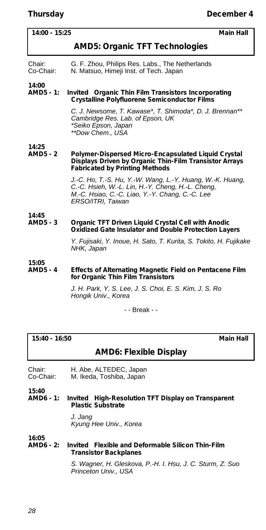| 14:00 - 15:25            | <b>Main Hall</b>                                                                                                                                                                       |
|--------------------------|----------------------------------------------------------------------------------------------------------------------------------------------------------------------------------------|
|                          | <b>AMD5: Organic TFT Technologies</b>                                                                                                                                                  |
| Chair:<br>Co-Chair:      | G. F. Zhou, Philips Res. Labs., The Netherlands<br>N. Matsuo, Himeji Inst. of Tech. Japan                                                                                              |
| 14:00<br>AMD5 - 1:       | Invited Organic Thin Film Transistors Incorporating<br><b>Crystalline Polyfluorene Semiconductor Films</b>                                                                             |
|                          | C. J. Newsome, T. Kawase*, T. Shimoda*, D. J. Brennan**<br>Cambridge Res. Lab. of Epson, UK<br>*Seiko Epson, Japan<br>**Dow Chem., USA                                                 |
| 14:25<br><b>AMD5 - 2</b> | Polymer-Dispersed Micro-Encapsulated Liquid Crystal<br>Displays Driven by Organic Thin-Film Transistor Arrays<br><b>Fabricated by Printing Methods</b>                                 |
|                          | J.-C. Ho, T.-S. Hu, Y.-W. Wang, L.-Y. Huang, W.-K. Huang,<br>C.-C. Hsieh, W.-L. Lin, H.-Y. Cheng, H.-L. Cheng,<br>M.-C. Hsiao, C.-C. Liao, Y.-Y. Chang, C.-C. Lee<br>ERSO/ITRI, Taiwan |
| 14:45                    |                                                                                                                                                                                        |
| AMD5 - 3                 | Organic TFT Driven Liquid Crystal Cell with Anodic<br>Oxidized Gate Insulator and Double Protection Layers                                                                             |
|                          | Y. Fujisaki, Y. Inoue, H. Sato, T. Kurita, S. Tokito, H. Fujikake<br>NHK, Japan                                                                                                        |
| 15:05<br><b>AMD5 - 4</b> | Effects of Alternating Magnetic Field on Pentacene Film<br>for Organic Thin Film Transistors                                                                                           |
|                          | J. H. Park, Y. S. Lee, J. S. Choi, E. S. Kim, J. S. Ro<br>Hongik Univ., Korea                                                                                                          |
|                          | - - Break - -                                                                                                                                                                          |
|                          |                                                                                                                                                                                        |

# **15:40 - 16:50 Main Hall**

# **AMD6: Flexible Display**

Chair: H. Abe, ALTEDEC, Japan<br>Co-Chair: M. Ikeda, Toshiba, Japan M. Ikeda, Toshiba, Japan

**15:40** *Invited* High-Resolution TFT Display on Transparent **Plastic Substrate**

> *J. Jang Kyung Hee Univ., Korea*

**16:05 AMD6 - 2:** *Invited* **Flexible and Deformable Silicon Thin-Film Transistor Backplanes**

> *S. Wagner, H. Gleskova, P.-H. I. Hsu, J. C. Sturm, Z. Suo Princeton Univ., USA*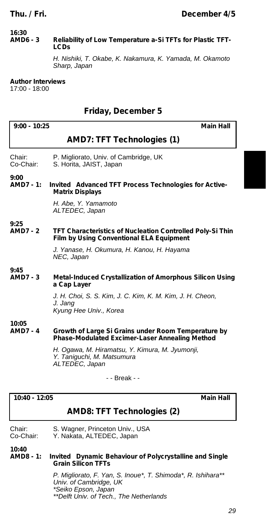### **16:30 Reliability of Low Temperature a-Si TFTs for Plastic TFT-LCDs**

*H. Nishiki, T. Okabe, K. Nakamura, K. Yamada, M. Okamoto Sharp, Japan*

# **Author Interviews**

17:00 - 18:00

# **Friday, December 5**

| $9:00 - 10:25$          | <b>Main Hall</b>                                                                                                    |
|-------------------------|---------------------------------------------------------------------------------------------------------------------|
|                         | <b>AMD7: TFT Technologies (1)</b>                                                                                   |
| Chair:<br>Co-Chair:     | P. Migliorato, Univ. of Cambridge, UK<br>S. Horita, JAIST, Japan                                                    |
| 9:00<br>AMD7 - 1:       | Invited Advanced TFT Process Technologies for Active-<br><b>Matrix Displays</b>                                     |
|                         | H. Abe, Y. Yamamoto<br>ALTEDEC, Japan                                                                               |
| 9:25<br><b>AMD7 - 2</b> | <b>TFT Characteristics of Nucleation Controlled Poly-Si Thin</b><br><b>Film by Using Conventional ELA Equipment</b> |
|                         | J. Yanase, H. Okumura, H. Kanou, H. Hayama<br>NEC, Japan                                                            |
| 9:45<br><b>AMD7 - 3</b> | Metal-Induced Crystallization of Amorphous Silicon Using<br>a Cap Layer                                             |
|                         | J. H. Choi, S. S. Kim, J. C. Kim, K. M. Kim, J. H. Cheon,<br>J. Janq<br>Kyung Hee Univ., Korea                      |
| 10:05<br><b>AMD7-4</b>  | Growth of Large Si Grains under Room Temperature by<br>Phase-Modulated Excimer-Laser Annealing Method               |
|                         | H. Ogawa, M. Hiramatsu, Y. Kimura, M. Jyumonji,<br>Y. Taniguchi, M. Matsumura<br>ALTEDEC, Japan                     |
|                         | - - Break - -                                                                                                       |

# **10:40 - 12:05 Main Hall**

# **AMD8: TFT Technologies (2)**

Chair: S. Wagner, Princeton Univ., USA Co-Chair: Y. Nakata, ALTEDEC, Japan

**10:40**

# **AMD8 - 1:** *Invited* **Dynamic Behaviour of Polycrystalline and Single Grain Silicon TFTs**

*P. Migliorato, F. Yan, S. Inoue\*, T. Shimoda\*, R. Ishihara\*\* Univ. of Cambridge, UK \*Seiko Epson, Japan \*\*Delft Univ. of Tech., The Netherlands*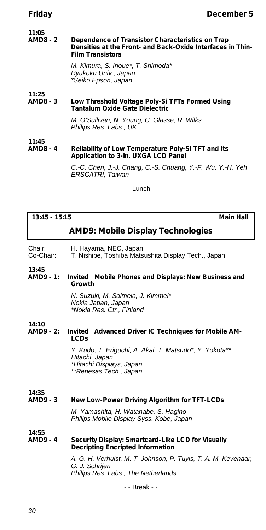### **11:05 Dependence of Transistor Characteristics on Trap Densities at the Front- and Back-Oxide Interfaces in Thin-Film Transistors**

*M. Kimura, S. Inoue\*, T. Shimoda\* Ryukoku Univ., Japan \*Seiko Epson, Japan*

# **11:25** Low Threshold Voltage Poly-Si TFTs Formed Using **Tantalum Oxide Gate Dielectric**

*M. O'Sullivan, N. Young, C. Glasse, R. Wilks Philips Res. Labs., UK*

### **11:45 Reliability of Low Temperature Poly-Si TFT and Its Application to 3-in. UXGA LCD Panel**

*C.-C. Chen, J.-J. Chang, C.-S. Chuang, Y.-F. Wu, Y.-H. Yeh ERSO/ITRI, Taiwan*

- - Lunch - -

# **13:45 - 15:15 Main Hall**

# **AMD9: Mobile Display Technologies**

Chair: H. Hayama, NEC, Japan

T. Nishibe, Toshiba Matsushita Display Tech., Japan

### **13:45** *Invited* Mobile Phones and Displays: New Business and **Growth**

*N. Suzuki, M. Salmela, J. Kimmel\* Nokia Japan, Japan \*Nokia Res. Ctr., Finland*

**14:10** *Invited* Advanced Driver IC Techniques for Mobile AM-**LCDs**

> *Y. Kudo, T. Eriguchi, A. Akai, T. Matsudo\*, Y. Yokota\*\* Hitachi, Japan \*Hitachi Displays, Japan \*\*Renesas Tech., Japan*

# **14:35 New Low-Power Driving Algorithm for TFT-LCDs**

*M. Yamashita, H. Watanabe, S. Hagino Philips Mobile Display Syss. Kobe, Japan*

## **14:55 Security Display: Smartcard-Like LCD for Visually Decripting Encripted Information**

*A. G. H. Verhulst, M. T. Johnson, P. Tuyls, T. A. M. Kevenaar, G. J. Schrijen Philips Res. Labs., The Netherlands*

- - Break - -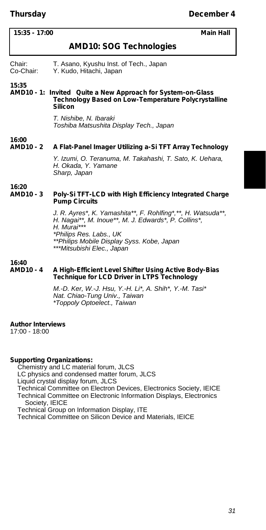| 15:35 - 17:00<br><b>Main Hall</b> |                                                                                                                                                                                                                                            |  |  |
|-----------------------------------|--------------------------------------------------------------------------------------------------------------------------------------------------------------------------------------------------------------------------------------------|--|--|
|                                   | <b>AMD10: SOG Technologies</b>                                                                                                                                                                                                             |  |  |
| Chair:<br>Co-Chair:               | T. Asano, Kyushu Inst. of Tech., Japan<br>Y. Kudo, Hitachi, Japan                                                                                                                                                                          |  |  |
| 15:35                             | AMD10 - 1: Invited Quite a New Approach for System-on-Glass<br>Technology Based on Low-Temperature Polycrystalline<br>Silicon                                                                                                              |  |  |
|                                   | T. Nishibe, N. Ibaraki<br>Toshiba Matsushita Display Tech., Japan                                                                                                                                                                          |  |  |
| 16:00<br>AMD10 - 2                | A Flat-Panel Imager Utilizing a-Si TFT Array Technology                                                                                                                                                                                    |  |  |
|                                   | Y. Izumi, O. Teranuma, M. Takahashi, T. Sato, K. Uehara,<br>H. Okada, Y. Yamane<br>Sharp, Japan                                                                                                                                            |  |  |
| 16:20<br>AMD10 - 3                | Poly-Si TFT-LCD with High Efficiency Integrated Charge<br><b>Pump Circuits</b>                                                                                                                                                             |  |  |
|                                   | J. R. Ayres*, K. Yamashita**, F. Rohlfing*,**, H. Watsuda**,<br>H. Nagai**, M. Inoue**, M. J. Edwards*, P. Collins*,<br>H. Murai***<br>*Philips Res. Labs., UK<br>**Philips Mobile Display Syss. Kobe, Japan<br>***Mitsubishi Elec., Japan |  |  |
| 16:40<br><b>AMD10 - 4</b>         | A High-Efficient Level Shifter Using Active Body-Bias<br><b>Technique for LCD Driver in LTPS Technology</b>                                                                                                                                |  |  |
|                                   | M.-D. Ker, W.-J. Hsu, Y.-H. Li*, A. Shih*, Y.-M. Tasi*<br>Nat. Chiao-Tung Univ., Taiwan<br>*Toppoly Optoelect., Taiwan                                                                                                                     |  |  |

# **Author Interviews**

17:00 - 18:00

**Supporting Organizations:** Chemistry and LC material forum, JLCS LC physics and condensed matter forum, JLCS Liquid crystal display forum, JLCS Technical Committee on Electron Devices, Electronics Society, IEICE Technical Committee on Electronic Information Displays, Electronics Society, IEICE Technical Group on Information Display, ITE

Technical Committee on Silicon Device and Materials, IEICE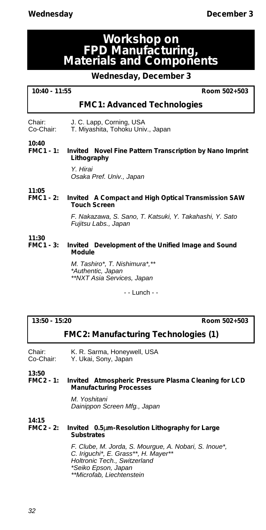# **Workshop on FPD Manufacturing, Materials and Components**

# **Wednesday, December 3**

| 10:40 - 11:55 |  |  |  |
|---------------|--|--|--|
|---------------|--|--|--|

**10:40 - 11:55 Room 502+503**

# **FMC1: Advanced Technologies**

| Chair:    | J. C. Lapp, Corning, USA          |
|-----------|-----------------------------------|
| Co-Chair: | T. Miyashita, Tohoku Univ., Japan |

### **10:40 Invited** Novel Fine Pattern Transcription by Nano Imprint **Lithography**

*Y. Hirai Osaka Pref. Univ., Japan*

**11:05 Invited** A Compact and High Optical Transmission SAW **Touch Screen**

> *F. Nakazawa, S. Sano, T. Katsuki, Y. Takahashi, Y. Sato Fujitsu Labs., Japan*

**11:30 Invited** Development of the Unified Image and Sound **Module**

> *M. Tashiro\*, T. Nishimura\*,\*\* \*Authentic, Japan \*\*NXT Asia Services, Japan*

> > - - Lunch - -

**13:50 - 15:20 Room 502+503**

# **FMC2: Manufacturing Technologies (1)**

Chair: K. R. Sarma, Honeywell, USA<br>Co-Chair: Y. Ukai, Sony, Japan Y. Ukai, Sony, Japan

**13:50**

## **FMC2 - 1:** *Invited* **Atmospheric Pressure Plasma Cleaning for LCD Manufacturing Processes**

*M. Yoshitani Dainippon Screen Mfg., Japan*

**14:15**

# **FMC2 - 2:** *Invited* **0.5**μ**m-Resolution Lithography for Large Substrates**

*F. Clube, M. Jorda, S. Mourgue, A. Nobari, S. Inoue\*, C. Iriguchi\*, E. Grass\*\*, H. Mayer\*\* Holtronic Tech., Switzerland \*Seiko Epson, Japan \*\*Microfab, Liechtenstein*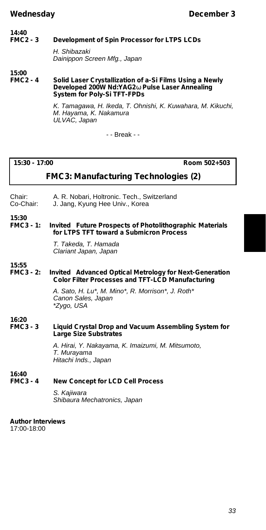## **14:40 Development of Spin Processor for LTPS LCDs**

*H. Shibazaki Dainippon Screen Mfg., Japan*

**15:00**

## **Solid Laser Crystallization of a-Si Films Using a Newly Developed 200W Nd:YAG2 Pulse Laser Annealing System for Poly-Si TFT-FPDs**

*K. Tamagawa, H. Ikeda, T. Ohnishi, K. Kuwahara, M. Kikuchi, M. Hayama, K. Nakamura ULVAC, Japan*

- - Break - -

**15:30 - 17:00 Room 502+503**

# **FMC3: Manufacturing Technologies (2)**

- Chair: A. R. Nobari, Holtronic. Tech., Switzerland<br>Co-Chair: J. Jang. Kyung Hee Univ.. Korea
- J. Jang, Kyung Hee Univ., Korea

**15:30 Invited** Future Prospects of Photolithographic Materials **for LTPS TFT toward a Submicron Process**

> *T. Takeda, T. Hamada Clariant Japan, Japan*

**15:55 Invited** Advanced Optical Metrology for Next-Generation **Color Filter Processes and TFT-LCD Manufacturing**

> *A. Sato, H. Lu\*, M. Mino\*, R. Morrison\*, J. Roth\* Canon Sales, Japan \*Zygo, USA*

**16:20**

**16:40**

**Liquid Crystal Drop and Vacuum Assembling System for Large Size Substrates**

> *A. Hirai, Y. Nakayama, K. Imaizumi, M. Mitsumoto, T. Murayama Hitachi Inds., Japan*

# **FMC3 - 4 New Concept for LCD Cell Process**

*S. Kajiwara Shibaura Mechatronics, Japan*

**Author Interviews** 17:00-18:00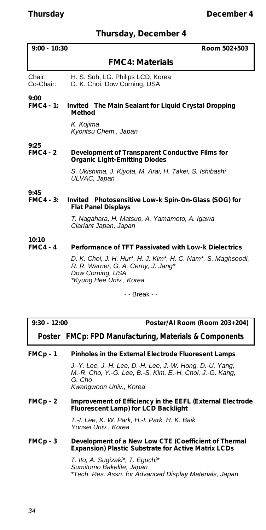# **Thursday, December 4**

| $9:00 - 10:30$           | Room 502+503                                                                                                                                        |
|--------------------------|-----------------------------------------------------------------------------------------------------------------------------------------------------|
|                          | <b>FMC4: Materials</b>                                                                                                                              |
| Chair:<br>Co-Chair:      | H. S. Soh, LG. Philips LCD, Korea<br>D. K. Choi, Dow Corning, USA                                                                                   |
| 9:00<br><b>FMC4 - 1:</b> | <i>Invited</i> The Main Sealant for Liquid Crystal Dropping<br>Method                                                                               |
|                          | K. Kojima<br>Kyoritsu Chem., Japan                                                                                                                  |
| 9:25<br><b>FMC4 - 2</b>  | Development of Transparent Conductive Films for<br><b>Organic Light-Emitting Diodes</b>                                                             |
|                          | S. Ukishima, J. Kiyota, M. Arai, H. Takei, S. Ishibashi<br>ULVAC, Japan                                                                             |
| 9:45                     |                                                                                                                                                     |
| <b>FMC4 - 3:</b>         | Invited Photosensitive Low-k Spin-On-Glass (SOG) for<br><b>Flat Panel Displays</b>                                                                  |
|                          | T. Nagahara, H. Matsuo, A. Yamamoto, A. Igawa<br>Clariant Japan, Japan                                                                              |
| 10:10<br><b>FMC4 - 4</b> | Performance of TFT Passivated with Low-k Dielectrics                                                                                                |
|                          | D. K. Choi, J. H. Hur*, H. J. Kim*, H. C. Nam*, S. Maghsoodi,<br>R. R. Warner, G. A. Cerny, J. Jang*<br>Dow Corning, USA<br>*Kyung Hee Univ., Korea |
|                          | - - Break - -                                                                                                                                       |

| $9:30 - 12:00$ | Poster/AI Room (Room 203+204)                          |
|----------------|--------------------------------------------------------|
|                | Poster FMCp: FPD Manufacturing, Materials & Components |

| FMCp - 1 | Pinholes in the External Electrode Fluoresent Lamps |
|----------|-----------------------------------------------------|
|----------|-----------------------------------------------------|

*J.-Y. Lee, J.-H. Lee, D.-H. Lee, J.-W. Hong, D.-U. Yang, M.-R. Cho, Y.-G. Lee, B.-S. Kim, E.-H. Choi, J.-G. Kang, G. Cho Kwangwoon Univ., Korea*

**FMCp - 2 Improvement of Efficiency in the EEFL (External Electrode Fluorescent Lamp) for LCD Backlight**

> *T.-I. Lee, K. W. Park, H.-I. Park, H. K. Baik Yonsei Univ., Korea*

# **FMCp - 3 Development of a New Low CTE (Coefficient of Thermal Expansion) Plastic Substrate for Active Matrix LCDs**

*T. Ito, A. Sugizaki\*, T. Eguchi\* Sumitomo Bakelite, Japan \*Tech. Res. Assn. for Advanced Display Materials, Japan*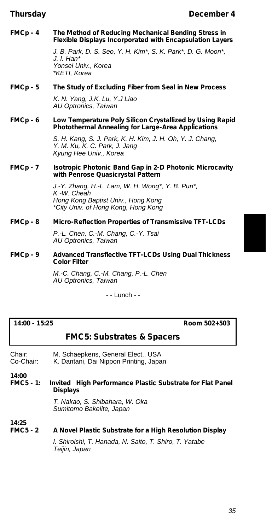**FMCp - 4 The Method of Reducing Mechanical Bending Stress in Flexible Displays Incorporated with Encapsulation Layers**

> *J. B. Park, D. S. Seo, Y. H. Kim\*, S. K. Park\*, D. G. Moon\*, J. I. Han\* Yonsei Univ., Korea \*KETI, Korea*

**FMCp - 5 The Study of Excluding Fiber from Seal in New Process**

*K. N. Yang, J.K. Lu, Y.J Liao AU Optronics, Taiwan*

**FMCp - 6 Low Temperature Poly Silicon Crystallized by Using Rapid Photothermal Annealing for Large-Area Applications**

> *S. H. Kang, S. J. Park, K. H. Kim, J. H. Oh, Y. J. Chang, Y. M. Ku, K. C. Park, J. Jang Kyung Hee Univ., Korea*

**FMCp - 7 Isotropic Photonic Band Gap in 2-D Photonic Microcavity with Penrose Quasicrystal Pattern**

> *J.-Y. Zhang, H.-L. Lam, W. H. Wong\*, Y. B. Pun\*, K.-W. Cheah Hong Kong Baptist Univ., Hong Kong \*City Univ. of Hong Kong, Hong Kong*

**FMCp - 8 Micro-Reflection Properties of Transmissive TFT-LCDs**

*P.-L. Chen, C.-M. Chang, C.-Y. Tsai AU Optronics, Taiwan*

**FMCp - 9 Advanced Transflective TFT-LCDs Using Dual Thickness Color Filter**

> *M.-C. Chang, C.-M. Chang, P.-L. Chen AU Optronics, Taiwan*

> > - - Lunch - -

**14:00 - 15:25 Room 502+503**

# **FMC5: Substrates & Spacers**

Chair: M. Schaepkens, General Elect., USA<br>Co-Chair: K. Dantani. Dai Nippon Printing. Japa K. Dantani, Dai Nippon Printing, Japan

**14:00**

**FMC5 - 1:** *Invited* **High Performance Plastic Substrate for Flat Panel Displays**

> *T. Nakao, S. Shibahara, W. Oka Sumitomo Bakelite, Japan*

**14:25**

**A Novel Plastic Substrate for a High Resolution Display** 

*I. Shiroishi, T. Hanada, N. Saito, T. Shiro, T. Yatabe Teijin, Japan*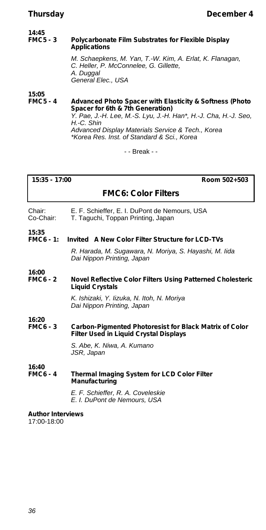# **14:45**

### **Polycarbonate Film Substrates for Flexible Display Applications**

*M. Schaepkens, M. Yan, T.-W. Kim, A. Erlat, K. Flanagan, C. Heller, P. McConnelee, G. Gillette, A. Duggal General Elec., USA*

**15:05**

**FMC5 - 4 Advanced Photo Spacer with Elasticity & Softness (Photo Spacer for 6th & 7th Generation)** *Y. Pae, J.-H. Lee, M.-S. Lyu, J.-H. Han\*, H.-J. Cha, H.-J. Seo, H.-C. Shin Advanced Display Materials Service & Tech., Korea \*Korea Res. Inst. of Standard & Sci., Korea*

- - Break - -

**15:35 - 17:00 Room 502+503**

**FMC6: Color Filters**

- Chair: E. F. Schieffer, E. I. DuPont de Nemours, USA<br>Co-Chair: T. Taguchi. Toppan Printing, Japan T. Taguchi, Toppan Printing, Japan
- 
- **15:35 FINCTED 4: Invited** A New Color Filter Structure for LCD-TVs

*R. Harada, M. Sugawara, N. Moriya, S. Hayashi, M. Iida Dai Nippon Printing, Japan*

#### **16:00 Novel Reflective Color Filters Using Patterned Cholesteric Liquid Crystals**

*K. Ishizaki, Y. Iizuka, N. Itoh, N. Moriya Dai Nippon Printing, Japan*

#### **16:20 Carbon-Pigmented Photoresist for Black Matrix of Color Filter Used in Liquid Crystal Displays**

*S. Abe, K. Niwa, A. Kumano JSR, Japan*

**16:40 Thermal Imaging System for LCD Color Filter Manufacturing**

> *E. F. Schieffer, R. A. Coveleskie E. I. DuPont de Nemours, USA*

#### **Author Interviews**

17:00-18:00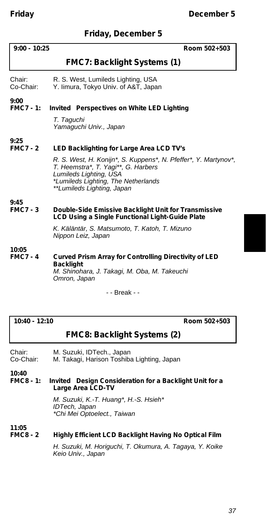### **Friday, December 5**

| $9:00 - 10:25$           | Room 502+503                                                                                                                                                                                                                                      |
|--------------------------|---------------------------------------------------------------------------------------------------------------------------------------------------------------------------------------------------------------------------------------------------|
|                          | FMC7: Backlight Systems (1)                                                                                                                                                                                                                       |
| Chair:<br>Co-Chair:      | R. S. West, Lumileds Lighting, USA<br>Y. limura, Tokyo Univ. of A&T, Japan                                                                                                                                                                        |
| 9:00<br><b>FMC7 - 1:</b> | Invited Perspectives on White LED Lighting<br>T. Taquchi<br>Yamaquchi Univ., Japan                                                                                                                                                                |
| 9:25<br><b>FMC7-2</b>    | LED Backlighting for Large Area LCD TV's<br>R. S. West, H. Konijn*, S. Kuppens*, N. Pfeffer*, Y. Martynov*,<br>T. Heemstra*, T. Yagi**, G. Harbers<br>Lumileds Lighting, USA<br>*Lumileds Lighting, The Netherlands<br>**Lumileds Lighting, Japan |
| 9:45<br><b>FMC7 - 3</b>  | Double-Side Emissive Backlight Unit for Transmissive<br>LCD Using a Single Functional Light-Guide Plate<br>K. Käläntär, S. Matsumoto, T. Katoh, T. Mizuno<br>Nippon Leiz, Japan                                                                   |
| 10:05<br><b>FMC7-4</b>   | Curved Prism Array for Controlling Directivity of LED<br><b>Backlight</b><br>M. Shinohara, J. Takagi, M. Oba, M. Takeuchi<br>Omron, Japan                                                                                                         |

- - Break - -

**10:40 - 12:10 Room 502+503**

### **FMC8: Backlight Systems (2)**

Chair: M. Suzuki, IDTech., Japan<br>Co-Chair: M. Takagi, Harison Toshiba M. Takagi, Harison Toshiba Lighting, Japan

**10:40**

#### **Invited** Design Consideration for a Backlight Unit for a **Large Area LCD-TV**

*M. Suzuki, K.-T. Huang\*, H.-S. Hsieh\* IDTech, Japan \*Chi Mei Optoelect., Taiwan*

#### **11:05 Highly Efficient LCD Backlight Having No Optical Film**

*H. Suzuki, M. Horiguchi, T. Okumura, A. Tagaya, Y. Koike Keio Univ., Japan*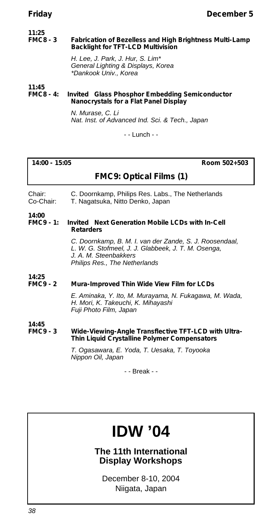#### **11:25 Fabrication of Bezelless and High Brightness Multi-Lamp Backlight for TFT-LCD Multivision**

*H. Lee, J. Park, J. Hur, S. Lim\* General Lighting & Displays, Korea \*Dankook Univ., Korea*

#### **11:45 Invited** Glass Phosphor Embedding Semiconductor **Nanocrystals for a Flat Panel Display**

*N. Murase, C. Li Nat. Inst. of Advanced Ind. Sci. & Tech., Japan*

- - Lunch - -

**14:00 - 15:05 Room 502+503**

### **FMC9: Optical Films (1)**

Chair: C. Doornkamp, Philips Res. Labs., The Netherlands<br>Co-Chair: T. Nagatsuka. Nitto Denko. Japan T. Nagatsuka, Nitto Denko, Japan

#### **14:00** *Invited* Next Generation Mobile LCDs with In-Cell **Retarders**

*C. Doornkamp, B. M. I. van der Zande, S. J. Roosendaal, L. W. G. Stofmeel, J. J. Glabbeek, J. T. M. Osenga, J. A. M. Steenbakkers Philips Res., The Netherlands*

#### **14:25 Mura-Improved Thin Wide View Film for LCDs**

*E. Aminaka, Y. Ito, M. Murayama, N. Fukagawa, M. Wada, H. Mori, K. Takeuchi, K. Mihayashi Fuji Photo Film, Japan*

#### **14:45 Wide-Viewing-Angle Transflective TFT-LCD with Ultra-Thin Liquid Crystalline Polymer Compensators**

*T. Ogasawara, E. Yoda, T. Uesaka, T. Toyooka Nippon Oil, Japan*

- - Break - -

# **IDW '04**

**The 11th International Display Workshops**

December 8-10, 2004 Niigata, Japan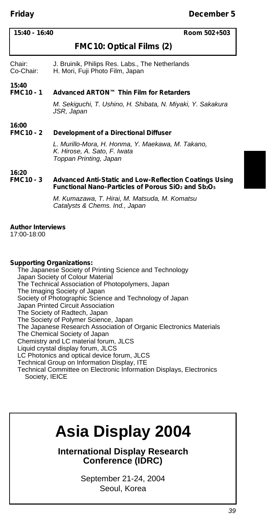| 15:40 - 16:40 |  |
|---------------|--|
|---------------|--|

#### **15:40 - 16:40 Room 502+503**

### **FMC10: Optical Films (2)**

Chair: J. Bruinik, Philips Res. Labs., The Netherlands<br>Co-Chair: H. Mori. Fuii Photo Film. Japan H. Mori, Fuji Photo Film, Japan

#### **15:40 Advanced ARTON™ Thin Film for Retarders**

*M. Sekiguchi, T. Ushino, H. Shibata, N. Miyaki, Y. Sakakura JSR, Japan*

#### **16:00 Development of a Directional Diffuser**

*L. Murillo-Mora, H. Honma, Y. Maekawa, M. Takano, K. Hirose, A. Sato, F. Iwata Toppan Printing, Japan*

#### **16:20 Advanced Anti-Static and Low-Reflection Coatings Using Functional Nano-Particles of Porous SiO<sup>2</sup> and Sb2O<sup>5</sup>**

*M. Kumazawa, T. Hirai, M. Matsuda, M. Komatsu Catalysts & Chems. Ind., Japan*

#### **Author Interviews**

17:00-18:00

#### **Supporting Organizations:**

The Japanese Society of Printing Science and Technology Japan Society of Colour Material The Technical Association of Photopolymers, Japan The Imaging Society of Japan Society of Photographic Science and Technology of Japan Japan Printed Circuit Association The Society of Radtech, Japan The Society of Polymer Science, Japan The Japanese Research Association of Organic Electronics Materials The Chemical Society of Japan Chemistry and LC material forum, JLCS Liquid crystal display forum, JLCS LC Photonics and optical device forum, JLCS Technical Group on Information Display, ITE Technical Committee on Electronic Information Displays, Electronics Society, IEICE

# **Asia Display 2004**

**International Display Research Conference (IDRC)**

> September 21-24, 2004 Seoul, Korea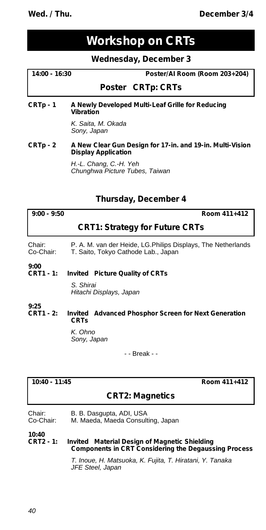**Wed. / Thu. December 3/4** 

## **Workshop on CRTs**

#### **Wednesday, December 3**

#### **14:00 - 16:30 Poster/AI Room (Room 203+204)**

#### *Poster* **CRTp: CRTs**

**CRTp - 1 A Newly Developed Multi-Leaf Grille for Reducing Vibration**

> *K. Saita, M. Okada Sony, Japan*

#### **CRTp - 2 A New Clear Gun Design for 17-in. and 19-in. Multi-Vision Display Application**

*H.-L. Chang, C.-H. Yeh Chunghwa Picture Tubes, Taiwan*

#### **Thursday, December 4**

**9:00 - 9:50 Room 411+412**

#### **CRT1: Strategy for Future CRTs**

Chair: P. A. M. van der Heide, LG.Philips Displays, The Netherlands<br>Co-Chair: T. Saito. Tokyo Cathode Lab., Japan T. Saito, Tokyo Cathode Lab., Japan

#### **9:00 CRT1 - 1:** *Invited* **Picture Quality of CRTs**

*S. Shirai Hitachi Displays, Japan*

#### **9:25 Invited** Advanced Phosphor Screen for Next Generation **CRTs**

*K. Ohno Sony, Japan*

- - Break - -

**10:40 - 11:45 Room 411+412**

#### **CRT2: Magnetics**

| Chair: | B. B. Dasgupta, ADI, USA    |  |
|--------|-----------------------------|--|
|        | $M = M - 1 - M - 1 - M - 1$ |  |

Co-Chair: M. Maeda, Maeda Consulting, Japan

**10:40 Invited** Material Design of Magnetic Shielding **Components in CRT Considering the Degaussing Process**

> *T. Inoue, H. Matsuoka, K. Fujita, T. Hiratani, Y. Tanaka JFE Steel, Japan*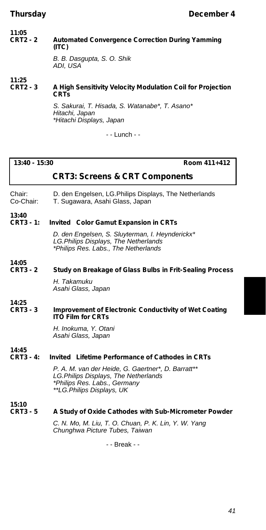#### **11:05 Automated Convergence Correction During Yamming (ITC)**

*B. B. Dasgupta, S. O. Shik ADI, USA*

#### **11:25 A High Sensitivity Velocity Modulation Coil for Projection CRTs**

*S. Sakurai, T. Hisada, S. Watanabe\*, T. Asano\* Hitachi, Japan \*Hitachi Displays, Japan*

- - Lunch - -

#### **13:40 - 15:30 Room 411+412**

### **CRT3: Screens & CRT Components**

Chair: D. den Engelsen, LG.Philips Displays, The Netherlands<br>Co-Chair: T. Sugawara, Asahi Glass, Japan

T. Sugawara, Asahi Glass, Japan

#### **13:40 Invited** Color Gamut Expansion in CRTs

*D. den Engelsen, S. Sluyterman, I. Heynderickx\* LG.Philips Displays, The Netherlands \*Philips Res. Labs., The Netherlands*

## **14:05**

**Study on Breakage of Glass Bulbs in Frit-Sealing Process** 

*H. Takamuku Asahi Glass, Japan*

**14:25 Improvement of Electronic Conductivity of Wet Coating ITO Film for CRTs**

> *H. Inokuma, Y. Otani Asahi Glass, Japan*

#### **14:45 CRT3 - 4:** *Invited* **Lifetime Performance of Cathodes in CRTs**

*P. A. M. van der Heide, G. Gaertner\*, D. Barratt\*\* LG.Philips Displays, The Netherlands \*Philips Res. Labs., Germany \*\*LG.Philips Displays, UK*

**15:10**

#### A Study of Oxide Cathodes with Sub-Micrometer Powder

*C. N. Mo, M. Liu, T. O. Chuan, P. K. Lin, Y. W. Yang Chunghwa Picture Tubes, Taiwan*

- - Break - -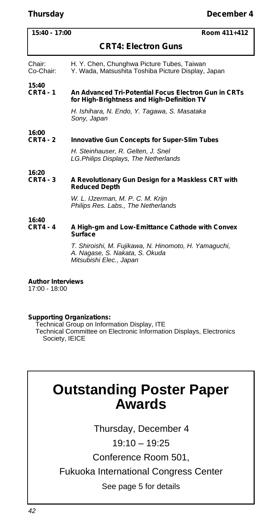#### **15:40 - 17:00 Room 411+412**

### **CRT4: Electron Guns**

- Chair: H. Y. Chen, Chunghwa Picture Tubes, Taiwan<br>Co-Chair: Y. Wada, Matsushita Toshiba Picture Display.
	- Y. Wada, Matsushita Toshiba Picture Display, Japan

#### **15:40 CRT4 - 1 An Advanced Tri-Potential Focus Electron Gun in CRTs for High-Brightness and High-Definition TV**

*H. Ishihara, N. Endo, Y. Tagawa, S. Masataka Sony, Japan*

#### **16:00 Innovative Gun Concepts for Super-Slim Tubes**

*H. Steinhauser, R. Gelten, J. Snel LG.Philips Displays, The Netherlands*

#### **16:20 CRT4 - 3 A Revolutionary Gun Design for a Maskless CRT with Reduced Depth**

*W. L. IJzerman, M. P. C. M. Krijn Philips Res. Labs., The Netherlands*

#### **16:40 A High-gm and Low-Emittance Cathode with Convex Surface**

*T. Shiroishi, M. Fujikawa, N. Hinomoto, H. Yamaguchi, A. Nagase, S. Nakata, S. Okuda Mitsubishi Elec., Japan*

#### **Author Interviews**

17:00 - 18:00

#### **Supporting Organizations:**

Technical Group on Information Display, ITE Technical Committee on Electronic Information Displays, Electronics Society, IEICE

## **Outstanding Poster Paper Awards**

Thursday, December 4

19:10 – 19:25

Conference Room 501,

Fukuoka International Congress Center

See page 5 for details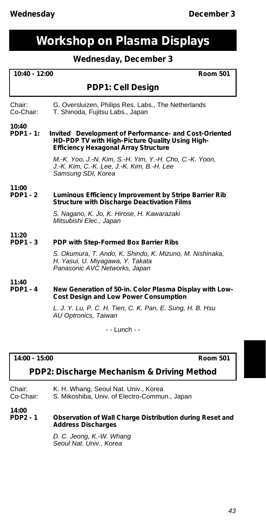## **Workshop on Plasma Displays**

### **Wednesday, December 3**

| 10:40 - 12:00<br><b>Room 501</b> |                                                                                                                                                         |
|----------------------------------|---------------------------------------------------------------------------------------------------------------------------------------------------------|
|                                  | PDP1: Cell Design                                                                                                                                       |
| Chair:<br>Co-Chair:              | G. Oversluizen, Philips Res. Labs., The Netherlands<br>T. Shinoda, Fujitsu Labs., Japan                                                                 |
| 10:40<br>$PDP1 - 1:$             | Invited Development of Performance- and Cost-Oriented<br>HD-PDP TV with High-Picture Quality Using High-<br><b>Efficiency Hexagonal Array Structure</b> |
|                                  | M.-K. Yoo, J.-N. Kim, S.-H. Yim, Y.-H. Cho, C.-K. Yoon,<br>J.-K. Kim, C.-K. Lee, J.-K. Kim, B.-H. Lee<br>Samsung SDI, Korea                             |
| 11:00<br><b>PDP1 - 2</b>         | Luminous Efficiency Improvement by Stripe Barrier Rib<br><b>Structure with Discharge Deactivation Films</b>                                             |
|                                  | S. Nagano, K. Jo, K. Hirose, H. Kawarazaki<br>Mitsubishi Elec., Japan                                                                                   |
| 11:20<br><b>PDP1 - 3</b>         | PDP with Step-Formed Box Barrier Ribs                                                                                                                   |
|                                  | S. Okumura, T. Ando, K. Shindo, K. Mizuno, M. Nishinaka,<br>H. Yasui, U. Miyagawa, Y. Takata<br>Panasonic AVC Networks, Japan                           |
| 11:40<br><b>PDP1 - 4</b>         | New Generation of 50-in. Color Plasma Display with Low-<br><b>Cost Design and Low Power Consumption</b>                                                 |
|                                  | L. J. Y. Lu, P. C. H. Tien, C. K. Pan, E. Sung, H. B. Hsu<br>AU Optronics, Taiwan                                                                       |
|                                  | - - Lunch - -                                                                                                                                           |

#### **14:00 - 15:00 Room 501**

### **PDP2: Discharge Mechanism & Driving Method**

| Chair:    | K. H. Whang, Seoul Nat. Univ., Korea          |
|-----------|-----------------------------------------------|
| Co-Chair: | S. Mikoshiba, Univ. of Electro-Commun., Japan |

**14:00**

#### **Observation of Wall Charge Distribution during Reset and Address Discharges**

*D. C. Jeong, K.-W. Whang Seoul Nat. Univ., Korea*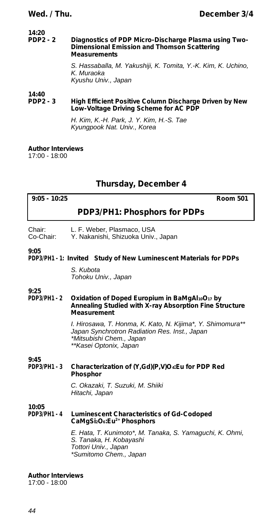# **14:20**

#### **Diagnostics of PDP Micro-Discharge Plasma using Two-Dimensional Emission and Thomson Scattering Measurements**

*S. Hassaballa, M. Yakushiji, K. Tomita, Y.-K. Kim, K. Uchino, K. Muraoka Kyushu Univ., Japan*

#### **14:40 High Efficient Positive Column Discharge Driven by New Low-Voltage Driving Scheme for AC PDP**

*H. Kim, K.-H. Park, J. Y. Kim, H.-S. Tae Kyungpook Nat. Univ., Korea*

#### **Author Interviews**

17:00 - 18:00

### **Thursday, December 4**

| $9:05 - 10:25$<br><b>Room 501</b>                                                                                                                                                                                          |  |
|----------------------------------------------------------------------------------------------------------------------------------------------------------------------------------------------------------------------------|--|
| PDP3/PH1: Phosphors for PDPs                                                                                                                                                                                               |  |
| L. F. Weber, Plasmaco, USA<br>Y. Nakanishi, Shizuoka Univ., Japan                                                                                                                                                          |  |
| PDP3/PH1 - 1: Invited Study of New Luminescent Materials for PDPs                                                                                                                                                          |  |
| S. Kubota<br>Tohoku Univ., Japan                                                                                                                                                                                           |  |
| Oxidation of Doped Europium in BaMgAl10O17 by<br>Annealing Studied with X-ray Absorption Fine Structure<br>Measurement                                                                                                     |  |
| I. Hirosawa, T. Honma, K. Kato, N. Kijima*, Y. Shimomura**<br>Japan Synchrotron Radiation Res. Inst., Japan<br>*Mitsubishi Chem., Japan<br>**Kasei Optonix, Japan                                                          |  |
| Characterization of (Y,Gd)(P,V)O. Eu for PDP Red                                                                                                                                                                           |  |
| Phosphor<br>C. Okazaki, T. Suzuki, M. Shiiki<br>Hitachi, Japan                                                                                                                                                             |  |
| Luminescent Characteristics of Gd-Codoped<br>CaMgSi <sub>2</sub> O <sub>6</sub> :Eu <sup>2+</sup> Phosphors<br>E. Hata, T. Kunimoto*, M. Tanaka, S. Yamaguchi, K. Ohmi,<br>S. Tanaka, H. Kobayashi<br>Tottori Univ., Japan |  |
|                                                                                                                                                                                                                            |  |

#### **Author Interviews**

17:00 - 18:00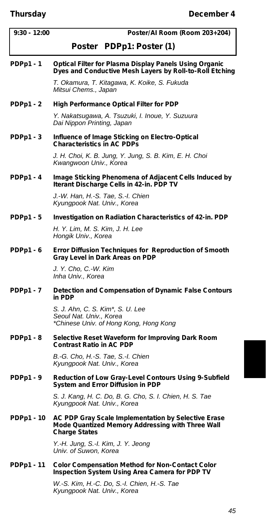| $9:30 - 12:00$    | Poster/Al Room (Room 203+204)                                                                                                   |
|-------------------|---------------------------------------------------------------------------------------------------------------------------------|
|                   | <i>Poster</i> PDPp1: Poster (1)                                                                                                 |
| $PDPp1 - 1$       | Optical Filter for Plasma Display Panels Using Organic<br>Dyes and Conductive Mesh Layers by Roll-to-Roll Etching               |
|                   | T. Okamura, T. Kitagawa, K. Koike, S. Fukuda<br>Mitsui Chems., Japan                                                            |
| PDPp1-2           | <b>High Performance Optical Filter for PDP</b>                                                                                  |
|                   | Y. Nakatsugawa, A. Tsuzuki, I. Inoue, Y. Suzuura<br>Dai Nippon Printing, Japan                                                  |
| $PDPp1 - 3$       | Influence of Image Sticking on Electro-Optical<br><b>Characteristics in AC PDPs</b>                                             |
|                   | J. H. Choi, K. B. Jung, Y. Jung, S. B. Kim, E. H. Choi<br>Kwangwoon Univ., Korea                                                |
| $PDPp1 - 4$       | Image Sticking Phenomena of Adjacent Cells Induced by<br>Iterant Discharge Cells in 42-in. PDP TV                               |
|                   | J.-W. Han, H.-S. Tae, S.-I. Chien<br>Kyungpook Nat. Univ., Korea                                                                |
| PDPp1-5           | Investigation on Radiation Characteristics of 42-in. PDP                                                                        |
|                   | H. Y. Lim, M. S. Kim, J. H. Lee<br>Hongik Univ., Korea                                                                          |
| PDPp1-6           | Error Diffusion Techniques for Reproduction of Smooth<br>Gray Level in Dark Areas on PDP                                        |
|                   | J. Y. Cho, C.-W. Kim<br>Inha Univ., Korea                                                                                       |
| <b>PDPp1-7</b>    | Detection and Compensation of Dynamic False Contours<br>in PDP                                                                  |
|                   | S. J. Ahn, C. S. Kim*, S. U. Lee<br>Seoul Nat. Univ., Korea<br>*Chinese Univ. of Hong Kong, Hong Kong                           |
| $PDPp1 - 8$       | Selective Reset Waveform for Improving Dark Room<br><b>Contrast Ratio in AC PDP</b>                                             |
|                   | B.-G. Cho, H.-S. Tae, S.-I. Chien<br>Kyungpook Nat. Univ., Korea                                                                |
| $PDPp1 - 9$       | Reduction of Low Gray-Level Contours Using 9-Subfield<br>System and Error Diffusion in PDP                                      |
|                   | S. J. Kang, H. C. Do, B. G. Cho, S. I. Chien, H. S. Tae<br>Kyungpook Nat. Univ., Korea                                          |
| PDPp1 - 10        | AC PDP Gray Scale Implementation by Selective Erase<br>Mode Quantized Memory Addressing with Three Wall<br><b>Charge States</b> |
|                   | Y.-H. Jung, S.-I. Kim, J. Y. Jeong<br>Univ. of Suwon, Korea                                                                     |
| <b>PDPp1 - 11</b> | <b>Color Compensation Method for Non-Contact Color</b><br>Inspection System Using Area Camera for PDP TV                        |
|                   | W.-S. Kim, H.-C. Do, S.-I. Chien, H.-S. Tae<br>Kyungpook Nat. Univ., Korea                                                      |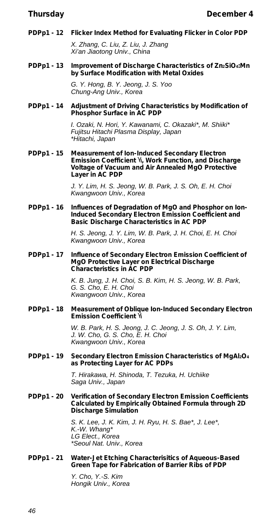**PDPp1 - 12 Flicker Index Method for Evaluating Flicker in Color PDP** *X. Zhang, C. Liu, Z. Liu, J. Zhang*

*Xi'an Jiaotong Univ., China*

**PDPp1 - 13 Improvement of Discharge Characteristics of Zn2SiO4:Mn by Surface Modification with Metal Oxides**

> *G. Y. Hong, B. Y. Jeong, J. S. Yoo Chung-Ang Univ., Korea*

**PDPp1 - 14 Adjustment of Driving Characteristics by Modification of Phosphor Surface in AC PDP**

> *I. Ozaki, N. Hori, Y. Kawanami, C. Okazaki\*, M. Shiiki\* Fujitsu Hitachi Plasma Display, Japan \*Hitachi, Japan*

**PDPp1 - 15 Measurement of Ion-Induced Secondary Electron Emission Coefficient i, Work Function, and Discharge Voltage of Vacuum and Air Annealed MgO Protective Layer in AC PDP**

> *J. Y. Lim, H. S. Jeong, W. B. Park, J. S. Oh, E. H. Choi Kwangwoon Univ., Korea*

**PDPp1 - 16 Influences of Degradation of MgO and Phosphor on Ion-Induced Secondary Electron Emission Coefficient and Basic Discharge Characteristics in AC PDP**

> *H. S. Jeong, J. Y. Lim, W. B. Park, J. H. Choi, E. H. Choi Kwangwoon Univ., Korea*

**PDPp1 - 17 Influence of Secondary Electron Emission Coefficient of MgO Protective Layer on Electrical Discharge Characteristics in AC PDP**

> *K. B. Jung, J. H. Choi, S. B. Kim, H. S. Jeong, W. B. Park, G. S. Cho, E. H. Choi Kwangwoon Univ., Korea*

**PDPp1 - 18 Measurement of Oblique Ion-Induced Secondary Electron Emission Coefficient i**

> *W. B. Park, H. S. Jeong, J. C. Jeong, J. S. Oh, J. Y. Lim, J. W. Cho, G. S. Cho, E. H. Choi Kwangwoon Univ., Korea*

**PDPp1 - 19 Secondary Electron Emission Characteristics of MgAl2O<sup>4</sup> as Protecting Layer for AC PDPs**

> *T. Hirakawa, H. Shinoda, T. Tezuka, H. Uchiike Saga Univ., Japan*

**PDPp1 - 20 Verification of Secondary Electron Emission Coefficients Calculated by Empirically Obtained Formula through 2D Discharge Simulation**

> *S. K. Lee, J. K. Kim, J. H. Ryu, H. S. Bae\*, J. Lee\*, K.-W. Whang\* LG Elect., Korea \*Seoul Nat. Univ., Korea*

**PDPp1 - 21 Water-Jet Etching Characterisitics of Aqueous-Based Green Tape for Fabrication of Barrier Ribs of PDP**

> *Y. Cho, Y.-S. Kim Hongik Univ., Korea*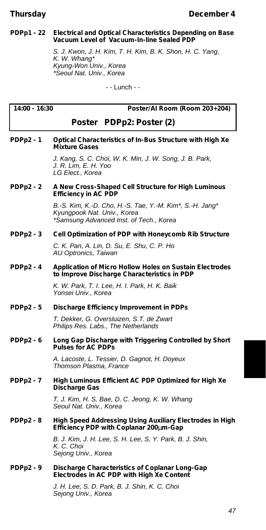#### **PDPp1 - 22 Electrical and Optical Characteristics Depending on Base Vacuum Level of Vacuum-In-line Sealed PDP**

*S. J. Kwon, J. H. Kim, T. H. Kim, B. K. Shon, H. C. Yang, K. W. Whang\* Kyung-Won Univ., Korea \*Seoul Nat. Univ., Korea*

- - Lunch - -

| 14:00 - 16:30    | Poster/AI Room (Room 203+204)                                                                                                      |
|------------------|------------------------------------------------------------------------------------------------------------------------------------|
|                  | Poster PDPp2: Poster (2)                                                                                                           |
| <b>PDPp2 - 1</b> | Optical Characteristics of In-Bus Structure with High Xe<br><b>Mixture Gases</b>                                                   |
|                  | J. Kang, S. C. Choi, W. K. Min, J. W. Song, J. B. Park,<br>J. R. Lim, E. H. Yoo<br>LG Elect., Korea                                |
| PDPp2 - 2        | A New Cross-Shaped Cell Structure for High Luminous<br><b>Efficiency in AC PDP</b>                                                 |
|                  | B.-S. Kim, K.-D. Cho, H.-S. Tae, Y.-M. Kim*, S.-H. Jang*<br>Kyungpook Nat. Univ., Korea<br>*Samsung Advanced Inst. of Tech., Korea |
| PDPp2 - 3        | Cell Optimization of PDP with Honeycomb Rib Structure                                                                              |
|                  | C. K. Pan, A. Lin, D. Su, E. Shu, C. P. Ho<br>AU Optronics, Taiwan                                                                 |
| <b>PDPp2 - 4</b> | <b>Application of Micro Hollow Holes on Sustain Electrodes</b><br>to Improve Discharge Characteristics in PDP                      |
|                  | K. W. Park, T. I. Lee, H. I. Park, H. K. Baik<br>Yonsei Univ., Korea                                                               |
| PDPp2 - 5        | Discharge Efficiency Improvement in PDPs                                                                                           |
|                  | T. Dekker, G. Oversluizen, S.T. de Zwart<br>Philips Res. Labs., The Netherlands                                                    |
| <b>PDPp2 - 6</b> | Long Gap Discharge with Triggering Controlled by Short<br><b>Pulses for AC PDPs</b>                                                |
|                  | A. Lacoste, L. Tessier, D. Gagnot, H. Doyeux<br>Thomson Plasma, France                                                             |
| <b>PDPp2 - 7</b> | High Luminous Efficient AC PDP Optimized for High Xe<br><b>Discharge Gas</b>                                                       |
|                  | T. J. Kim, H. S. Bae, D. C. Jeong, K. W. Whang<br>Seoul Nat. Univ., Korea                                                          |
| PDPp2 - 8        | High Speed Addressing Using Auxiliary Electrodes in High<br>Efficiency PDP with Coplanar 200Lm-Gap                                 |
|                  | B. J. Kim, J. H. Lee, S. H. Lee, S. Y. Park, B. J. Shin,<br>K. C. Choi<br>Sejong Univ., Korea                                      |
| PDPp2 - 9        | Discharge Characteristics of Coplanar Long-Gap<br>Electrodes in AC PDP with High Xe Content                                        |

*J. H. Lee, S. D. Park, B. J. Shin, K. C. Choi Sejong Univ., Korea*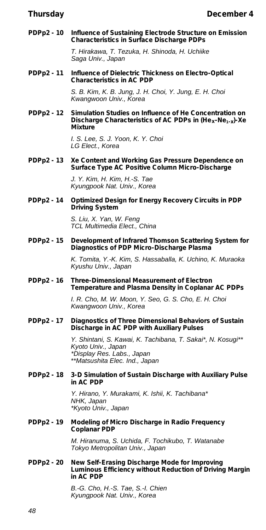**PDPp2 - 10 Influence of Sustaining Electrode Structure on Emission Characteristics in Surface Discharge PDPs**

> *T. Hirakawa, T. Tezuka, H. Shinoda, H. Uchiike Saga Univ., Japan*

**PDPp2 - 11 Influence of Dielectric Thickness on Electro-Optical Characteristics in AC PDP**

> *S. B. Kim, K. B. Jung, J. H. Choi, Y. Jung, E. H. Choi Kwangwoon Univ., Korea*

**PDPp2 - 12 Simulation Studies on Influence of He Concentration on Discharge Characteristics of AC PDPs in (Hex-Ne1-x)-Xe Mixture**

> *I. S. Lee, S. J. Yoon, K. Y. Choi LG Elect., Korea*

**PDPp2 - 13 Xe Content and Working Gas Pressure Dependence on Surface Type AC Positive Column Micro-Discharge**

> *J. Y. Kim, H. Kim, H.-S. Tae Kyungpook Nat. Univ., Korea*

**PDPp2 - 14 Optimized Design for Energy Recovery Circuits in PDP Driving System**

> *S. Liu, X. Yan, W. Feng TCL Multimedia Elect., China*

**PDPp2 - 15 Development of Infrared Thomson Scattering System for Diagnostics of PDP Micro-Discharge Plasma**

> *K. Tomita, Y.-K. Kim, S. Hassaballa, K. Uchino, K. Muraoka Kyushu Univ., Japan*

**PDPp2 - 16 Three-Dimensional Measurement of Electron Temperature and Plasma Density in Coplanar AC PDPs**

> *I. R. Cho, M. W. Moon, Y. Seo, G. S. Cho, E. H. Choi Kwangwoon Univ., Korea*

**PDPp2 - 17 Diagnostics of Three Dimensional Behaviors of Sustain Discharge in AC PDP with Auxiliary Pulses**

> *Y. Shintani, S. Kawai, K. Tachibana, T. Sakai\*, N. Kosugi\*\* Kyoto Univ., Japan \*Display Res. Labs., Japan \*\*Matsushita Elec. Ind., Japan*

**PDPp2 - 18 3-D Simulation of Sustain Discharge with Auxiliary Pulse in AC PDP**

> *Y. Hirano, Y. Murakami, K. Ishii, K. Tachibana\* NHK, Japan \*Kyoto Univ., Japan*

**PDPp2 - 19 Modeling of Micro Discharge in Radio Frequency Coplanar PDP**

> *M. Hiranuma, S. Uchida, F. Tochikubo, T. Watanabe Tokyo Metropolitan Univ., Japan*

**PDPp2 - 20 New Self-Erasing Discharge Mode for Improving Luminous Efficiency without Reduction of Driving Margin in AC PDP**

> *B.-G. Cho, H.-S. Tae, S.-I. Chien Kyungpook Nat. Univ., Korea*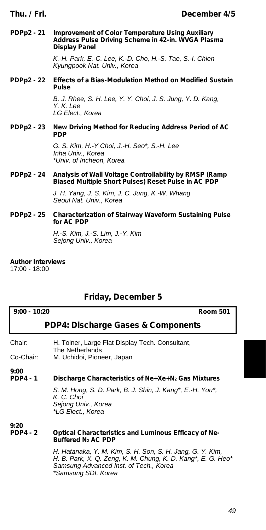#### **PDPp2 - 21 Improvement of Color Temperature Using Auxiliary Address Pulse Driving Scheme in 42-in. WVGA Plasma Display Panel**

*K.-H. Park, E.-C. Lee, K.-D. Cho, H.-S. Tae, S.-I. Chien Kyungpook Nat. Univ., Korea*

**PDPp2 - 22 Effects of a Bias-Modulation Method on Modified Sustain Pulse**

> *B. J. Rhee, S. H. Lee, Y. Y. Choi, J. S. Jung, Y. D. Kang, Y. K. Lee LG Elect., Korea*

#### **PDPp2 - 23 New Driving Method for Reducing Address Period of AC PDP**

*G. S. Kim, H.-Y Choi, J.-H. Seo\*, S.-H. Lee Inha Univ., Korea \*Univ. of Incheon, Korea*

**PDPp2 - 24 Analysis of Wall Voltage Controllability by RMSP (Ramp Biased Multiple Short Pulses) Reset Pulse in AC PDP**

> *J. H. Yang, J. S. Kim, J. C. Jung, K.-W. Whang Seoul Nat. Univ., Korea*

#### **PDPp2 - 25 Characterization of Stairway Waveform Sustaining Pulse for AC PDP**

*H.-S. Kim, J.-S. Lim, J.-Y. Kim Sejong Univ., Korea*

#### **Author Interviews**

17:00 - 18:00

### **Friday, December 5**

#### **9:00 - 10:20 Room 501**

#### **PDP4: Discharge Gases & Components**

| Chair:    | H. Tolner, Large Flat Display Tech. Consultant, |  |
|-----------|-------------------------------------------------|--|
|           | The Netherlands                                 |  |
| Co-Chair: | M. Uchidoi, Pioneer, Japan                      |  |

**9:00**

#### **PDP4 - 1 Discharge Characteristics of Ne+Xe+N<sup>2</sup> Gas Mixtures**

*S. M. Hong, S. D. Park, B. J. Shin, J. Kang\*, E.-H. You\*, K. C. Choi Sejong Univ., Korea \*LG Elect., Korea*

#### **9:20 Optical Characteristics and Luminous Efficacy of Ne-Buffered N<sup>2</sup> AC PDP**

*H. Hatanaka, Y. M. Kim, S. H. Son, S. H. Jang, G. Y. Kim, H. B. Park, X. Q. Zeng, K. M. Chung, K. D. Kang\*, E. G. Heo\* Samsung Advanced Inst. of Tech., Korea \*Samsung SDI, Korea*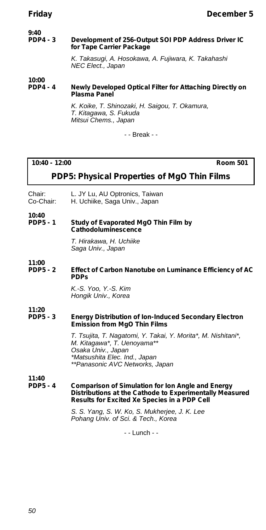#### **9:40 Development of 256-Output SOI PDP Address Driver IC for Tape Carrier Package**

*K. Takasugi, A. Hosokawa, A. Fujiwara, K. Takahashi NEC Elect., Japan*

#### **10:00 Newly Developed Optical Filter for Attaching Directly on Plasma Panel**

*K. Koike, T. Shinozaki, H. Saigou, T. Okamura, T. Kitagawa, S. Fukuda Mitsui Chems., Japan*

- - Break - -

#### **10:40 - 12:00 Room 501**

### **PDP5: Physical Properties of MgO Thin Films**

- Chair: L. JY Lu, AU Optronics, Taiwan<br>Co-Chair: H. Uchiike. Saga Univ.. Japan
- H. Uchiike, Saga Univ., Japan

**10:40 Study of Evaporated MgO Thin Film by Cathodoluminescence**

> *T. Hirakawa, H. Uchiike Saga Univ., Japan*

#### **11:00 Effect of Carbon Nanotube on Luminance Efficiency of AC PDPs**

*K.-S. Yoo, Y.-S. Kim Hongik Univ., Korea*

#### **11:20 Energy Distribution of Ion-Induced Secondary Electron Emission from MgO Thin Films**

*T. Tsujita, T. Nagatomi, Y. Takai, Y. Morita\*, M. Nishitani\*, M. Kitagawa\*, T. Uenoyama\*\* Osaka Univ., Japan \*Matsushita Elec. Ind., Japan \*\*Panasonic AVC Networks, Japan*

**11:40**

**Comparison of Simulation for Ion Angle and Energy Distributions at the Cathode to Experimentally Measured Results for Excited Xe Species in a PDP Cell**

> *S. S. Yang, S. W. Ko, S. Mukherjee, J. K. Lee Pohang Univ. of Sci. & Tech., Korea*

> > - - Lunch - -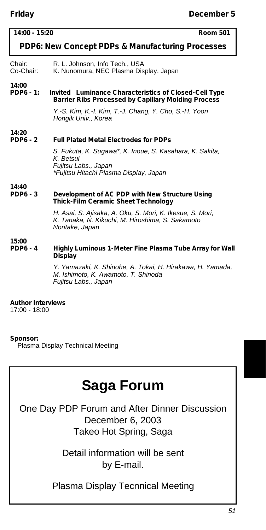| .                         |                                                                                                                                         |
|---------------------------|-----------------------------------------------------------------------------------------------------------------------------------------|
| $14:00 - 15:20$           | <b>Room 501</b>                                                                                                                         |
|                           | PDP6: New Concept PDPs & Manufacturing Processes                                                                                        |
| Chair:<br>Co-Chair:       | R. L. Johnson, Info Tech., USA<br>K. Nunomura, NEC Plasma Display, Japan                                                                |
| 14:00<br><b>PDP6 - 1:</b> | <i>Invited</i> Luminance Characteristics of Closed-Cell Type<br><b>Barrier Ribs Processed by Capillary Molding Process</b>              |
|                           | Y.-S. Kim, K.-I. Kim, T.-J. Chang, Y. Cho, S.-H. Yoon<br>Hongik Univ., Korea                                                            |
| 14:20<br><b>PDP6 - 2</b>  | <b>Full Plated Metal Electrodes for PDPs</b>                                                                                            |
|                           | S. Fukuta, K. Sugawa*, K. Inoue, S. Kasahara, K. Sakita,<br>K. Betsui<br>Fujitsu Labs., Japan<br>*Fujitsu Hitachi Plasma Display, Japan |
| 14:40<br><b>PDP6 - 3</b>  | Development of AC PDP with New Structure Using<br><b>Thick-Film Ceramic Sheet Technology</b>                                            |
|                           | H. Asai, S. Ajisaka, A. Oku, S. Mori, K. Ikesue, S. Mori,<br>K. Tanaka, N. Kikuchi, M. Hiroshima, S. Sakamoto<br>Noritake, Japan        |
| 15:00<br><b>PDP6 - 4</b>  | Highly Luminous 1-Meter Fine Plasma Tube Array for Wall<br>Display                                                                      |
|                           | Y. Yamazaki, K. Shinohe, A. Tokai, H. Hirakawa, H. Yamada,<br>M. Ishimoto, K. Awamoto, T. Shinoda<br>Fujitsu Labs., Japan               |

#### **Author Interviews**

17:00 - 18:00

#### **Sponsor:**

Plasma Display Technical Meeting

# **Saga Forum**

One Day PDP Forum and After Dinner Discussion December 6, 2003 Takeo Hot Spring, Saga

> Detail information will be sent by E-mail.

Plasma Display Tecnnical Meeting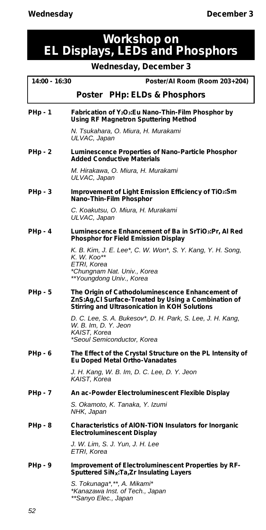## **Workshop on EL Displays, LEDs and Phosphors**

**Wednesday, December 3**

| 14:00 - 16:30  | Poster/Al Room (Room 203+204)                                                                                                                            |
|----------------|----------------------------------------------------------------------------------------------------------------------------------------------------------|
|                | Poster PHp: ELDs & Phosphors                                                                                                                             |
| PHp - 1        | Fabrication of Y <sub>2</sub> O <sub>3</sub> : Eu Nano-Thin-Film Phosphor by<br><b>Using RF Magnetron Sputtering Method</b>                              |
|                | N. Tsukahara, O. Miura, H. Murakami<br>ULVAC, Japan                                                                                                      |
| PHp - 2        | Luminescence Properties of Nano-Particle Phosphor<br><b>Added Conductive Materials</b>                                                                   |
|                | M. Hirakawa, O. Miura, H. Murakami<br>ULVAC, Japan                                                                                                       |
| PHp - 3        | Improvement of Light Emission Efficiency of TiO2:Sm<br>Nano-Thin-Film Phosphor                                                                           |
|                | C. Koakutsu, O. Miura, H. Murakami<br>ULVAC, Japan                                                                                                       |
| PHp - 4        | Luminescence Enhancement of Ba in SrTiO3:Pr, Al Red<br>Phosphor for Field Emission Display                                                               |
|                | K. B. Kim, J. E. Lee*, C. W. Won*, S. Y. Kang, Y. H. Song,<br>K. W. Koo**<br>ETRI, Korea<br>*Chungnam Nat. Univ., Korea                                  |
|                | **Youngdong Univ., Korea                                                                                                                                 |
| PHp - 5        | The Origin of Cathodoluminescence Enhancement of<br>ZnS:Ag,Cl Surface-Treated by Using a Combination of<br>Stirring and Ultrasonication in KOH Solutions |
|                | D. C. Lee, S. A. Bukesov*, D. H. Park, S. Lee, J. H. Kang,<br>W. B. Im, D. Y. Jeon<br>KAIST, Korea<br>*Seoul Semiconductor, Korea                        |
| PHp - 6        | The Effect of the Crystal Structure on the PL Intensity of<br><b>Eu Doped Metal Ortho-Vanadates</b>                                                      |
|                | J. H. Kang, W. B. Im, D. C. Lee, D. Y. Jeon<br>KAIST, Korea                                                                                              |
| PHp - 7        | An ac-Powder Electroluminescent Flexible Display                                                                                                         |
|                | S. Okamoto, K. Tanaka, Y. Izumi<br>NHK, Japan                                                                                                            |
| <b>PHp - 8</b> | Characteristics of AION-TION Insulators for Inorganic<br><b>Electroluminescent Display</b>                                                               |
|                | J. W. Lim, S. J. Yun, J. H. Lee<br>ETRI, Korea                                                                                                           |
| PHp - 9        | Improvement of Electroluminescent Properties by RF-<br>Sputtered SiN <sub>x</sub> :Ta,Zr Insulating Layers                                               |
|                | S. Tokunaga*,**, A. Mikami*<br>*Kanazawa Inst. of Tech., Japan                                                                                           |

*\*\*Sanyo Elec., Japan*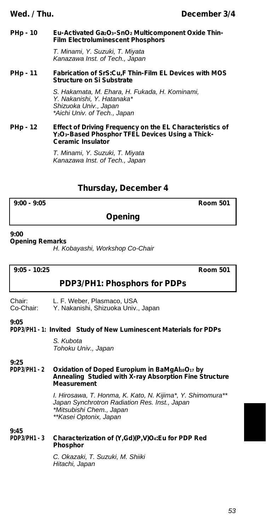#### **PHp - 10 Eu-Activated Ga2O3-SnO<sup>2</sup> Multicomponent Oxide Thin-Film Electroluminescent Phosphors**

*T. Minami, Y. Suzuki, T. Miyata Kanazawa Inst. of Tech., Japan*

#### **PHp - 11 Fabrication of SrS:Cu,F Thin-Film EL Devices with MOS Structure on Si Substrate**

*S. Hakamata, M. Ehara, H. Fukada, H. Kominami, Y. Nakanishi, Y. Hatanaka\* Shizuoka Univ., Japan \*Aichi Univ. of Tech., Japan*

#### **PHp - 12 Effect of Driving Frequency on the EL Characteristics of Y2O3-Based Phosphor TFEL Devices Using a Thick-Ceramic Insulator**

*T. Minami, Y. Suzuki, T. Miyata Kanazawa Inst. of Tech., Japan*

### **Thursday, December 4**

**9:00 - 9:05 Room 501**

### **Opening**

**9:00**

**Opening Remarks**

*H. Kobayashi, Workshop Co-Chair*

**9:05 - 10:25 Room 501**

#### **PDP3/PH1: Phosphors for PDPs**

Chair: L. F. Weber, Plasmaco, USA<br>Co-Chair: Y. Nakanishi, Shizuoka Univ.

Y. Nakanishi, Shizuoka Univ., Japan

#### **9:05**

**PDP3/PH1 - 1:** *Invited* **Study of New Luminescent Materials for PDPs**

*S. Kubota Tohoku Univ., Japan*

#### **9:25 PDP3/PH1 - 2 Oxidation of Doped Europium in BaMgAl10O<sup>17</sup> by Annealing Studied with X-ray Absorption Fine Structure Measurement**

*I. Hirosawa, T. Honma, K. Kato, N. Kijima\*, Y. Shimomura\*\* Japan Synchrotron Radiation Res. Inst., Japan \*Mitsubishi Chem., Japan \*\*Kasei Optonix, Japan*

**9:45 PDP3/PH1 - 3 Characterization of (Y,Gd)(P,V)O4:Eu for PDP Red Phosphor**

> *C. Okazaki, T. Suzuki, M. Shiiki Hitachi, Japan*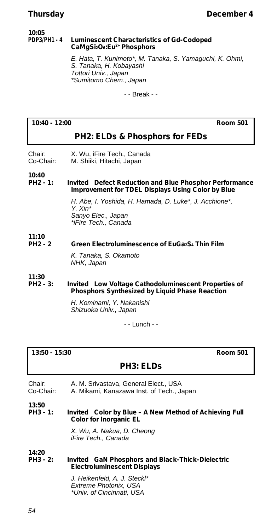#### **10:05 Luminescent Characteristics of Gd-Codoped CaMgSi2O6:Eu2+ Phosphors**

*E. Hata, T. Kunimoto\*, M. Tanaka, S. Yamaguchi, K. Ohmi, S. Tanaka, H. Kobayashi Tottori Univ., Japan \*Sumitomo Chem., Japan*

- - Break - -

#### **10:40 - 12:00 Room 501**

#### **PH2: ELDs & Phosphors for FEDs**

Chair: X. Wu, iFire Tech., Canada<br>Co-Chair: M. Shiiki. Hitachi. Japan M. Shiiki, Hitachi, Japan

**10:40**

**Invited** Defect Reduction and Blue Phosphor Performance **Improvement for TDEL Displays Using Color by Blue**

> *H. Abe, I. Yoshida, H. Hamada, D. Luke\*, J. Acchione\*, Y. Xin\* Sanyo Elec., Japan \*iFire Tech., Canada*

**11:10**

#### **PH2 - 2 Green Electroluminescence of EuGa2S<sup>4</sup> Thin Film**

*K. Tanaka, S. Okamoto NHK, Japan*

**11:30 Invited** Low Voltage Cathodoluminescent Properties of **Phosphors Synthesized by Liquid Phase Reaction**

> *H. Kominami, Y. Nakanishi Shizuoka Univ., Japan*

> > - - Lunch - -

| $13:50 - 15:30$<br><b>Room 501</b> |                                                                                         |
|------------------------------------|-----------------------------------------------------------------------------------------|
|                                    | <b>PH3: ELDS</b>                                                                        |
| Chair:<br>Co-Chair:                | A. M. Srivastava, General Elect., USA<br>A. Mikami, Kanazawa Inst. of Tech., Japan      |
| 13:50<br>PH3 - 1:                  | <i>Invited</i> Color by Blue - A New Method of Achieving Full<br>Color for Inorganic EL |
|                                    | X. Wu, A. Nakua, D. Cheong<br>iFire Tech., Canada                                       |
| 14:20                              |                                                                                         |
| PH3 - 2:                           | Invited GaN Phosphors and Black-Thick-Dielectric<br><b>Electroluminescent Displays</b>  |
|                                    | .1 Heikenfeld A. I Steckl*                                                              |

*J. Heikenfeld, A. J. Steckl\* Extreme Photonix, USA \*Univ. of Cincinnati, USA*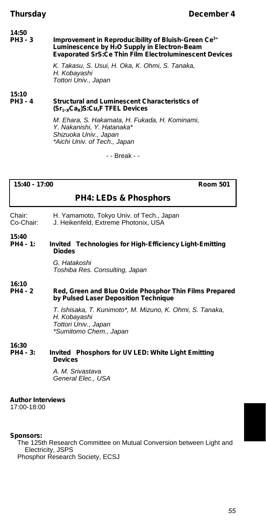#### **14:50 Improvement in Reproducibility of Bluish-Green Ce<sup>3+</sup></u> Luminescence by H2O Supply in Electron-Beam Evaporated SrS:Ce Thin Film Electroluminescent Devices**

*K. Takasu, S. Usui, H. Oka, K. Ohmi, S. Tanaka, H. Kobayashi Tottori Univ., Japan*

**15:10**

#### **Structural and Luminescent Characteristics of (Sr1-xCax)S:Cu,F TFEL Devices**

*M. Ehara, S. Hakamata, H. Fukada, H. Kominami, Y. Nakanishi, Y. Hatanaka\* Shizuoka Univ., Japan \*Aichi Univ. of Tech., Japan*

- - Break - -

**15:40 - 17:00 Room 501**

### **PH4: LEDs & Phosphors**

- Chair: H. Yamamoto, Tokyo Univ. of Tech., Japan<br>Co-Chair: J. Heikenfeld. Extreme Photonix. USA
- J. Heikenfeld, Extreme Photonix, USA

**15:40 Invited** Technologies for High-Efficiency Light-Emitting **Diodes**

> *G. Hatakoshi Toshiba Res. Consulting, Japan*

**16:10**

#### **Red, Green and Blue Oxide Phosphor Thin Films Prepared by Pulsed Laser Deposition Technique**

*T. Ishisaka, T. Kunimoto\*, M. Mizuno, K. Ohmi, S. Tanaka, H. Kobayashi Tottori Univ., Japan \*Sumitomo Chem., Japan*

**16:30**

**Invited** Phosphors for UV LED: White Light Emitting **Devices**

> *A. M. Srivastava General Elec., USA*

#### **Author Interviews**

17:00-18:00

#### **Sponsors:**

The 125th Research Committee on Mutual Conversion between Light and Electricity, JSPS Phosphor Research Society, ECSJ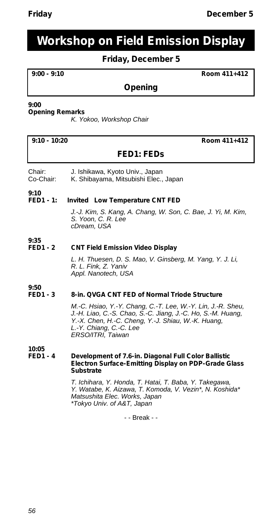## **Workshop on Field Emission Display**

### **Friday, December 5**

**9:00 - 9:10 Room 411+412**

### **Opening**

#### **9:00**

#### **Opening Remarks**

*K. Yokoo, Workshop Chair*

**9:10 - 10:20 Room 411+412**

### **FED1: FEDs**

- Chair: J. Ishikawa, Kyoto Univ., Japan
- Co-Chair: K. Shibayama, Mitsubishi Elec., Japan

**9:10**

#### **FED1 - 1:** *Invited* **Low Temperature CNT FED**

*J.-J. Kim, S. Kang, A. Chang, W. Son, C. Bae, J. Yi, M. Kim, S. Yoon, C. R. Lee cDream, USA*

#### **9:35 CNT Field Emission Video Display**

*L. H. Thuesen, D. S. Mao, V. Ginsberg, M. Yang, Y. J. Li, R. L. Fink, Z. Yaniv Appl. Nanotech, USA*

#### **9:50** 8-in. QVGA CNT FED of Normal Triode Structure

*M.-C. Hsiao, Y.-Y. Chang, C.-T. Lee, W.-Y. Lin, J.-R. Sheu, J.-H. Liao, C.-S. Chao, S.-C. Jiang, J.-C. Ho, S.-M. Huang, Y.-X. Chen, H.-C. Cheng, Y.-J. Shiau, W.-K. Huang, L.-Y. Chiang, C.-C. Lee ERSO/ITRI, Taiwan*

#### **10:05 Development of 7.6-in. Diagonal Full Color Ballistic Electron Surface-Emitting Display on PDP-Grade Glass Substrate**

*T. Ichihara, Y. Honda, T. Hatai, T. Baba, Y. Takegawa, Y. Watabe, K. Aizawa, T. Komoda, V. Vezin\*, N. Koshida\* Matsushita Elec. Works, Japan \*Tokyo Univ. of A&T, Japan*

- - Break - -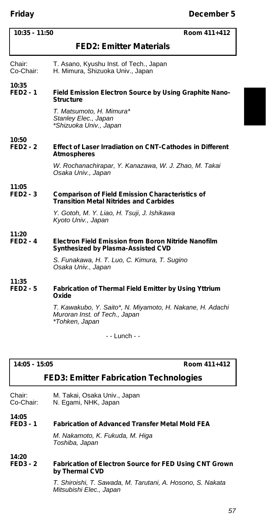| $10:35 - 11:50$<br>Room 411+412 |                                                                                                              |
|---------------------------------|--------------------------------------------------------------------------------------------------------------|
|                                 | <b>FED2: Emitter Materials</b>                                                                               |
| Chair:<br>Co-Chair:             | T. Asano, Kyushu Inst. of Tech., Japan<br>H. Mimura, Shizuoka Univ., Japan                                   |
| 10:35<br><b>FED2-1</b>          | Field Emission Electron Source by Using Graphite Nano-<br><b>Structure</b>                                   |
|                                 | T. Matsumoto, H. Mimura*<br>Stanley Elec., Japan<br>*Shizuoka Univ., Japan                                   |
| 10:50<br>$FED2 - 2$             | <b>Effect of Laser Irradiation on CNT-Cathodes in Different</b><br><b>Atmospheres</b>                        |
|                                 | W. Rochanachirapar, Y. Kanazawa, W. J. Zhao, M. Takai<br>Osaka Univ., Japan                                  |
| 11:05<br>$FED2 - 3$             | <b>Comparison of Field Emission Characteristics of</b><br><b>Transition Metal Nitrides and Carbides</b>      |
|                                 | Y. Gotoh, M. Y. Liao, H. Tsuji, J. Ishikawa<br>Kyoto Univ., Japan                                            |
| 11:20<br>$FED2 - 4$             | Electron Field Emission from Boron Nitride Nanofilm<br>Synthesized by Plasma-Assisted CVD                    |
|                                 | S. Funakawa, H. T. Luo, C. Kimura, T. Sugino<br>Osaka Univ., Japan                                           |
| 11:35<br>$FED2 - 5$             | <b>Fabrication of Thermal Field Emitter by Using Yttrium</b><br>Oxide                                        |
|                                 | T. Kawakubo, Y. Saito*, N. Miyamoto, H. Nakane, H. Adachi<br>Muroran Inst. of Tech., Japan<br>*Tohken, Japan |

- - Lunch - -

| 14:05 - 15:0 |  |
|--------------|--|
|              |  |

**14:05 - 15:05 Room 411+412**

#### **FED3: Emitter Fabrication Technologies**

Chair: M. Takai, Osaka Univ., Japan Co-Chair: N. Egami, NHK, Japan

#### **FED3 - 1 Fabrication of Advanced Transfer Metal Mold FEA**

*M. Nakamoto, K. Fukuda, M. Higa Toshiba, Japan*

**14:20**

**14:05**

#### **FED3 - 2 Fabrication of Electron Source for FED Using CNT Grown by Thermal CVD**

*T. Shiroishi, T. Sawada, M. Tarutani, A. Hosono, S. Nakata Mitsubishi Elec., Japan*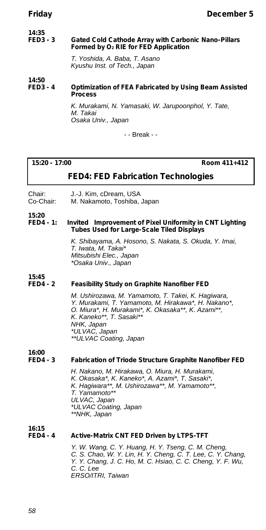#### **14:35 Gated Cold Cathode Array with Carbonic Nano-Pillars Formed by O<sup>2</sup> RIE for FED Application**

*T. Yoshida, A. Baba, T. Asano Kyushu Inst. of Tech., Japan*

**14:50**

#### **Optimization of FEA Fabricated by Using Beam Assisted Process**

*K. Murakami, N. Yamasaki, W. Jarupoonphol, Y. Tate, M. Takai Osaka Univ., Japan*

- - Break - -

#### **15:20 - 17:00 Room 411+412**

### **FED4: FED Fabrication Technologies**

Chair: J.-J. Kim, cDream, USA<br>Co-Chair: M. Nakamoto. Toshiba.

M. Nakamoto, Toshiba, Japan

#### **15:20 Invited** Improvement of Pixel Uniformity in CNT Lighting **Tubes Used for Large-Scale Tiled Displays**

*K. Shibayama, A. Hosono, S. Nakata, S. Okuda, Y. Imai, T. Iwata, M. Takai\* Mitsubishi Elec., Japan \*Osaka Univ., Japan*

**15:45**

#### **Feasibility Study on Graphite Nanofiber FED**

*M. Ushirozawa, M. Yamamoto, T. Takei, K. Hagiwara, Y. Murakami, T. Yamamoto, M. Hirakawa\*, H. Nakano\*, O. Miura\*, H. Murakami\*, K. Okasaka\*\*, K. Azami\*\*, K. Kaneko\*\*, T. Sasaki\*\* NHK, Japan \*ULVAC, Japan \*\*ULVAC Coating, Japan*

**16:00**

#### **FED4 - 3 Fabrication of Triode Structure Graphite Nanofiber FED**

*H. Nakano, M. Hirakawa, O. Miura, H. Murakami, K. Okasaka\*, K. Kaneko\*, A. Azami\*, T. Sasaki\*, K. Hagiwara\*\*, M. Ushirozawa\*\*, M. Yamamoto\*\*, T. Yamamoto\*\* ULVAC, Japan \*ULVAC Coating, Japan \*\*NHK, Japan*

**16:15**

#### **Active-Matrix CNT FED Driven by LTPS-TFT**

*Y. W. Wang, C. Y. Huang, H. Y. Tseng, C. M. Cheng, C. S. Chao, W. Y. Lin, H. Y. Cheng, C. T. Lee, C. Y. Chang, Y. Y. Chang, J. C. Ho, M. C. Hsiao, C. C. Cheng, Y. F. Wu, C. C. Lee ERSO/ITRI, Taiwan*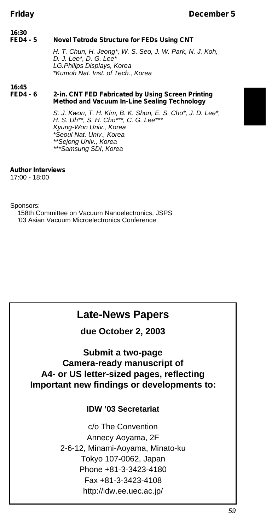#### **16:30 Novel Tetrode Structure for FEDs Using CNT** *H. T. Chun, H. Jeong\*, W. S. Seo, J. W. Park, N. J. Koh, D. J. Lee\*, D. G. Lee\* LG.Philips Displays, Korea \*Kumoh Nat. Inst. of Tech., Korea*

#### **16:45** 2-in. CNT FED Fabricated by Using Screen Printing **Method and Vacuum In-Line Sealing Technology**

*S. J. Kwon, T. H. Kim, B. K. Shon, E. S. Cho\*, J. D. Lee\*, H. S. Uh\*\*, S. H. Cho\*\*\*, C. G. Lee\*\*\* Kyung-Won Univ., Korea \*Seoul Nat. Univ., Korea \*\*Sejong Univ., Korea \*\*\*Samsung SDI, Korea*

#### **Author Interviews**

17:00 - 18:00

Sponsors:

158th Committee on Vacuum Nanoelectronics, JSPS '03 Asian Vacuum Microelectronics Conference

## **Late-News Papers**

**due October 2, 2003**

### **Submit a two-page Camera-ready manuscript of A4- or US letter-sized pages, reflecting Important new findings or developments to:**

### **IDW '03 Secretariat**

c/o The Convention Annecy Aoyama, 2F 2-6-12, Minami-Aoyama, Minato-ku Tokyo 107-0062, Japan Phone +81-3-3423-4180 Fax +81-3-3423-4108 http://idw.ee.uec.ac.jp/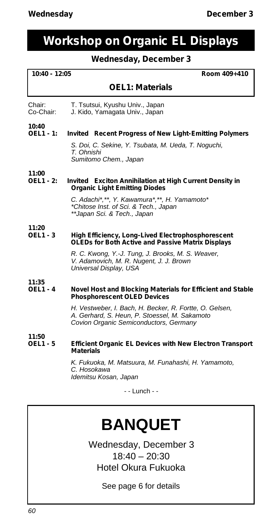## **Workshop on Organic EL Displays**

### **Wednesday, December 3**

#### **10:40 - 12:05 Room 409+410**

#### **OEL1: Materials**

Chair: T. Tsutsui, Kyushu Univ., Japan<br>Co-Chair: J. Kido Yamagata Univ., Japan J. Kido, Yamagata Univ., Japan

#### **10:40 Invited** Recent Progress of New Light-Emitting Polymers

*S. Doi, C. Sekine, Y. Tsubata, M. Ueda, T. Noguchi, T. Ohnishi Sumitomo Chem., Japan*

#### **11:00 Invited** Exciton Annihilation at High Current Density in **Organic Light Emitting Diodes**

*C. Adachi\*,\*\*, Y. Kawamura\*,\*\*, H. Yamamoto\* \*Chitose Inst. of Sci. & Tech., Japan \*\*Japan Sci. & Tech., Japan*

#### **11:20 High Efficiency, Long-Lived Electrophosphorescent OLEDs for Both Active and Passive Matrix Displays**

*R. C. Kwong, Y.-J. Tung, J. Brooks, M. S. Weaver, V. Adamovich, M. R. Nugent, J. J. Brown Universal Display, USA*

#### **11:35 Novel Host and Blocking Materials for Efficient and Stable Phosphorescent OLED Devices**

*H. Vestweber, I. Bach, H. Becker, R. Fortte, O. Gelsen, A. Gerhard, S. Heun, P. Stoessel, M. Sakamoto Covion Organic Semiconductors, Germany*

**11:50**

#### **OEL1 - 5 Efficient Organic EL Devices with New Electron Transport Materials**

*K. Fukuoka, M. Matsuura, M. Funahashi, H. Yamamoto, C. Hosokawa Idemitsu Kosan, Japan*

- - Lunch - -

# **BANQUET**

Wednesday, December 3  $18:40 - 20:30$ Hotel Okura Fukuoka

See page 6 for details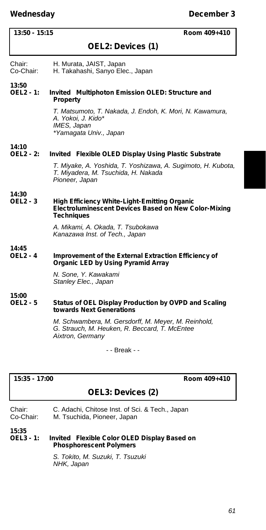#### **13:50 - 15:15 Room 409+410**

#### **OEL2: Devices (1)**

Chair: H. Murata, JAIST, Japan<br>Co-Chair: H. Takahashi, Sanyo Ele

H. Takahashi, Sanyo Elec., Japan

**13:50 Invited** Multiphoton Emission OLED: Structure and **Property**

> *T. Matsumoto, T. Nakada, J. Endoh, K. Mori, N. Kawamura, A. Yokoi, J. Kido\* IMES, Japan \*Yamagata Univ., Japan*

## **14:10**

#### **Invited** Flexible OLED Display Using Plastic Substrate

*T. Miyake, A. Yoshida, T. Yoshizawa, A. Sugimoto, H. Kubota, T. Miyadera, M. Tsuchida, H. Nakada Pioneer, Japan*

## **14:30**

#### **High Efficiency White-Light-Emitting Organic Electroluminescent Devices Based on New Color-Mixing Techniques**

*A. Mikami, A. Okada, T. Tsubokawa Kanazawa Inst. of Tech., Japan*

#### **14:45 Improvement of the External Extraction Efficiency of Organic LED by Using Pyramid Array**

*N. Sone, Y. Kawakami Stanley Elec., Japan*

**15:00**

#### **Status of OEL Display Production by OVPD and Scaling towards Next Generations**

*M. Schwambera, M. Gersdorff, M. Meyer, M. Reinhold, G. Strauch, M. Heuken, R. Beccard, T. McEntee Aixtron, Germany*

- - Break - -

#### **15:35 - 17:00 Room 409+410**

#### **OEL3: Devices (2)**

| Chair:    | C. Adachi, Chitose Inst. of Sci. & Tech., Japan |
|-----------|-------------------------------------------------|
| Co-Chair: | M. Tsuchida, Pioneer, Japan                     |

**15:35**

**Invited** Flexible Color OLED Display Based on **Phosphorescent Polymers**

> *S. Tokito, M. Suzuki, T. Tsuzuki NHK, Japan*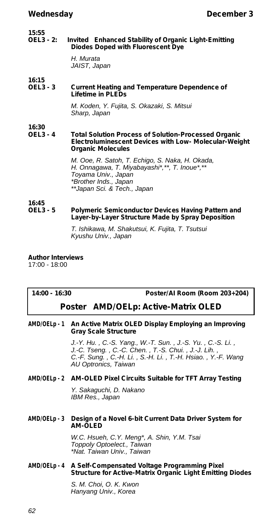#### **15:55 Invited** Enhanced Stability of Organic Light-Emitting **Diodes Doped with Fluorescent Dye**

*H. Murata JAIST, Japan*

#### **16:15 Current Heating and Temperature Dependence of Lifetime in PLEDs**

*M. Koden, Y. Fujita, S. Okazaki, S. Mitsui Sharp, Japan*

#### **16:30 Total Solution Process of Solution-Processed Organic Electroluminescent Devices with Low- Molecular-Weight Organic Molecules**

*M. Ooe, R. Satoh, T. Echigo, S. Naka, H. Okada, H. Onnagawa, T. Miyabayashi\*,\*\*, T. Inoue\*,\*\* Toyama Univ., Japan \*Brother Inds., Japan \*\*Japan Sci. & Tech., Japan*

#### **16:45** Polymeric Semiconductor Devices Having Pattern and **Layer-by-Layer Structure Made by Spray Deposition**

*T. Ishikawa, M. Shakutsui, K. Fujita, T. Tsutsui Kyushu Univ., Japan*

**Author Interviews** 17:00 - 18:00

**14:00 - 16:30 Poster/AI Room (Room 203+204)**

#### *Poster* **AMD/OELp: Active-Matrix OLED**

#### **AMD/OELp - 1 An Active Matrix OLED Display Employing an Improving Gray Scale Structure**

*J.-Y. Hu. , C.-S. Yang., W.-T. Sun. , J.-S. Yu. , C.-S. Li. , J.-C. Tseng. , C.-C. Chen. , T.-S. Chui. , J.-J. Lih. , C.-F. Sung. , C.-H. Li. , S.-H. Li. , T.-H. Hsiao. , Y.-F. Wang AU Optronics, Taiwan*

#### **AMD/OELp - 2 AM-OLED Pixel Circuits Suitable for TFT Array Testing**

*Y. Sakaguchi, D. Nakano IBM Res., Japan*

#### **AMD/OELp - 3 Design of a Novel 6-bit Current Data Driver System for AM-OLED**

*W.C. Hsueh, C.Y. Meng\*, A. Shin, Y.M. Tsai Toppoly Optoelect., Taiwan \*Nat. Taiwan Univ., Taiwan*

#### **AMD/OELp - 4 A Self-Compensated Voltage Programming Pixel Structure for Active-Matrix Organic Light Emitting Diodes**

*S. M. Choi, O. K. Kwon Hanyang Univ., Korea*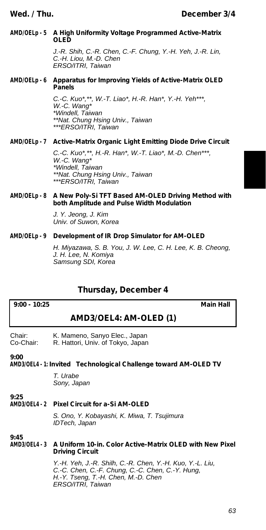#### **AMD/OELp - 5 A High Uniformity Voltage Programmed Active-Matrix OLED**

*J.-R. Shih, C.-R. Chen, C.-F. Chung, Y.-H. Yeh, J.-R. Lin, C.-H. Liou, M.-D. Chen ERSO/ITRI, Taiwan*

#### **AMD/OELp - 6 Apparatus for Improving Yields of Active-Matrix OLED Panels**

*C.-C. Kuo\*,\*\*, W.-T. Liao\*, H.-R. Han\*, Y.-H. Yeh\*\*\*, W.-C. Wang\* \*Windell, Taiwan \*\*Nat. Chung Hsing Univ., Taiwan \*\*\*ERSO/ITRI, Taiwan*

#### **AMD/OELp - 7 Active-Matrix Organic Light Emitting Diode Drive Circuit**

*C.-C. Kuo\*,\*\*, H.-R. Han\*, W.-T. Liao\*, M.-D. Chen\*\*\*, W.-C. Wang\* \*Windell, Taiwan \*\*Nat. Chung Hsing Univ., Taiwan \*\*\*ERSO/ITRI, Taiwan*

#### **AMD/OELp - 8 A New Poly-Si TFT Based AM-OLED Driving Method with both Amplitude and Pulse Width Modulation**

*J. Y. Jeong, J. Kim Univ. of Suwon, Korea*

#### **AMD/OELp - 9 Development of IR Drop Simulator for AM-OLED**

*H. Miyazawa, S. B. You, J. W. Lee, C. H. Lee, K. B. Cheong, J. H. Lee, N. Komiya Samsung SDI, Korea*

### **Thursday, December 4**

**AMD3/OEL4: AM-OLED (1)**

Chair: K. Mameno, Sanyo Elec., Japan<br>Co-Chair: R. Hattori, Univ. of Tokyo, Japan R. Hattori, Univ. of Tokyo, Japan

**9:00**

#### **AMD3/OEL4 - 1:** *Invited* **Technological Challenge toward AM-OLED TV**

*T. Urabe Sony, Japan*

#### **9:25 Pixel Circuit for a-Si AM-OLED**

*S. Ono, Y. Kobayashi, K. Miwa, T. Tsujimura IDTech, Japan*

**9:45 AMD3/OEL4 - 3 A Uniform 10-in. Color Active-Matrix OLED with New Pixel Driving Circuit**

> *Y.-H. Yeh, J.-R. Shilh, C.-R. Chen, Y.-H. Kuo, Y.-L. Liu, C.-C. Chen, C.-F. Chung, C.-C. Chen, C.-Y. Hung, H.-Y. Tseng, T.-H. Chen, M.-D. Chen ERSO/ITRI, Taiwan*

**9:00 - 10:25 Main Hall**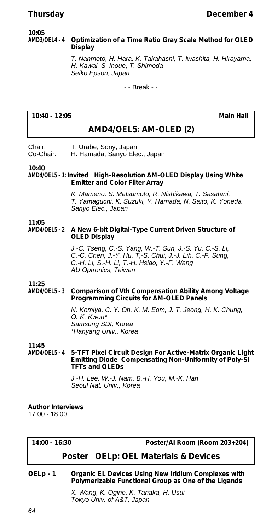#### **10:05 AMD3/OEL4 - 4 Optimization of a Time Ratio Gray Scale Method for OLED Display**

*T. Nanmoto, H. Hara, K. Takahashi, T. Iwashita, H. Hirayama, H. Kawai, S. Inoue, T. Shimoda Seiko Epson, Japan*

- - Break - -

#### **10:40 - 12:05 Main Hall**

### **AMD4/OEL5: AM-OLED (2)**

Chair: T. Urabe, Sony, Japan<br>Co-Chair: H. Hamada, Sanyo Ele H. Hamada, Sanyo Elec., Japan

#### **10:40**

**AMD4/OEL5 - 1:** *Invited* **High-Resolution AM-OLED Display Using White Emitter and Color Filter Array**

> *K. Mameno, S. Matsumoto, R. Nishikawa, T. Sasatani, T. Yamaguchi, K. Suzuki, Y. Hamada, N. Saito, K. Yoneda Sanyo Elec., Japan*

#### **11:05 AMD4/OEL5 - 2 A New 6-bit Digital-Type Current Driven Structure of OLED Display**

*J.-C. Tseng, C.-S. Yang, W.-T. Sun, J.-S. Yu, C.-S. Li, C.-C. Chen, J.-Y. Hu, T,-S. Chui, J.-J. Lih, C.-F. Sung, C.-H. Li, S.-H. Li, T.-H. Hsiao, Y.-F. Wang AU Optronics, Taiwan*

#### **11:25 Comparison of Vth Compensation Ability Among Voltage Programming Circuits for AM-OLED Panels**

*N. Komiya, C. Y. Oh, K. M. Eom, J. T. Jeong, H. K. Chung, O. K. Kwon\* Samsung SDI, Korea \*Hanyang Univ., Korea*

**11:45 5-TFT Pixel Circuit Design For Active-Matrix Organic Light Emitting Diode Compensating Non-Uniformity of Poly-Si TFTs and OLEDs**

> *J.-H. Lee, W.-J. Nam, B.-H. You, M.-K. Han Seoul Nat. Univ., Korea*

**Author Interviews** 17:00 - 18:00

**14:00 - 16:30 Poster/AI Room (Room 203+204)**

#### *Poster* **OELp: OEL Materials & Devices**

**OELp - 1 Organic EL Devices Using New Iridium Complexes with Polymerizable Functional Group as One of the Ligands**

> *X. Wang, K. Ogino, K. Tanaka, H. Usui Tokyo Univ. of A&T, Japan*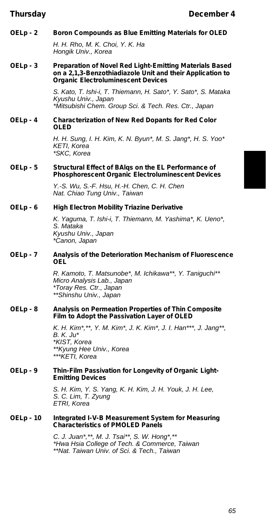**OELp - 2 Boron Compounds as Blue Emitting Materials for OLED**

*H. H. Rho, M. K. Choi, Y. K. Ha Hongik Univ., Korea*

**OELp - 3 Preparation of Novel Red Light-Emitting Materials Based on a 2,1,3-Benzothiadiazole Unit and their Application to Organic Electroluminescent Devices**

> *S. Kato, T. Ishi-i, T. Thiemann, H. Sato\*, Y. Sato\*, S. Mataka Kyushu Univ., Japan \*Mitsubishi Chem. Group Sci. & Tech. Res. Ctr., Japan*

**OELp - 4 Characterization of New Red Dopants for Red Color OLED**

> *H. H. Sung, I. H. Kim, K. N. Byun\*, M. S. Jang\*, H. S. Yoo\* KETI, Korea \*SKC, Korea*

#### **OELp - 5 Structural Effect of BAlqs on the EL Performance of Phosphorescent Organic Electroluminescent Devices**

*Y.-S. Wu, S.-F. Hsu, H.-H. Chen, C. H. Chen Nat. Chiao Tung Univ., Taiwan*

#### **OELp - 6 High Electron Mobility Triazine Derivative**

*K. Yaguma, T. Ishi-i, T. Thiemann, M. Yashima\*, K. Ueno\*, S. Mataka Kyushu Univ., Japan \*Canon, Japan*

**OELp - 7 Analysis of the Deterioration Mechanism of Fluorescence OEL**

> *R. Kamoto, T. Matsunobe\*, M. Ichikawa\*\*, Y. Taniguchi\*\* Micro Analysis Lab., Japan \*Toray Res. Ctr., Japan \*\*Shinshu Univ., Japan*

#### **OELp - 8 Analysis on Permeation Properties of Thin Composite Film to Adopt the Passivation Layer of OLED**

*K. H. Kim\*,\*\*, Y. M. Kim\*, J. K. Kim\*, J. I. Han\*\*\*, J. Jang\*\*, B. K. Ju\* \*KIST, Korea \*\*Kyung Hee Univ., Korea \*\*\*KETI, Korea*

#### **OELp - 9 Thin-Film Passivation for Longevity of Organic Light-Emitting Devices**

*S. H. Kim, Y. S. Yang, K. H. Kim, J. H. Youk, J. H. Lee, S. C. Lim, T. Zyung ETRI, Korea*

#### **OELp - 10 Integrated I-V-B Measurement System for Measuring Characteristics of PMOLED Panels**

*C. J. Juan\*,\*\*, M. J. Tsai\*\*, S. W. Hong\*,\*\* \*Hwa Hsia College of Tech. & Commerce, Taiwan \*\*Nat. Taiwan Univ. of Sci. & Tech., Taiwan*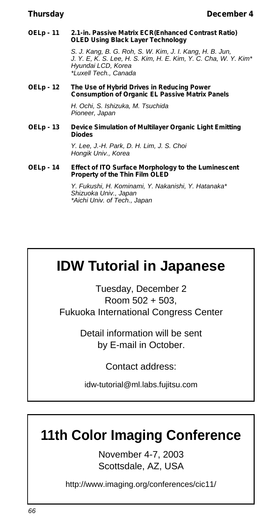#### **OELp - 11 2.1-in. Passive Matrix ECR(Enhanced Contrast Ratio) OLED Using Black Layer Technology**

*S. J. Kang, B. G. Roh, S. W. Kim, J. I. Kang, H. B. Jun, J. Y. E, K. S. Lee, H. S. Kim, H. E. Kim, Y. C. Cha, W. Y. Kim\* Hyundai LCD, Korea \*Luxell Tech., Canada*

#### **OELp - 12 The Use of Hybrid Drives in Reducing Power Consumption of Organic EL Passive Matrix Panels**

*H. Ochi, S. Ishizuka, M. Tsuchida Pioneer, Japan*

#### **OELp - 13 Device Simulation of Multilayer Organic Light Emitting Diodes**

*Y. Lee, J.-H. Park, D. H. Lim, J. S. Choi Hongik Univ., Korea*

#### **OELp - 14 Effect of ITO Surface Morphology to the Luminescent Property of the Thin Film OLED**

*Y. Fukushi, H. Kominami, Y. Nakanishi, Y. Hatanaka\* Shizuoka Univ., Japan \*Aichi Univ. of Tech., Japan*

# **IDW Tutorial in Japanese**

Tuesday, December 2 Room 502 + 503, Fukuoka International Congress Center

> Detail information will be sent by E-mail in October.

> > Contact address:

idw-tutorial@ml.labs.fujitsu.com

# **11th Color Imaging Conference**

November 4-7, 2003 Scottsdale, AZ, USA

http://www.imaging.org/conferences/cic11/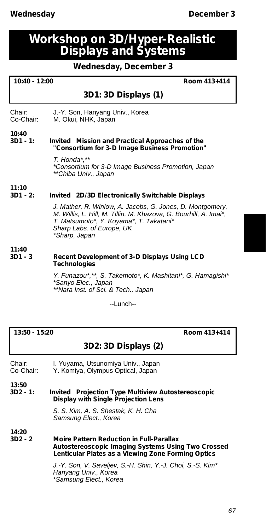**11:10**

**11:40**

## **Workshop on 3D/Hyper-Realistic Displays and Systems**

**Wednesday, December 3**

| $10:40 - 12:00$<br>Room 413+414 |                                                                                                                                                                                                                         |
|---------------------------------|-------------------------------------------------------------------------------------------------------------------------------------------------------------------------------------------------------------------------|
|                                 | 3D1: 3D Displays (1)                                                                                                                                                                                                    |
| Chair:<br>Co-Chair:             | J.-Y. Son, Hanyang Univ., Korea<br>M. Okui, NHK, Japan                                                                                                                                                                  |
| 10:40<br>3D1 - 1:               | <i>Invited</i> Mission and Practical Approaches of the<br>"Consortium for 3-D Image Business Promotion"                                                                                                                 |
|                                 | T. Honda*,**<br>*Consortium for 3-D Image Business Promotion, Japan<br>**Chiba Univ., Japan                                                                                                                             |
| 11:10                           |                                                                                                                                                                                                                         |
| $3D1 - 2:$                      | Invited 2D/3D Electronically Switchable Displays                                                                                                                                                                        |
|                                 | J. Mather, R. Winlow, A. Jacobs, G. Jones, D. Montgomery,<br>M. Willis, L. Hill, M. Tillin, M. Khazova, G. Bourhill, A. Imai*,<br>T. Matsumoto*, Y. Koyama*, T. Takatani*<br>Sharp Labs. of Europe, UK<br>*Sharp, Japan |
| 11:40                           |                                                                                                                                                                                                                         |
| 3D1 - 3                         | Recent Development of 3-D Displays Using LCD<br><b>Technologies</b>                                                                                                                                                     |

*Y. Funazou\*,\*\*, S. Takemoto\*, K. Mashitani\*, G. Hamagishi\* \*Sanyo Elec., Japan \*\*Nara Inst. of Sci. & Tech., Japan*

--Lunch--

**13:50 - 15:20 Room 413+414**

### **3D2: 3D Displays (2)**

Chair: I. Yuyama, Utsunomiya Univ., Japan<br>Co-Chair: Y. Komiya. Olympus Optical. Japan Y. Komiya, Olympus Optical, Japan

**13:50**

**3D2 - 1:** *Invited* **Projection Type Multiview Autostereoscopic Display with Single Projection Lens**

> *S. S. Kim, A. S. Shestak, K. H. Cha Samsung Elect., Korea*

**14:20**

**3D2 - 2 Moire Pattern Reduction in Full-Parallax Autostereoscopic Imaging Systems Using Two Crossed Lenticular Plates as a Viewing Zone Forming Optics**

> *J.-Y. Son, V. Saveljev, S.-H. Shin, Y.-J. Choi, S.-S. Kim\* Hanyang Univ., Korea \*Samsung Elect., Korea*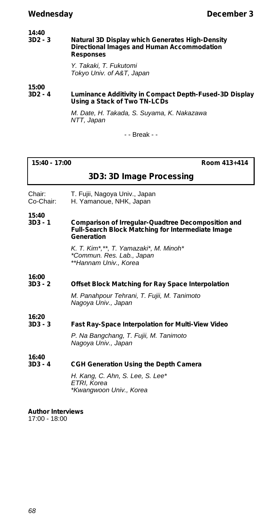| 14:40<br>$3D2 - 3$ | Natural 3D Display which Generates High-Density<br>Directional Images and Human Accommodation<br><b>Responses</b> |  |
|--------------------|-------------------------------------------------------------------------------------------------------------------|--|
|                    | Y. Takaki, T. Fukutomi<br>Tokyo Univ. of A&T, Japan                                                               |  |
| 15:00<br>$3D2 - 4$ | Luminance Additivity in Compact Depth-Fused-3D Display<br>Using a Stack of Two TN-LCDs                            |  |

*M. Date, H. Takada, S. Suyama, K. Nakazawa NTT, Japan*

- - Break - -

| 15:40 - 17:00 |  |
|---------------|--|
|---------------|--|

**15:40 - 17:00 Room 413+414**

| 3D3: 3D Image Processing |  |
|--------------------------|--|
|--------------------------|--|

- Chair: T. Fujii, Nagoya Univ., Japan<br>Co-Chair: H. Yamanoue, NHK, Japan
- H. Yamanoue, NHK, Japan

**15:40**

#### **Comparison of Irregular-Quadtree Decomposition and Full-Search Block Matching for Intermediate Image Generation**

*K. T. Kim\*,\*\*, T. Yamazaki\*, M. Minoh\* \*Commun. Res. Lab., Japan \*\*Hannam Univ., Korea*

#### **16:00 Offset Block Matching for Ray Space Interpolation**

*M. Panahpour Tehrani, T. Fujii, M. Tanimoto Nagoya Univ., Japan*

**16:20**

#### **Fast Ray-Space Interpolation for Multi-View Video**

*P. Na Bangchang, T. Fujii, M. Tanimoto Nagoya Univ., Japan*

**16:40**

#### **CGH Generation Using the Depth Camera**

*H. Kang, C. Ahn, S. Lee, S. Lee\* ETRI, Korea \*Kwangwoon Univ., Korea*

**Author Interviews** 17:00 - 18:00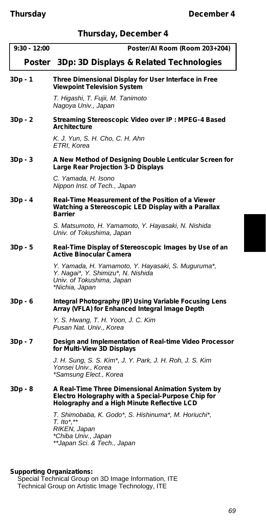| Thursday, December 4 |  |  |  |
|----------------------|--|--|--|
|----------------------|--|--|--|

| $9:30 - 12:00$ | Poster/Al Room (Room 203+204)                                                                                                                          |
|----------------|--------------------------------------------------------------------------------------------------------------------------------------------------------|
|                | <i>Poster</i> 3Dp: 3D Displays & Related Technologies                                                                                                  |
| 3Dp - 1        | Three Dimensional Display for User Interface in Free<br><b>Viewpoint Television System</b>                                                             |
|                | T. Higashi, T. Fujii, M. Tanimoto<br>Nagoya Univ., Japan                                                                                               |
| 3Dp - 2        | Streaming Stereoscopic Video over IP: MPEG-4 Based<br>Architecture                                                                                     |
|                | K. J. Yun, S. H. Cho, C. H. Ahn<br>ETRI, Korea                                                                                                         |
| 3Dp - 3        | A New Method of Designing Double Lenticular Screen for<br>Large Rear Projection 3-D Displays                                                           |
|                | C. Yamada, H. Isono<br>Nippon Inst. of Tech., Japan                                                                                                    |
| 3Dp - 4        | Real-Time Measurement of the Position of a Viewer<br>Watching a Stereoscopic LED Display with a Parallax<br><b>Barrier</b>                             |
|                | S. Matsumoto, H. Yamamoto, Y. Hayasaki, N. Nishida<br>Univ. of Tokushima, Japan                                                                        |
| 3Dp - 5        | Real-Time Display of Stereoscopic Images by Use of an<br><b>Active Binocular Camera</b>                                                                |
|                | Y. Yamada, H. Yamamoto, Y. Hayasaki, S. Muguruma*,<br>Y. Nagai*, Y. Shimizu*, N. Nishida<br>Univ. of Tokushima, Japan<br>*Nichia, Japan                |
| 3Dp - 6        | Integral Photography (IP) Using Variable Focusing Lens<br>Array (VFLA) for Enhanced Integral Image Depth                                               |
|                | Y. S. Hwang, T. H. Yoon, J. C. Kim<br>Pusan Nat. Univ., Korea                                                                                          |
| 3Dp - 7        | Design and Implementation of Real-time Video Processor<br>for Multi-View 3D Displays                                                                   |
|                | J. H. Sung, S. S. Kim*, J. Y. Park, J. H. Roh, J. S. Kim<br>Yonsei Univ., Korea<br>*Samsung Elect., Korea                                              |
| 3Dp - 8        | A Real-Time Three Dimensional Animation System by<br>Electro Holography with a Special-Purpose Chip for<br>Holography and a High Minute Reflective LCD |
|                | T. Shimobaba, K. Godo*, S. Hishinuma*, M. Horiuchi*,<br>$T.$ Ito*,**<br>RIKEN, Japan<br>*Chiba Univ., Japan<br>**Japan Sci. & Tech., Japan             |

**Supporting Organizations:** Special Technical Group on 3D Image Information, ITE Technical Group on Artistic Image Technology, ITE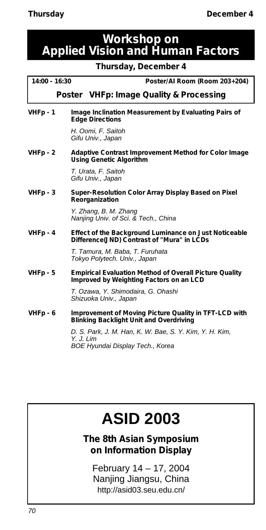## **Workshop on Applied Vision and Human Factors**

**Thursday, December 4**

**14:00 - 16:30 Poster/AI Room (Room 203+204)**

*Poster* **VHFp: Image Quality & Processing**

**VHFp - 1 Image Inclination Measurement by Evaluating Pairs of Edge Directions**

> *H. Oomi, F. Saitoh Gifu Univ., Japan*

**VHFp - 2 Adaptive Contrast Improvement Method for Color Image Using Genetic Algorithm**

> *T. Urata, F. Saitoh Gifu Univ., Japan*

**VHFp - 3 Super-Resolution Color Array Display Based on Pixel Reorganization**

> *Y. Zhang, B. M. Zhang Nanjing Univ. of Sci. & Tech., China*

**VHFp - 4 Effect of the Background Luminance on Just Noticeable Difference(JND) Contrast of "Mura" in LCDs**

> *T. Tamura, M. Baba, T. Furuhata Tokyo Polytech. Univ., Japan*

**VHFp - 5 Empirical Evaluation Method of Overall Picture Quality Improved by Weighting Factors on an LCD**

> *T. Ozawa, Y. Shimodaira, G. Ohashi Shizuoka Univ., Japan*

**VHFp - 6 Improvement of Moving Picture Quality in TFT-LCD with Blinking Backlight Unit and Overdriving**

> *D. S. Park, J. M. Han, K. W. Bae, S. Y. Kim, Y. H. Kim, Y. J. Lim BOE Hyundai Display Tech., Korea*

# **ASID 2003**

**The 8th Asian Symposium on Information Display**

February 14 – 17, 2004 Nanjing Jiangsu, China http://asid03.seu.edu.cn/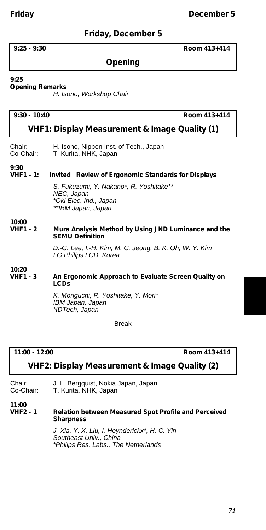### **Friday, December 5**

#### **9:25 - 9:30 Room 413+414**

### **Opening**

#### **9:25**

#### **Opening Remarks**

*H. Isono, Workshop Chair*

#### **9:30 - 10:40 Room 413+414**

### **VHF1: Display Measurement & Image Quality (1)**

| Chair:                | H. Isono, Nippon Inst. of Tech., Japan |
|-----------------------|----------------------------------------|
| Co-Chair <sup>.</sup> | T. Kurita. NHK. Janan.                 |

ra, NHK, Japa

**9:30**

#### **VHF1 - 1:** *Invited* **Review of Ergonomic Standards for Displays**

*S. Fukuzumi, Y. Nakano\*, R. Yoshitake\*\* NEC, Japan \*Oki Elec. Ind., Japan \*\*IBM Japan, Japan*

#### **10:00 Mura Analysis Method by Using JND Luminance and the SEMU Definition**

*D.-G. Lee, I.-H. Kim, M. C. Jeong, B. K. Oh, W. Y. Kim LG.Philips LCD, Korea*

#### **10:20 An Ergonomic Approach to Evaluate Screen Quality on LCDs**

*K. Moriguchi, R. Yoshitake, Y. Mori\* IBM Japan, Japan \*IDTech, Japan*

- - Break - -

**11:00 - 12:00 Room 413+414**

#### **VHF2: Display Measurement & Image Quality (2)**

Chair: J. L. Bergquist, Nokia Japan, Japan<br>Co-Chair: T. Kurita, NHK. Japan T. Kurita, NHK, Japan

#### **11:00**

#### **VHF2 - 1 Relation between Measured Spot Profile and Perceived Sharpness**

*J. Xia, Y. X. Liu, I. Heynderickx\*, H. C. Yin Southeast Univ., China \*Philips Res. Labs., The Netherlands*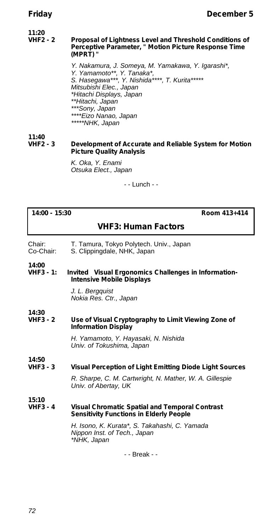#### **11:20 Proposal of Lightness Level and Threshold Conditions of Perceptive Parameter, " Motion Picture Response Time (MPRT) "**

*Y. Nakamura, J. Someya, M. Yamakawa, Y. Igarashi\*, Y. Yamamoto\*\*, Y. Tanaka\*, S. Hasegawa\*\*\*, Y. Nishida\*\*\*\*, T. Kurita\*\*\*\*\* Mitsubishi Elec., Japan \*Hitachi Displays, Japan \*\*Hitachi, Japan \*\*\*Sony, Japan \*\*\*\*Eizo Nanao, Japan \*\*\*\*\*NHK, Japan*

#### **11:40 Development of Accurate and Reliable System for Motion Picture Quality Analysis**

*K. Oka, Y. Enami Otsuka Elect., Japan*

- - Lunch - -

**14:00 - 15:30 Room 413+414**

#### **VHF3: Human Factors**

- Chair: T. Tamura, Tokyo Polytech. Univ., Japan
- Co-Chair: S. Clippingdale, NHK, Japan

**14:00**

**Invited** Visual Ergonomics Challenges in Information-**Intensive Mobile Displays**

> *J. L. Bergquist Nokia Res. Ctr., Japan*

#### **14:30 Use of Visual Cryptography to Limit Viewing Zone of Information Display**

*H. Yamamoto, Y. Hayasaki, N. Nishida Univ. of Tokushima, Japan*

#### **14:50 Visual Perception of Light Emitting Diode Light Sources**

*R. Sharpe, C. M. Cartwright, N. Mather, W. A. Gillespie Univ. of Abertay, UK*

**15:10**

#### **Visual Chromatic Spatial and Temporal Contrast Sensitivity Functions in Elderly People**

*H. Isono, K. Kurata\*, S. Takahashi, C. Yamada Nippon Inst. of Tech., Japan \*NHK, Japan*

- - Break - -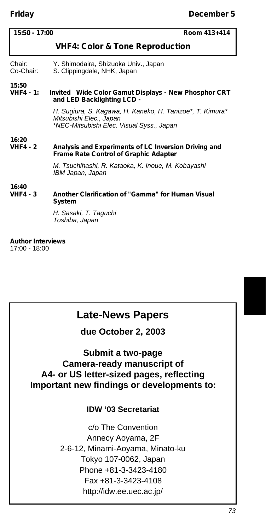| 15:50 - 17:00                              | Room 413+414                                                                                                                      |  |
|--------------------------------------------|-----------------------------------------------------------------------------------------------------------------------------------|--|
| <b>VHF4: Color &amp; Tone Reproduction</b> |                                                                                                                                   |  |
| Chair:<br>Co-Chair:                        | Y. Shimodaira, Shizuoka Univ., Japan<br>S. Clippingdale, NHK, Japan                                                               |  |
| 15:50<br>$VHF4 - 1:$                       | <i>Invited</i> Wide Color Gamut Displays - New Phosphor CRT<br>and LED Backlighting LCD -                                         |  |
|                                            | H. Sugiura, S. Kagawa, H. Kaneko, H. Tanizoe*, T. Kimura*<br>Mitsubishi Elec., Japan<br>*NEC-Mitsubishi Elec. Visual Syss., Japan |  |
| 16:20<br>$VHF4 - 2$                        | Analysis and Experiments of LC Inversion Driving and<br><b>Frame Rate Control of Graphic Adapter</b>                              |  |
|                                            | M. Tsuchihashi, R. Kataoka, K. Inoue, M. Kobayashi<br>IBM Japan, Japan                                                            |  |
| 16:40<br>$VHF4 - 3$                        | Another Clarification of "Gamma" for Human Visual<br>System<br>H. Sasaki, T. Taguchi                                              |  |
|                                            | Toshiba, Japan                                                                                                                    |  |

**Author Interviews**

17:00 - 18:00

### **Late-News Papers**

**due October 2, 2003**

### **Submit a two-page Camera-ready manuscript of A4- or US letter-sized pages, reflecting Important new findings or developments to:**

### **IDW '03 Secretariat**

c/o The Convention Annecy Aoyama, 2F 2-6-12, Minami-Aoyama, Minato-ku Tokyo 107-0062, Japan Phone +81-3-3423-4180 Fax +81-3-3423-4108 http://idw.ee.uec.ac.jp/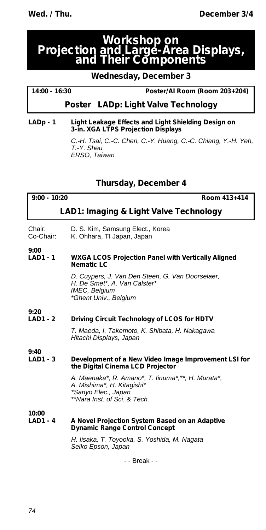### **Workshop on Projection and Large-Area Displays, and Their Components**

### **Wednesday, December 3**

### **14:00 - 16:30 Poster/AI Room (Room 203+204)**

### *Poster* **LADp: Light Valve Technology**

#### **LADp - 1 Light Leakage Effects and Light Shielding Design on 3-in. XGA LTPS Projection Displays**

*C.-H. Tsai, C.-C. Chen, C.-Y. Huang, C.-C. Chiang, Y.-H. Yeh, T.-Y. Sheu ERSO, Taiwan*

### **Thursday, December 4**

| $9:00 - 10:20$                         | Room 413+414                                                                                                                            |  |
|----------------------------------------|-----------------------------------------------------------------------------------------------------------------------------------------|--|
| LAD1: Imaging & Light Valve Technology |                                                                                                                                         |  |
| Chair:<br>Co-Chair:                    | D. S. Kim, Samsung Elect., Korea<br>K. Ohhara, TI Japan, Japan                                                                          |  |
| 9:00<br><b>LAD1 - 1</b>                | <b>WXGA LCOS Projection Panel with Vertically Aligned</b><br><b>Nematic LC</b>                                                          |  |
|                                        | D. Cuypers, J. Van Den Steen, G. Van Doorselaer,<br>H. De Smet*, A. Van Calster*<br>IMEC, Belgium<br>*Ghent Univ., Belgium              |  |
| 9:20<br><b>LAD1 - 2</b>                | Driving Circuit Technology of LCOS for HDTV                                                                                             |  |
|                                        | T. Maeda, I. Takemoto, K. Shibata, H. Nakagawa<br>Hitachi Displays, Japan                                                               |  |
| 9:40<br><b>LAD1 - 3</b>                | Development of a New Video Image Improvement LSI for<br>the Digital Cinema LCD Projector                                                |  |
|                                        | A. Maenaka*, R. Amano*, T. linuma*,**, H. Murata*,<br>A. Mishima*, H. Kitagishi*<br>*Sanyo Elec., Japan<br>**Nara Inst. of Sci. & Tech. |  |
| 10:00<br><b>LAD1 - 4</b>               | A Novel Projection System Based on an Adaptive<br><b>Dynamic Range Control Concept</b>                                                  |  |
|                                        | H. Iisaka, T. Toyooka, S. Yoshida, M. Nagata<br>Seiko Epson, Japan                                                                      |  |
|                                        | - - Break - -                                                                                                                           |  |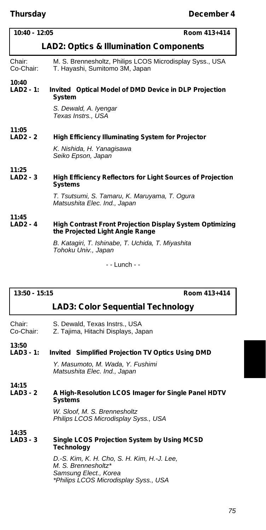| $10:40 - 12:05$                                   | Room 413+414                                                                                                                                                            |  |
|---------------------------------------------------|-------------------------------------------------------------------------------------------------------------------------------------------------------------------------|--|
| <b>LAD2: Optics &amp; Illumination Components</b> |                                                                                                                                                                         |  |
| Chair:<br>Co-Chair:                               | M. S. Brennesholtz, Philips LCOS Microdisplay Syss., USA<br>T. Hayashi, Sumitomo 3M, Japan                                                                              |  |
| 10:40<br>$LAD2 - 1:$                              | Invited Optical Model of DMD Device in DLP Projection<br>System                                                                                                         |  |
|                                                   | S. Dewald, A. Iyengar<br>Texas Instrs., USA                                                                                                                             |  |
| 11:05<br>$LAD2 - 2$                               | High Efficiency Illuminating System for Projector<br>K. Nishida, H. Yanaqisawa<br>Seiko Epson, Japan                                                                    |  |
| 11:25<br>$LAD2 - 3$                               | <b>High Efficiency Reflectors for Light Sources of Projection</b><br><b>Systems</b><br>T. Tsutsumi, S. Tamaru, K. Maruyama, T. Oqura<br>Matsushita Elec. Ind., Japan    |  |
| 11:45<br>$LAD2 - 4$                               | High Contrast Front Projection Display System Optimizing<br>the Projected Light Angle Range<br>B. Kataqiri, T. Ishinabe, T. Uchida, T. Miyashita<br>Tohoku Univ., Japan |  |
|                                                   | - - Lunch - -                                                                                                                                                           |  |

#### **13:50 - 15:15 Room 413+414**

#### **LAD3: Color Sequential Technology**

| Chair:    | S. Dewald, Texas Instrs., USA          |
|-----------|----------------------------------------|
| Ca Chair: | <b>7 Tajima Hitaghi Displays, Japa</b> |

Co-Chair: Z. Tajima, Hitachi Displays, Japan

**13:50**

**14:35**

#### **Invited** Simplified Projection TV Optics Using DMD

*Y. Masumoto, M. Wada, Y. Fushimi Matsushita Elec. Ind., Japan*

#### **14:15 A High-Resolution LCOS Imager for Single Panel HDTV Systems**

*W. Sloof, M. S. Brennesholtz Philips LCOS Microdisplay Syss., USA*

#### **LAD3 - 3 Single LCOS Projection System by Using MCSD Technology**

*D.-S. Kim, K. H. Cho, S. H. Kim, H.-J. Lee, M. S. Brennesholtz\* Samsung Elect., Korea \*Philips LCOS Microdisplay Syss., USA*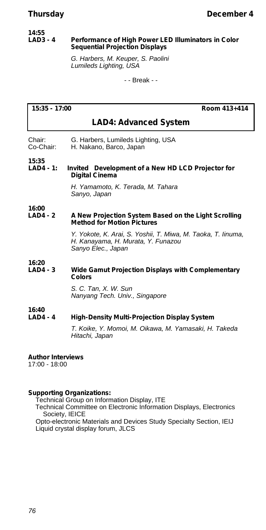#### **14:55 Performance of High Power LED Illuminators in Color Sequential Projection Displays**

*G. Harbers, M. Keuper, S. Paolini Lumileds Lighting, USA*

- - Break - -

| $15:35 - 17:00$                 |                                                               | Room 413+414 |
|---------------------------------|---------------------------------------------------------------|--------------|
|                                 |                                                               |              |
|                                 | <b>LAD4: Advanced System</b>                                  |              |
| Chair:<br>Co-Chair:             | G. Harbers, Lumileds Lighting, USA<br>H. Nakano, Barco, Japan |              |
| 15:35<br>1 AD4 - 1 <sup>.</sup> | <i>Invited</i> Development of a New HD LCD Projector for      |              |

**LAD4 - 1:** *Invited* **Development of a New HD LCD Projector for Digital Cinema**

> *H. Yamamoto, K. Terada, M. Tahara Sanyo, Japan*

**16:00**

#### **A New Projection System Based on the Light Scrolling Method for Motion Pictures**

*Y. Yokote, K. Arai, S. Yoshii, T. Miwa, M. Taoka, T. Iinuma, H. Kanayama, H. Murata, Y. Funazou Sanyo Elec., Japan*

#### **16:20 Wide Gamut Projection Displays with Complementary Colors**

*S. C. Tan, X. W. Sun Nanyang Tech. Univ., Singapore*

#### **16:40 High-Density Multi-Projection Display System**

*T. Koike, Y. Momoi, M. Oikawa, M. Yamasaki, H. Takeda Hitachi, Japan*

#### **Author Interviews**

17:00 - 18:00

#### **Supporting Organizations:**

Technical Group on Information Display, ITE

Technical Committee on Electronic Information Displays, Electronics Society, IEICE

Opto-electronic Materials and Devices Study Specialty Section, IEIJ Liquid crystal display forum, JLCS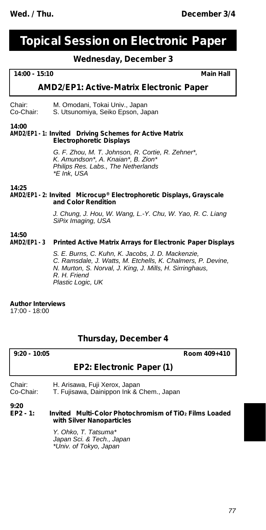## **Topical Session on Electronic Paper**

### **Wednesday, December 3**

#### **14:00 - 15:10 Main Hall**

#### **AMD2/EP1: Active-Matrix Electronic Paper**

Chair: M. Omodani, Tokai Univ., Japan<br>Co-Chair: S. Utsunomiya, Seiko Epson, Ja S. Utsunomiya, Seiko Epson, Japan

#### **14:00**

#### **AMD2/EP1 - 1:** *Invited* **Driving Schemes for Active Matrix Electrophoretic Displays**

*G. F. Zhou, M. T. Johnson, R. Cortie, R. Zehner\*, K. Amundson\*, A. Knaian\*, B. Zion\* Philips Res. Labs., The Netherlands \*E Ink, USA*

**14:25**

#### **AMD2/EP1 - 2:** *Invited* **Microcup® Electrophoretic Displays, Grayscale and Color Rendition**

*J. Chung, J. Hou, W. Wang, L.-Y. Chu, W. Yao, R. C. Liang SiPix Imaging, USA*

#### **14:50 AMD2/EP1 - 3 Printed Active Matrix Arrays for Electronic Paper Displays**

*S. E. Burns, C. Kuhn, K. Jacobs, J. D. Mackenzie, C. Ramsdale, J. Watts, M. Etchells, K. Chalmers, P. Devine, N. Murton, S. Norval, J. King, J. Mills, H. Sirringhaus, R. H. Friend Plastic Logic, UK*

#### **Author Interviews**

17:00 - 18:00

#### **Thursday, December 4**

| 9:20 - 10:05 |                           | Room 409+410 |
|--------------|---------------------------|--------------|
|              | EP2: Electronic Paper (1) |              |

#### Chair: H. Arisawa, Fuji Xerox, Japan

Co-Chair: T. Fujisawa, Dainippon Ink & Chem., Japan

**9:20**

#### **EP2 - 1:** *Invited* **Multi-Color Photochromism of TiO<sup>2</sup> Films Loaded with Silver Nanoparticles**

*Y. Ohko, T. Tatsuma\* Japan Sci. & Tech., Japan \*Univ. of Tokyo, Japan*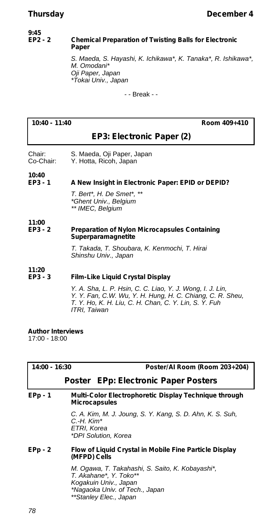#### **9:45 Chemical Preparation of Twisting Balls for Electronic Paper**

*S. Maeda, S. Hayashi, K. Ichikawa\*, K. Tanaka\*, R. Ishikawa\*, M. Omodani\* Oji Paper, Japan \*Tokai Univ., Japan*

- - Break - -

**10:40 - 11:40 Room 409+410**

### **EP3: Electronic Paper (2)**

- Chair: S. Maeda, Oji Paper, Japan<br>Co-Chair: Y. Hotta, Ricoh, Japan
	- Y. Hotta, Ricoh, Japan
- **10:40**

#### **EP3 - 1 A New Insight in Electronic Paper: EPID or DEPID?**

*T. Bert\*, H. De Smet\*, \*\* \*Ghent Univ., Belgium \*\* IMEC, Belgium*

#### **11:00 Preparation of Nylon Microcapsules Containing Superparamagnetite**

*T. Takada, T. Shoubara, K. Kenmochi, T. Hirai Shinshu Univ., Japan*

**11:20**

#### **Film-Like Liquid Crystal Display**

*Y. A. Sha, L. P. Hsin, C. C. Liao, Y. J. Wong, I. J. Lin, Y. Y. Fan, C.W. Wu, Y. H. Hung, H. C. Chiang, C. R. Sheu, T. Y. Ho, K. H. Liu, C. H. Chan, C. Y. Lin, S. Y. Fuh ITRI, Taiwan*

**Author Interviews** 17:00 - 18:00

| $14:00 - 16:30$<br>Poster/AI Room (Room 203+204)                                                                                                                |
|-----------------------------------------------------------------------------------------------------------------------------------------------------------------|
| <i>Poster</i> EPp: Electronic Paper Posters                                                                                                                     |
| Multi-Color Electrophoretic Display Technique through<br><b>Microcapsules</b>                                                                                   |
| C. A. Kim, M. J. Joung, S. Y. Kang, S. D. Ahn, K. S. Suh,<br>$C.H.$ Kim*<br>ETRI, Korea<br>*DPI Solution, Korea                                                 |
| Flow of Liquid Crystal in Mobile Fine Particle Display<br>(MFPD) Cells                                                                                          |
| M. Ogawa, T. Takahashi, S. Saito, K. Kobayashi*,<br>T. Akahane*, Y. Toko**<br>Kogakuin Univ., Japan<br>*Nagaoka Univ. of Tech., Japan<br>**Stanley Elec., Japan |
|                                                                                                                                                                 |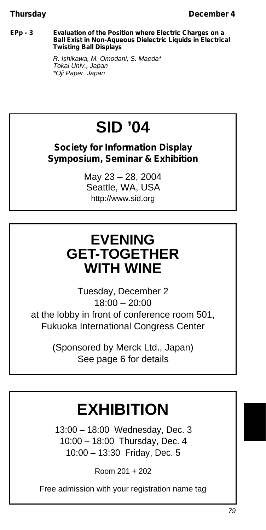#### **EPp - 3 Evaluation of the Position where Electric Charges on a Ball Exist in Non-Aqueous Dielectric Liquids in Electrical Twisting Ball Displays**

*R. Ishikawa, M. Omodani, S. Maeda\* Tokai Univ., Japan \*Oji Paper, Japan*

# **SID '04**

**Society for Information Display Symposium, Seminar & Exhibition**

> May 23 – 28, 2004 Seattle, WA, USA http://www.sid.org

## **EVENING GET-TOGETHER WITH WINE**

Tuesday, December 2 18:00 – 20:00 at the lobby in front of conference room 501, Fukuoka International Congress Center

> (Sponsored by Merck Ltd., Japan) See page 6 for details

# **EXHIBITION**

13:00 – 18:00 Wednesday, Dec. 3 10:00 – 18:00 Thursday, Dec. 4 10:00 – 13:30 Friday, Dec. 5

Room 201 + 202

Free admission with your registration name tag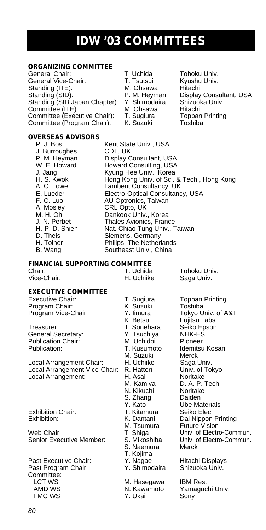## **IDW '03 COMMITTEES**

## **ORGANIZING COMMITTEE**

General Vice-Chair:<br>Standing (ITE): Standing (SID): P. M. Heyman Display Consultant, USA Standing (SID Japan Chapter): Y. Shimodaira Shizuoka Univ. Committee (ITE): M. Ohsawa Hitachi Committee (Executive Chair): T. Sugiura Toppan Printing Committee (Program Chair): K. Suzuki Toshiba

T. Uchida Tohoku Univ.<br>T. Tsutsui Kyushu Univ.

1. Fousant Hitachi<br>M. Ohsawa Hitachi<br>P. M. Heyman Display Consultant, USA<br>Y. Shimodaira Shizuoka Univ.

#### **OVERSEAS ADVISORS**

J. Burroughes<br>P. M. Heyman<br>W. E. Howard

P. J. Bos Kent State Univ., USA<br>
J. Burroughes CDT, UK Display Consultant, USA W. E. Howard Howard Consulting, USA<br>J. Jang Kyung Hee Univ., Korea J. Jang **Manus Kyung Hee Univ., Korea**<br>H. S. Kwok **Hong Kong Univ.** of Sci. H. S. Kwok Hong Kong Univ. of Sci. & Tech., Hong Kong A. C. Lowe Lambent Consultancy, UK E. Lueder Electro-Optical Consultancy, USA F.-C. Luo AU Optronics, Taiwan A. Mosley CRL Opto, UK M. H. Oh **Dankook Univ., Korea**<br>J.-N. Perbet **Dankook Univ., Korea** J.-N. Perbet Thales Avionics, France<br>H.-P. D. Shieh Nat. Chiao Tung Univ., T H.-P. D. Shieh Nat. Chiao Tung Univ., Taiwan<br>D. Theis Siemens. Germany D. Theis Siemens, Germany<br>
H. Tolner Philips. The Netherla H. Tolner Philips, The Netherlands<br>B. Wang Southeast Univ., China Southeast Univ., China

### **FINANCIAL SUPPORTING COMMITTEE**<br>Chair: T Llchida

Chair: T. Uchida Tohoku Univ.<br>1. Vice-Chair: T. Uchiike Saga Univ.

Saga Univ.

#### **EXECUTIVE COMMITTEE**

Executive Chair: T. Sugiura Toppan Printing<br>
Program Chair: Toshiba<br>
K. Suzuki Toshiba Program Chair: K. Suzuki Toshiba<br>Program Vice-Chair: Y. limura Tokyo Univ. of A&T Program Vice-Chair: Y. limura<br>K. Betsui

Treasurer: T. Sonehara Seiko Epson<br>General Secretary: T. Tsuchiya NHK-ES General Secretary: Y. Tsuchiya NHK-ES Publication Chair: M. Uchidoi M. Uchidoi Publication: T. Kusumoto

Local Arrangement Chair: Local Arrangement Vice-Chair: R. Hattori Local Arrangement: H. Asai Noritake<br>M. Kamiva D. A. P.

Web Chair: T. Shiga Univ. of Electro-Commun.<br>1991 - S. Mikoshiba Univ. of Electro-Commun. Cenior Executive Member: S. Mikoshiba

Past Executive Chair: Y. Nagae Hitachi Displays Past Program Chair: Y. Shimodaira Shizuoka Univ. Committee: LCT WS M. Hasegawa IBM Res. FMC WS Y. Ukai Sony

N. Kikuchi Noritak<br>S. Zhang Daiden S. Zhang S. Naemura T. Kojima<br>Y. Nagae

K. Betsui Fujitsu Labs.<br>T. Sonehara Seiko Epson Idemitsu Kosan<br>Merck M. Suzuki Merck<br>H. Uchiike Saga Univ.<br>R. Hattori Univ. of Tokyo D. A. P. Tech.<br>Noritake Y. Kato<br>T. Kitamura Seiko Elec. Exhibition Chair: T. Kitamura Seiko Elec. Exhibition: K. Dantani Dai Nippon Printing M. Tsumura Future Vision Univ. of Electro-Commun.<br>Merck

N. Kawamoto Yamaguchi Univ.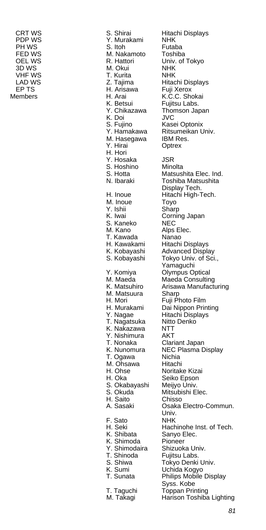CRT WS S. Shirai Hitachi Displays<br>
PDP WS Y Murakami NHK PDP WS **Y. Murakami** NHK<br>PH WS S. Itoh Futaba PH WS S. Itoh Futaba<br>FED WS M. Nakamoto Toshiba FED WS **M. Nakamoto** Toshiba<br> **OEL WS** R. Hattori Univ. of Tokyo R. Hattori 3D WS M. Okui NHK VHF WS T. Kurita<br>
LAD WS Z. Tajima LAD WS Z. Tajima Hitachi Displays EP TS H. Arisawa Fuji Xerox H. Arai K.C.C. Shokai K. Betsui Fujitsu Labs K. Betsui Fujitsu Labs.<br>Y. Chikazawa Thomson Jaj Thomson Japan K. Doi JVC Kasei Optonix Y. Hamakawa Ritsumeikan Univ.<br>M. Hasegawa BM Res. M. Hasegawa Y. Hirai Optrex H. Hori Y. Hosaka JSR<br>S. Hoshino Minolta S. Hoshino<br>S. Hotta S. Hotta **Matsushita Elec. Ind.**<br>N. Ibaraki **C. Toshiba Matsushita** Toshiba Matsushita Display Tech. H. Inoue Hitachi High-Tech.<br>M. Inoue Toyo M. Inoue Y. Ishii Sharp<br>K. Iwai Cornir S. Kaneko<br>M. Kano T. Kawada Nanao<br>H. Kawakami Hitachi M. Matsuura<br>H. Mori H. Mori Fuji Photo Film K. Nakazawa NTT Y. Nishimura<br>T. Nonaka T. Ogawa M. Ohsawa Hitachi<br>H. Ohse Noritak H. Oka Seiko Epson S. Okabayashi Meijyo Univ.<br>S. Okuda Mitsubishi E H. Saito Chisso<br>A. Sasaki Osaka F. Sato<br>H. Seki K. Shimoda Pioneer Y. Shimodaira Shizuoka Univ.<br>T. Shinoda Fuiitsu Labs. T. Shinoda<br>S. Shiwa K. Sumi Uchida Kogyo<br>T. Sunata Philips Mobile

Corning Japan<br>NEC Alps Elec. H. Kawakami Hitachi Displays<br>K. Kobayashi Advanced Displa K. Kobayashi Advanced Display<br>S. Kobayashi Tokyo Univ. of Sci Tokyo Univ. of Sci., Yamaguchi Y. Komiya Olympus Optical<br>M. Maeda Maeda Consultin M. Maeda Maeda Consulting<br>K. Matsuhiro Arisawa Manufactu Arisawa Manufacturing<br>Sharp Dai Nippon Printing<br>Hitachi Displays Y. Nagae Hitachi Displays T. Nagatsuka Nitto Denko Clariant Japan K. Nunomura NEC Plasma Display<br>T. Ogawa Nichia Noritake Kizai Mitsubishi Elec. Osaka Electro-Commun. Univ.<br>NHK H. Seki **Hachinohe Inst. of Tech.**<br>K. Shibata Sanvo Elec. Sanyo Elec.<br>Pioneer S. Shiwa **Tokyo Denki Univ.**<br>K. Sumi Uchida Kogyo Philips Mobile Display Syss. Kobe T. Taguchi Toppan Printing Harison Toshiba Lighting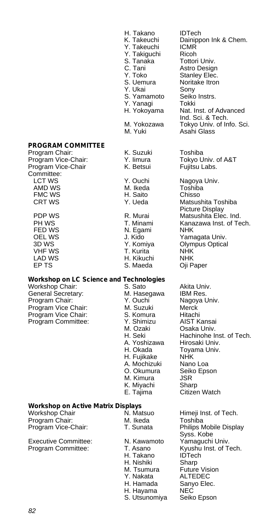|                                         | H. Takano<br>K. Takeuchi<br>Y. Takeuchi<br>Y. Takiguchi<br>S. Tanaka<br>C. Tani<br>Y. Toko<br>S. Uemura<br>Y. Ukai<br>S. Yamamoto<br>Y. Yanaqi<br>H. Yokoyama<br>M. Yokozawa<br>M. Yuki | <b>IDTech</b><br>Dainippon Ink & Chem.<br><b>ICMR</b><br>Ricoh<br>Tottori Univ.<br>Astro Design<br>Stanley Elec.<br>Noritake Itron<br>Sony<br>Seiko Instrs.<br>Tokki<br>Nat. Inst. of Advanced<br>Ind. Sci. & Tech.<br>Tokyo Univ. of Info. Sci.<br>Asahi Glass |  |
|-----------------------------------------|-----------------------------------------------------------------------------------------------------------------------------------------------------------------------------------------|-----------------------------------------------------------------------------------------------------------------------------------------------------------------------------------------------------------------------------------------------------------------|--|
| <b>PROGRAM COMMITTEE</b>                |                                                                                                                                                                                         |                                                                                                                                                                                                                                                                 |  |
| Program Chair:                          | K. Suzuki                                                                                                                                                                               | Toshiba                                                                                                                                                                                                                                                         |  |
| Program Vice-Chair:                     | Y. limura                                                                                                                                                                               | Tokyo Univ. of A&T                                                                                                                                                                                                                                              |  |
| Program Vice-Chair<br>Committee:        | K. Betsui                                                                                                                                                                               | Fujitsu Labs.                                                                                                                                                                                                                                                   |  |
| <b>LCT WS</b>                           | Y. Ouchi                                                                                                                                                                                | Nagoya Univ.                                                                                                                                                                                                                                                    |  |
| AMD WS                                  | M. Ikeda                                                                                                                                                                                | Toshiba                                                                                                                                                                                                                                                         |  |
| <b>FMC WS</b>                           | H. Saito                                                                                                                                                                                | Chisso                                                                                                                                                                                                                                                          |  |
| <b>CRT WS</b>                           | Y. Ueda                                                                                                                                                                                 | Matsushita Toshiba                                                                                                                                                                                                                                              |  |
|                                         |                                                                                                                                                                                         | Picture Display                                                                                                                                                                                                                                                 |  |
| PDP WS                                  | R. Murai                                                                                                                                                                                | Matsushita Elec. Ind.                                                                                                                                                                                                                                           |  |
| PH WS                                   | T. Minami                                                                                                                                                                               | Kanazawa Inst. of Tech.                                                                                                                                                                                                                                         |  |
| FED WS                                  | N. Egami                                                                                                                                                                                | <b>NHK</b>                                                                                                                                                                                                                                                      |  |
| OEL WS                                  | J. Kido                                                                                                                                                                                 | Yamagata Univ.                                                                                                                                                                                                                                                  |  |
| 3D WS                                   | Y. Komiya                                                                                                                                                                               | Olympus Optical                                                                                                                                                                                                                                                 |  |
| <b>VHF WS</b>                           | T. Kurita                                                                                                                                                                               | <b>NHK</b>                                                                                                                                                                                                                                                      |  |
| <b>LAD WS</b>                           | H. Kikuchi                                                                                                                                                                              | <b>NHK</b>                                                                                                                                                                                                                                                      |  |
| EP TS                                   | S. Maeda                                                                                                                                                                                | Oji Paper                                                                                                                                                                                                                                                       |  |
| Workshop on LC Science and Technologies |                                                                                                                                                                                         |                                                                                                                                                                                                                                                                 |  |
| Workshop Chair:                         | S. Sato                                                                                                                                                                                 | Akita Univ.                                                                                                                                                                                                                                                     |  |
| Canasal Canassa                         | <b>M</b> Lleecessic                                                                                                                                                                     | IDMA                                                                                                                                                                                                                                                            |  |

General Secretary: M. Hasegawa IBM Res. Program Chair: The Magoy<br>Program Vice Chair: M. Suzuki Merck Program Vice Chair: M. Suzuki Merck<br>Program Vice Chair: S. Komura Hitachi Program Vice Chair: S. Komura Hitachi<br>Program Committee: Y. Shimizu AIST Kansai Program Committee: Y. Shimizu<br>M. Ozaki

## A. Mochizuki Nano Loa<br>O. Okumura Seiko Eps M. Kimura JSR<br>K. Miyachi Sharp K. Miyachi<br>E. Tajima N. Matsuo Himeji Inst. of Tech.<br>M. Ikeda Toshiba Program Chair: M. Ikeda Toshiba Executive Committee: N. Kawamoto<br>
Program Committee: T. Asano H. Takano IDTech<br>H. Nishiki Sharp

*82*

H. Nishiki Sharp<br>M. Tsumura Future Vision M. Tsumura Future Vision Y. Nakata ALTEDEC H. Hamada Sanyo Elec. H. Hayama NEC S. Utsunomiya Seiko Epson

M. Ozaki Osaka Univ.<br>H. Seki Hachinohe II

H. Okada Toyama Univ.<br>H. Fuiikake NHK

A. Yoshizawa

H. Fujikake

Hachinohe Inst. of Tech.<br>Hirosaki Univ.

Seiko Epson

Citizen Watch

Syss. Kobe<br>Yamaquchi Univ.

Kyushu Inst. of Tech.<br>IDTech

## **Workshop on Active Matrix Displays**

Program Vice-Chair: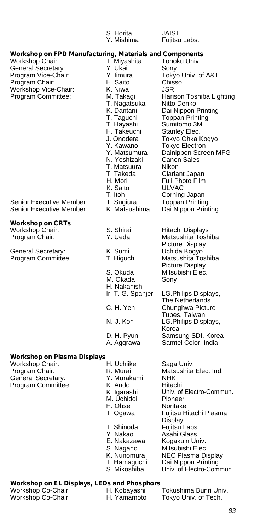|                                                                                                                                                                                         | S. Horita<br>Y. Mishima                                                                                                                                                                                                                                                    | JAIST<br>Fujitsu Labs.                                                                                                                                                                                                                                                                                                                                     |
|-----------------------------------------------------------------------------------------------------------------------------------------------------------------------------------------|----------------------------------------------------------------------------------------------------------------------------------------------------------------------------------------------------------------------------------------------------------------------------|------------------------------------------------------------------------------------------------------------------------------------------------------------------------------------------------------------------------------------------------------------------------------------------------------------------------------------------------------------|
| Workshop on FPD Manufacturing, Materials and Components<br>Workshop Chair:<br>General Secretary:<br>Program Vice-Chair:<br>Program Chair:<br>Workshop Vice-Chair:<br>Program Committee: | T. Miyashita<br>Y. Ukai<br>Y. Iimura<br>H. Saito<br>K. Niwa<br>M. Takagi<br>T. Nagatsuka<br>K. Dantani<br>T. Taguchi<br>T. Hayashi<br>H. Takeuchi<br>J. Onodera<br>Y. Kawano<br>Y. Matsumura<br>N. Yoshizaki<br>T. Matsuura<br>T. Takeda<br>H. Mori<br>K. Saito<br>T. Itoh | Tohoku Univ.<br>Sony<br>Tokyo Univ. of A&T<br>Chisso<br>JSR<br>Harison Toshiba Lighting<br>Nitto Denko<br>Dai Nippon Printing<br>Toppan Printing<br>Sumitomo 3M<br>Stanley Elec.<br>Tokyo Ohka Kogyo<br><b>Tokyo Electron</b><br>Dainippon Screen MFG<br><b>Canon Sales</b><br>Nikon<br>Clariant Japan<br>Fuji Photo Film<br><b>ULVAC</b><br>Corning Japan |
| Senior Executive Member:<br>Senior Executive Member:                                                                                                                                    | T. Sugiura<br>K. Matsushima                                                                                                                                                                                                                                                | <b>Toppan Printing</b><br>Dai Nippon Printing                                                                                                                                                                                                                                                                                                              |
| Workshop on CRTs<br>Workshop Chair:<br>Program Chair:                                                                                                                                   | S. Shirai<br>Y. Ueda                                                                                                                                                                                                                                                       | Hitachi Displays<br>Matsushita Toshiba<br>Picture Display                                                                                                                                                                                                                                                                                                  |
| General Secretary:<br>Program Committee:                                                                                                                                                | K. Sumi<br>T. Higuchi<br>S. Okuda<br>M. Okada                                                                                                                                                                                                                              | Uchida Kogyo<br>Matsushita Toshiba<br>Picture Display<br>Mitsubishi Elec.<br>Sony                                                                                                                                                                                                                                                                          |
|                                                                                                                                                                                         | H. Nakanishi<br>Ir. T. G. Spanjer<br>C. H. Yeh                                                                                                                                                                                                                             | LG.Philips Displays,<br>The Netherlands<br>Chunghwa Picture                                                                                                                                                                                                                                                                                                |
|                                                                                                                                                                                         | N.-J. Koh                                                                                                                                                                                                                                                                  | Tubes, Taiwan<br>LG.Philips Displays,<br>Korea                                                                                                                                                                                                                                                                                                             |
|                                                                                                                                                                                         | D. H. Pyun<br>A. Aggrawal                                                                                                                                                                                                                                                  | Samsung SDI, Korea<br>Samtel Color, India                                                                                                                                                                                                                                                                                                                  |
| Workshop on Plasma Displays<br>Workshop Chair:<br>Program Chair.                                                                                                                        | H. Uchiike<br>R. Murai                                                                                                                                                                                                                                                     | Saga Univ.<br>Matsushita Elec. Ind.                                                                                                                                                                                                                                                                                                                        |
| General Secretary:<br>Program Committee:                                                                                                                                                | Y. Murakami<br>K. Ando<br>K. Igarashi<br>M. Uchidoi<br>H. Ohse<br>T. Ogawa                                                                                                                                                                                                 | <b>NHK</b><br>Hitachi<br>Univ. of Electro-Commun.<br>Pioneer<br>Noritake<br>Fujitsu Hitachi Plasma<br>Display                                                                                                                                                                                                                                              |
|                                                                                                                                                                                         | T. Shinoda<br>Y. Nakao<br>E. Nakazawa                                                                                                                                                                                                                                      | Fujitsu Labs.<br>Asahi Glass<br>Kogakuin Univ.                                                                                                                                                                                                                                                                                                             |

- S. Nagano Mitsubishi Elec.
	-
- 
- K. Nunomura NEC Plasma Display T. Hamaguchi Dai Nippon Printing S. Mikoshiba Univ. of Electro-Commun.

### **Workshop on EL Displays, LEDs and Phosphors**

| Workshop Co-Chair:<br>Workshop Co-Chair: | .<br>H. Kobayashi<br>H. Yamamoto | Tokushima Bunri Univ.<br>Tokyo Univ. of Tech. |
|------------------------------------------|----------------------------------|-----------------------------------------------|
|                                          |                                  |                                               |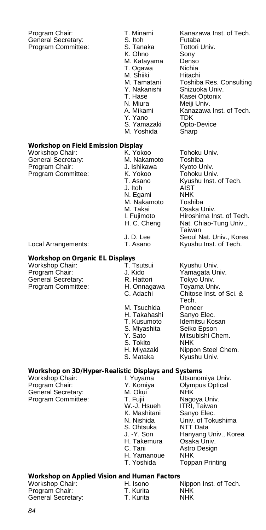Program Chair: T. Minami Kanazawa Inst. of Tech.<br>General Secretary: S. Itoh Futaba General Secretary: S. Itoh Futaba<br>Program Committee: S. Tanaka Fottori Univ. Program Committee: S. Tanaka Tottori University<br>K. Ohno Sony K. Ohno M. Katayama Denso T. Ogawa Nichia M. Shiiki Hitachi<br>M. Tamatani Toshib M. Tamatani Toshiba Res. Consulting Y. Nakanishi Shizuoka Univ.<br>T. Hase Kasei Optonix T. Hase Kasei Optonix<br>N. Miura Meiii Univ. N. Miura Meiji Univ.<br>A. Mikami Kanazawa Kanazawa Inst. of Tech. Y. Yano TDK<br>S. Yamazaki Opto Opto-Device M. Yoshida Sharp **Workshop on Field Emission Display** Workshop Chair: K. Yokoo Tohoku Univ.<br>General Secretary: N. Nakamoto Toshiba General Secretary: **M. Nakamoto** Toshiba<br>Program Chair: **M. S. J. Ishikawa** Kyoto Univ. Program Chair:  $\begin{array}{ccc} \cdot & \cdot & \cdot \\ \cdot & \cdot & \cdot \\ \cdot & \cdot & \cdot \\ \cdot & \cdot & \cdot \\ \cdot & \cdot & \cdot \\ \cdot & \cdot & \cdot \end{array}$  Roboku Univ. Program Committee: K. Yokoo Kyushu Inst. of Tech.<br>AIST J. Itoh AIST<br>N. Egami NHK N. Egami NHK<br>M. Nakamoto Toshiba M. Nakamoto M. Takai Osaka Univ.<br>I. Fujimoto Hiroshima In Hiroshima Inst. of Tech. H. C. Cheng Nat. Chiao-Tung Univ., Taiwan

## **Workshop on Organic EL Displays**

Workshop Chair: T. Tsutsui Kyushu Univ.<br>Program Chair: T. T. Sido Yamagata Ur Program Chair: **J. Kido** Yamagata Univ.<br>
General Secretary: **R. Hattori** Tokyo Univ. General Secretary: R. Hattori Tokyo Univ.<br>Program Committee: H. Onnagawa Toyama Univ. Program Committee: H. Onnaga<br>C. Adachi

M. Tsuchida Pioneer<br>H. Takahashi Sanyo Elec. H. Takahashi<br>T. Kusumoto S. Miyashita Seiko Epson S. Tokito<br>H. Miyazaki

S. Ohtsuka<br>J. -Y. Son

## **Workshop on 3D/Hyper-Realistic Displays and Systems**

Workshop Chair:<br>Program Chair: General Secretary: M. Oku<br>Program Committee: T. Fujii Program Committee: T. Fujii<br>W.-J. Hsueh

Y. Komiya Olympus Optical<br>M. Okui NHK W.-J. Hsueh ITRI, Taiwan K. Mashitani Sanyo Elec.<br>N. Nishida Univ. of Tok Univ. of Tokushima<br>NTT Data Hanyang Univ., Korea<br>Osaka Univ. H. Takemura<br>C. Tani Astro Design<br>NHK H. Yamanoue<br>T. Yoshida Toppan Printing

#### **Workshop on Applied Vision and Human Factors**

| Workshop Chair:    | H. Isono  | Nippon Inst. of Tech. |
|--------------------|-----------|-----------------------|
| Program Chair:     | T. Kurita | NHK                   |
| General Secretary: | T. Kurita | <b>NHK</b>            |

J. D. Lee Seoul Nat. Univ., Korea<br>T. Asano Kyushu Inst. of Tech. Local Arrangements: T. Asano Kyushu Inst. of Tech.

Chitose Inst. of Sci. & Tech.<br>Pioneer T. Kusumoto ldemitsu Kosan<br>S. Mivashita Seiko Epson Mitsubishi Chem.<br>NHK H. Miyazaki Nippon Steel Chem.<br>S. Mataka Kyushu Univ. Kyushu Univ.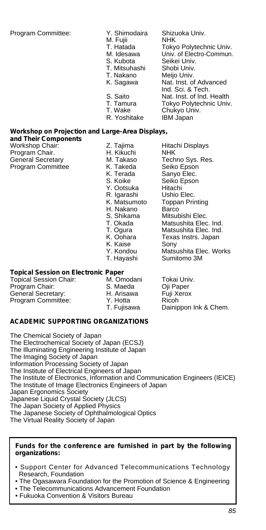Program Committee: Y. Shimodaira Shizuoka Univ. M. Fujii<br>T. Hatada T. Hatada Tokyo Polytechnic Univ.<br>M. Idesawa Univ. of Flectro-Commun M. Idesawa Univ. of Electro-Commun.<br>S. Kubota Seikei Univ. Seikei Univ.<br>Shobi Univ. T. Mitsuhashi<br>T. Nakano Meijo Univ. K. Sagawa Nat. Inst. of Advanced Ind. Sci. & Tech. S. Saito **Nat. Inst. of Ind. Health**<br>T. Tamura **Tokyo Polytechnic Univ** T. Tamura Tokyo Polytechnic Univ.<br>T. Wake Chukyo Univ. Chukyo Univ. R. Yoshitake IBM Japan

### **Workshop on Projection and Large-Area Displays,**

**and Their Components** Workshop Chair: Z. Tajima Hitachi Displays Program Chair. H. Kikuchi NHK General Secretary **M. Takaso** Techno Sys.<br>Program Committee **M. Takeda** Seiko Epson

Program Committee K. Takeda<br>K. Terada K. Terada Sanyo Elec.<br>S. Koike Seiko Epsor Y. Ootsuka Hitachi<br>R. Igarashi Ushio Elec. R. Igarashi<br>K. Matsumoto H. Nakano<br>S. Shikama K. Kaise Y. Kondou<br>T. Hayashi

## **Topical Session on Electronic Paper**

Topical Session Chair: M. Omodani Tokai Univ. Program Chair: S. Maeda Oji Paper<br>General Secretary: S. H. Arisawa Fuji Xerox General Secretary: 
H. Arisawa Fuji X<br>
Program Committee: 
Y. Hotta Ricoh Program Committee: Y. Hotta<br>T. Fuiisawa

Seiko Epson<br>Hitachi Toppan Printing<br>Barco S. Shikama Mitsubishi Elec.<br>T. Okada Matsushita Elec<br>T. Ogura Matsushita Elec Matsushita Elec. Ind. Matsushita Elec. Ind. K. Oohara Texas Instrs. Japan<br>K. Kaise Sony Matsushita Elec. Works<br>Sumitomo 3M

Dainippon Ink & Chem.

#### **ACADEMIC SUPPORTING ORGANIZATIONS**

The Chemical Society of Japan The Electrochemical Society of Japan (ECSJ) The Illuminating Engineering Institute of Japan The Imaging Society of Japan Information Processing Society of Japan The Institute of Electrical Engineers of Japan The Institute of Electronics, Information and Communication Engineers (IEICE) The Institute of Image Electronics Engineers of Japan Japan Ergonomics Society Japanese Liquid Crystal Society (JLCS) The Japan Society of Applied Physics The Japanese Society of Ophthalmological Optics The Virtual Reality Society of Japan

#### **Funds for the conference are furnished in part by the following organizations:**

- Support Center for Advanced Telecommunications Technology Research, Foundation
- The Ogasawara Foundation for the Promotion of Science & Engineering
- The Telecommunications Advancement Foundation
- Fukuoka Convention & Visitors Bureau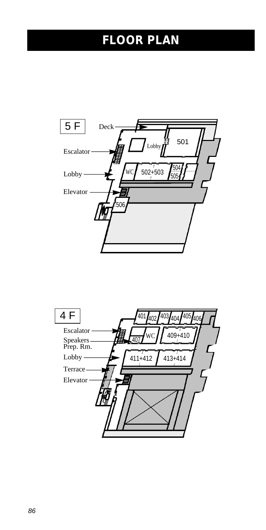# **FLOOR PLAN**



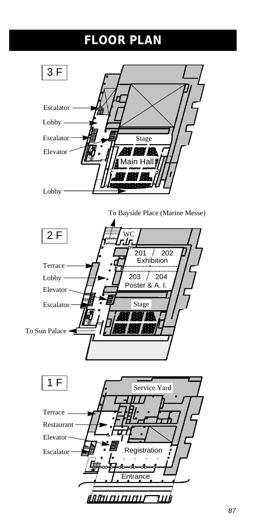# **FLOOR PLAN**

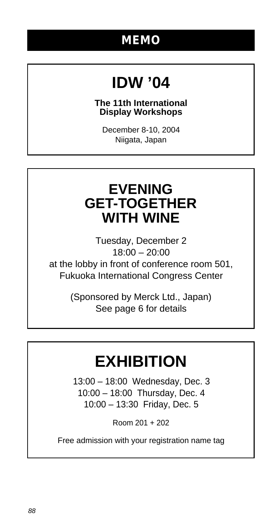## **MEMO**

# **IDW '04**

### **The 11th International Display Workshops**

December 8-10, 2004 Niigata, Japan

## **EVENING GET-TOGETHER WITH WINE**

Tuesday, December 2 18:00 – 20:00 at the lobby in front of conference room 501, Fukuoka International Congress Center

> (Sponsored by Merck Ltd., Japan) See page 6 for details

# **EXHIBITION**

13:00 – 18:00 Wednesday, Dec. 3 10:00 – 18:00 Thursday, Dec. 4 10:00 – 13:30 Friday, Dec. 5

Room 201 + 202

Free admission with your registration name tag